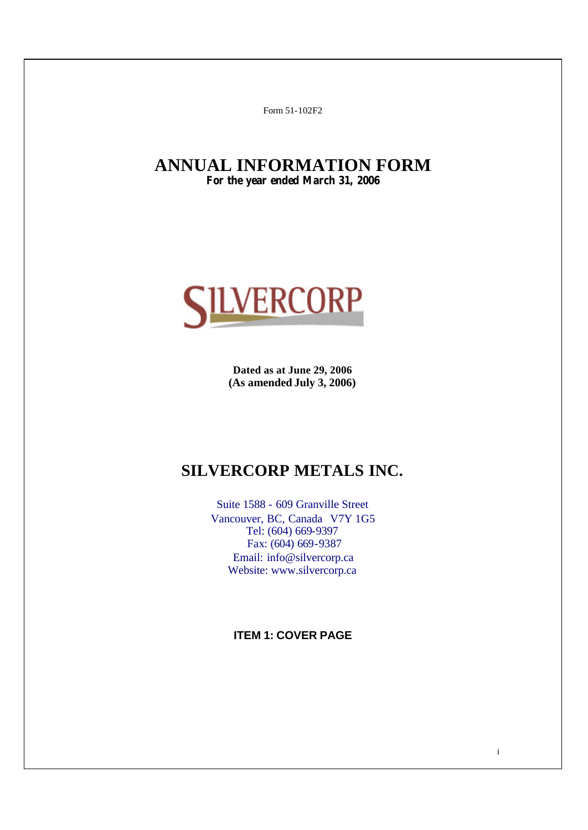Form 51-102F2

# **ANNUAL INFORMATION FORM For the year ended March 31, 2006**



**Dated as at June 29, 2006 (As amended July 3, 2006)**

# **SILVERCORP METALS INC.**

Suite 1588 - 609 Granville Street Vancouver, BC, Canada V7Y 1G5 Tel: (604) 669-9397 Fax: (604) 669-9387 Email: info@silvercorp.ca Website: www.silvercorp.ca

**ITEM 1: COVER PAGE**

i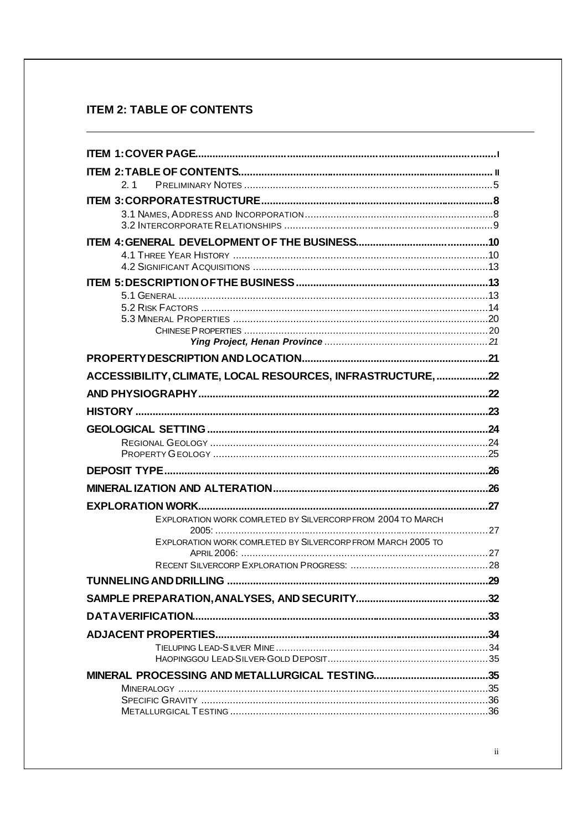# **ITEM 2: TABLE OF CONTENTS**

| 2 <sub>1</sub>                                              |      |
|-------------------------------------------------------------|------|
|                                                             |      |
|                                                             |      |
|                                                             |      |
|                                                             |      |
|                                                             |      |
|                                                             |      |
|                                                             |      |
|                                                             |      |
|                                                             |      |
|                                                             |      |
|                                                             |      |
|                                                             |      |
| ACCESSIBILITY, CLIMATE, LOCAL RESOURCES, INFRASTRUCTURE, 22 |      |
|                                                             |      |
|                                                             |      |
|                                                             |      |
|                                                             |      |
|                                                             |      |
|                                                             |      |
|                                                             |      |
|                                                             |      |
| EXPLORATION WORK COMPLETED BY SILVERCORP FROM 2004 TO MARCH |      |
| EXPLORATION WORK COMPLETED BY SILVERCORP FROM MARCH 2005 TO |      |
|                                                             |      |
|                                                             |      |
|                                                             |      |
|                                                             |      |
|                                                             | .33  |
|                                                             | . 34 |
|                                                             |      |
|                                                             |      |
|                                                             |      |
|                                                             |      |
|                                                             |      |
|                                                             |      |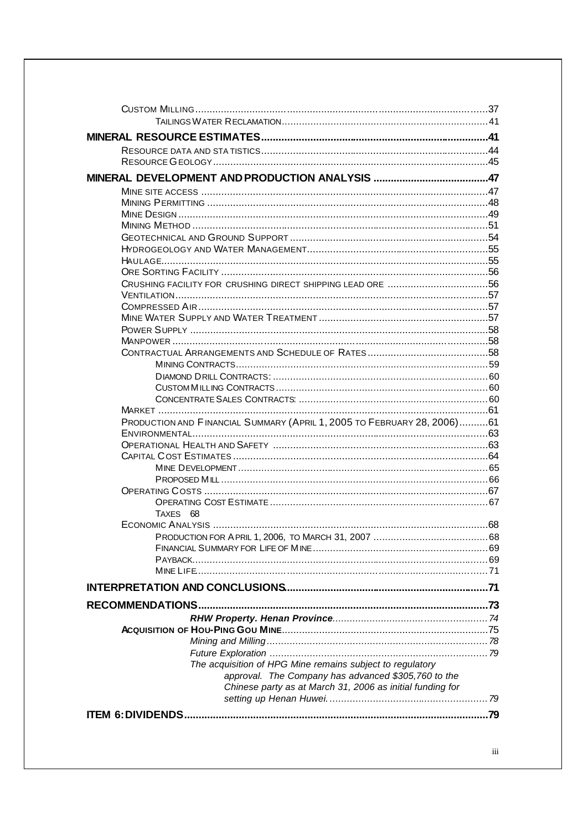| PRODUCTION AND FINANCIAL SUMMARY (APRIL 1, 2005 TO FEBRUARY 28, 2006)61 |  |
|-------------------------------------------------------------------------|--|
|                                                                         |  |
|                                                                         |  |
|                                                                         |  |
|                                                                         |  |
|                                                                         |  |
|                                                                         |  |
| TAXES 68                                                                |  |
|                                                                         |  |
|                                                                         |  |
|                                                                         |  |
|                                                                         |  |
|                                                                         |  |
|                                                                         |  |
|                                                                         |  |
|                                                                         |  |
|                                                                         |  |
|                                                                         |  |
|                                                                         |  |
| The acquisition of HPG Mine remains subject to regulatory               |  |
| approval. The Company has advanced \$305,760 to the                     |  |
| Chinese party as at March 31, 2006 as initial funding for               |  |
|                                                                         |  |
|                                                                         |  |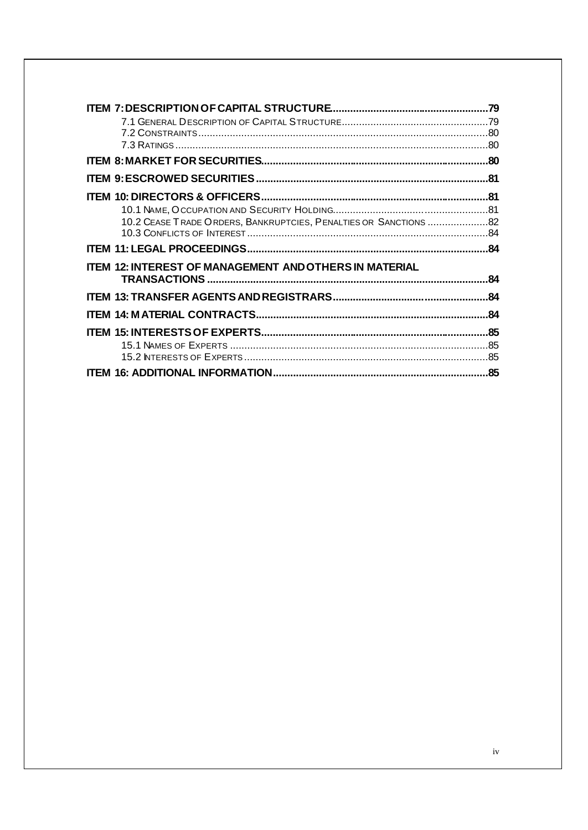| 10.2 CEASE TRADE ORDERS, BANKRUPTCIES, PENALTIES OR SANCTIONS  82 |     |
|-------------------------------------------------------------------|-----|
|                                                                   |     |
|                                                                   |     |
|                                                                   |     |
| <b>ITEM 12: INTEREST OF MANAGEMENT AND OTHERS IN MATERIAL</b>     |     |
|                                                                   | .84 |
|                                                                   | .84 |
|                                                                   |     |
|                                                                   |     |
|                                                                   |     |
|                                                                   |     |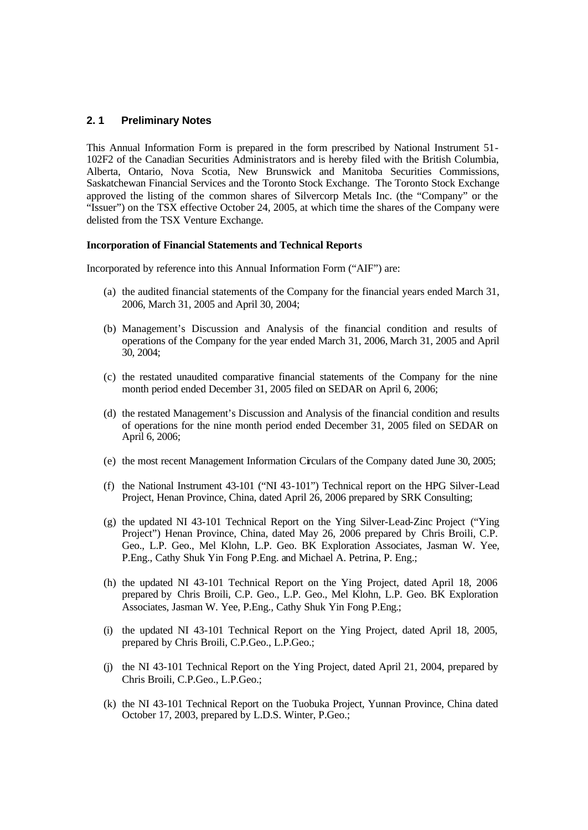# **2. 1 Preliminary Notes**

This Annual Information Form is prepared in the form prescribed by National Instrument 51- 102F2 of the Canadian Securities Administrators and is hereby filed with the British Columbia, Alberta, Ontario, Nova Scotia, New Brunswick and Manitoba Securities Commissions, Saskatchewan Financial Services and the Toronto Stock Exchange. The Toronto Stock Exchange approved the listing of the common shares of Silvercorp Metals Inc. (the "Company" or the "Issuer") on the TSX effective October 24, 2005, at which time the shares of the Company were delisted from the TSX Venture Exchange.

#### **Incorporation of Financial Statements and Technical Reports**

Incorporated by reference into this Annual Information Form ("AIF") are:

- (a) the audited financial statements of the Company for the financial years ended March 31, 2006, March 31, 2005 and April 30, 2004;
- (b) Management's Discussion and Analysis of the financial condition and results of operations of the Company for the year ended March 31, 2006, March 31, 2005 and April 30, 2004;
- (c) the restated unaudited comparative financial statements of the Company for the nine month period ended December 31, 2005 filed on SEDAR on April 6, 2006;
- (d) the restated Management's Discussion and Analysis of the financial condition and results of operations for the nine month period ended December 31, 2005 filed on SEDAR on April 6, 2006;
- (e) the most recent Management Information Circulars of the Company dated June 30, 2005;
- (f) the National Instrument 43-101 ("NI 43-101") Technical report on the HPG Silver-Lead Project, Henan Province, China, dated April 26, 2006 prepared by SRK Consulting;
- (g) the updated NI 43-101 Technical Report on the Ying Silver-Lead-Zinc Project ("Ying Project") Henan Province, China, dated May 26, 2006 prepared by Chris Broili, C.P. Geo., L.P. Geo., Mel Klohn, L.P. Geo. BK Exploration Associates, Jasman W. Yee, P.Eng., Cathy Shuk Yin Fong P.Eng. and Michael A. Petrina, P. Eng.;
- (h) the updated NI 43-101 Technical Report on the Ying Project, dated April 18, 2006 prepared by Chris Broili, C.P. Geo., L.P. Geo., Mel Klohn, L.P. Geo. BK Exploration Associates, Jasman W. Yee, P.Eng., Cathy Shuk Yin Fong P.Eng.;
- (i) the updated NI 43-101 Technical Report on the Ying Project, dated April 18, 2005, prepared by Chris Broili, C.P.Geo., L.P.Geo.;
- (j) the NI 43-101 Technical Report on the Ying Project, dated April 21, 2004, prepared by Chris Broili, C.P.Geo., L.P.Geo.;
- (k) the NI 43-101 Technical Report on the Tuobuka Project, Yunnan Province, China dated October 17, 2003, prepared by L.D.S. Winter, P.Geo.;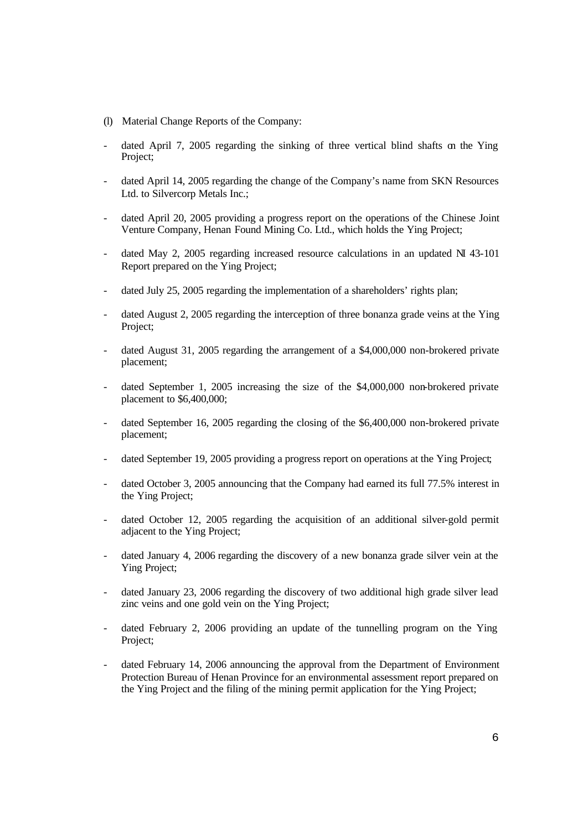- (l) Material Change Reports of the Company:
- dated April 7, 2005 regarding the sinking of three vertical blind shafts on the Ying Project;
- dated April 14, 2005 regarding the change of the Company's name from SKN Resources Ltd. to Silvercorp Metals Inc.;
- dated April 20, 2005 providing a progress report on the operations of the Chinese Joint Venture Company, Henan Found Mining Co. Ltd., which holds the Ying Project;
- dated May 2, 2005 regarding increased resource calculations in an updated  $N1 43-101$ Report prepared on the Ying Project;
- dated July 25, 2005 regarding the implementation of a shareholders' rights plan;
- dated August 2, 2005 regarding the interception of three bonanza grade veins at the Ying Project;
- dated August 31, 2005 regarding the arrangement of a \$4,000,000 non-brokered private placement;
- dated September 1, 2005 increasing the size of the \$4,000,000 non-brokered private placement to \$6,400,000;
- dated September 16, 2005 regarding the closing of the \$6,400,000 non-brokered private placement;
- dated September 19, 2005 providing a progress report on operations at the Ying Project;
- dated October 3, 2005 announcing that the Company had earned its full 77.5% interest in the Ying Project;
- dated October 12, 2005 regarding the acquisition of an additional silver-gold permit adjacent to the Ying Project;
- dated January 4, 2006 regarding the discovery of a new bonanza grade silver vein at the Ying Project;
- dated January 23, 2006 regarding the discovery of two additional high grade silver lead zinc veins and one gold vein on the Ying Project;
- dated February 2, 2006 providing an update of the tunnelling program on the Ying Project;
- dated February 14, 2006 announcing the approval from the Department of Environment Protection Bureau of Henan Province for an environmental assessment report prepared on the Ying Project and the filing of the mining permit application for the Ying Project;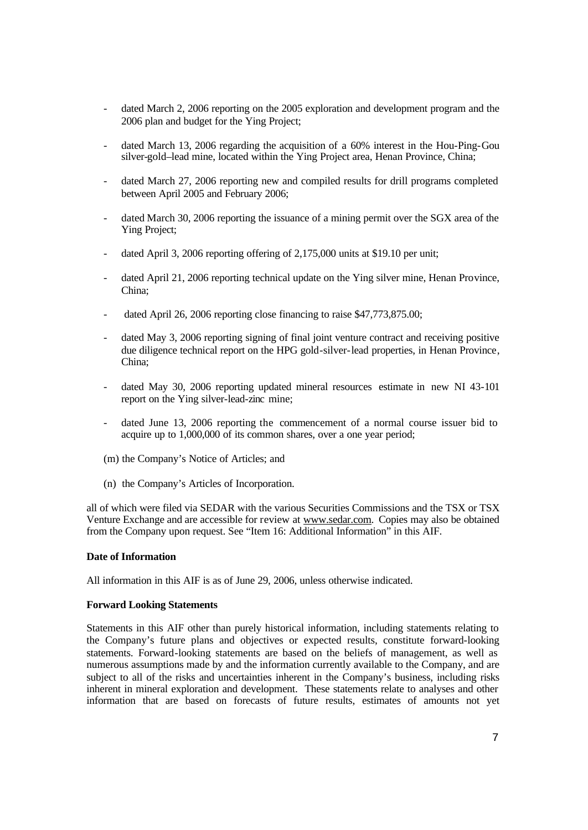- dated March 2, 2006 reporting on the 2005 exploration and development program and the 2006 plan and budget for the Ying Project;
- dated March 13, 2006 regarding the acquisition of a 60% interest in the Hou-Ping-Gou silver-gold–lead mine, located within the Ying Project area, Henan Province, China;
- dated March 27, 2006 reporting new and compiled results for drill programs completed between April 2005 and February 2006;
- dated March 30, 2006 reporting the issuance of a mining permit over the SGX area of the Ying Project;
- dated April 3, 2006 reporting offering of 2,175,000 units at \$19.10 per unit;
- dated April 21, 2006 reporting technical update on the Ying silver mine, Henan Province, China;
- dated April 26, 2006 reporting close financing to raise \$47,773,875.00;
- dated May 3, 2006 reporting signing of final joint venture contract and receiving positive due diligence technical report on the HPG gold-silver-lead properties, in Henan Province, China;
- dated May 30, 2006 reporting updated mineral resources estimate in new NI 43-101 report on the Ying silver-lead-zinc mine;
- dated June 13, 2006 reporting the commencement of a normal course issuer bid to acquire up to 1,000,000 of its common shares, over a one year period;
- (m) the Company's Notice of Articles; and
- (n) the Company's Articles of Incorporation.

all of which were filed via SEDAR with the various Securities Commissions and the TSX or TSX Venture Exchange and are accessible for review at www.sedar.com. Copies may also be obtained from the Company upon request. See "Item 16: Additional Information" in this AIF.

# **Date of Information**

All information in this AIF is as of June 29, 2006, unless otherwise indicated.

#### **Forward Looking Statements**

Statements in this AIF other than purely historical information, including statements relating to the Company's future plans and objectives or expected results, constitute forward-looking statements. Forward-looking statements are based on the beliefs of management, as well as numerous assumptions made by and the information currently available to the Company, and are subject to all of the risks and uncertainties inherent in the Company's business, including risks inherent in mineral exploration and development. These statements relate to analyses and other information that are based on forecasts of future results, estimates of amounts not yet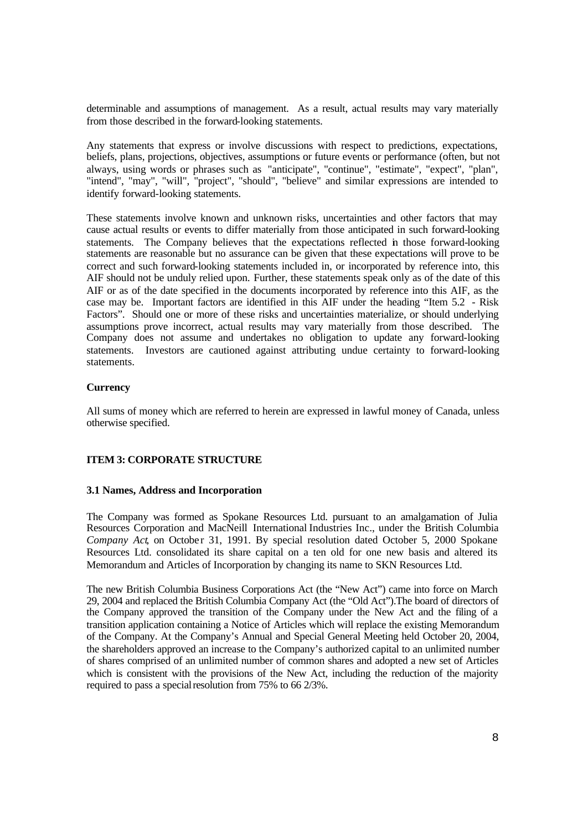determinable and assumptions of management. As a result, actual results may vary materially from those described in the forward-looking statements.

Any statements that express or involve discussions with respect to predictions, expectations, beliefs, plans, projections, objectives, assumptions or future events or performance (often, but not always, using words or phrases such as "anticipate", "continue", "estimate", "expect", "plan", "intend", "may", "will", "project", "should", "believe" and similar expressions are intended to identify forward-looking statements.

These statements involve known and unknown risks, uncertainties and other factors that may cause actual results or events to differ materially from those anticipated in such forward-looking statements. The Company believes that the expectations reflected in those forward-looking statements are reasonable but no assurance can be given that these expectations will prove to be correct and such forward-looking statements included in, or incorporated by reference into, this AIF should not be unduly relied upon. Further, these statements speak only as of the date of this AIF or as of the date specified in the documents incorporated by reference into this AIF, as the case may be. Important factors are identified in this AIF under the heading "Item 5.2 - Risk Factors". Should one or more of these risks and uncertainties materialize, or should underlying assumptions prove incorrect, actual results may vary materially from those described. The Company does not assume and undertakes no obligation to update any forward-looking statements. Investors are cautioned against attributing undue certainty to forward-looking statements.

#### **Currency**

All sums of money which are referred to herein are expressed in lawful money of Canada, unless otherwise specified.

# **ITEM 3: CORPORATE STRUCTURE**

#### **3.1 Names, Address and Incorporation**

The Company was formed as Spokane Resources Ltd. pursuant to an amalgamation of Julia Resources Corporation and MacNeill International Industries Inc., under the British Columbia *Company Act*, on October 31, 1991. By special resolution dated October 5, 2000 Spokane Resources Ltd. consolidated its share capital on a ten old for one new basis and altered its Memorandum and Articles of Incorporation by changing its name to SKN Resources Ltd.

The new British Columbia Business Corporations Act (the "New Act") came into force on March 29, 2004 and replaced the British Columbia Company Act (the "Old Act").The board of directors of the Company approved the transition of the Company under the New Act and the filing of a transition application containing a Notice of Articles which will replace the existing Memorandum of the Company. At the Company's Annual and Special General Meeting held October 20, 2004, the shareholders approved an increase to the Company's authorized capital to an unlimited number of shares comprised of an unlimited number of common shares and adopted a new set of Articles which is consistent with the provisions of the New Act, including the reduction of the majority required to pass a special resolution from 75% to 66 2/3%.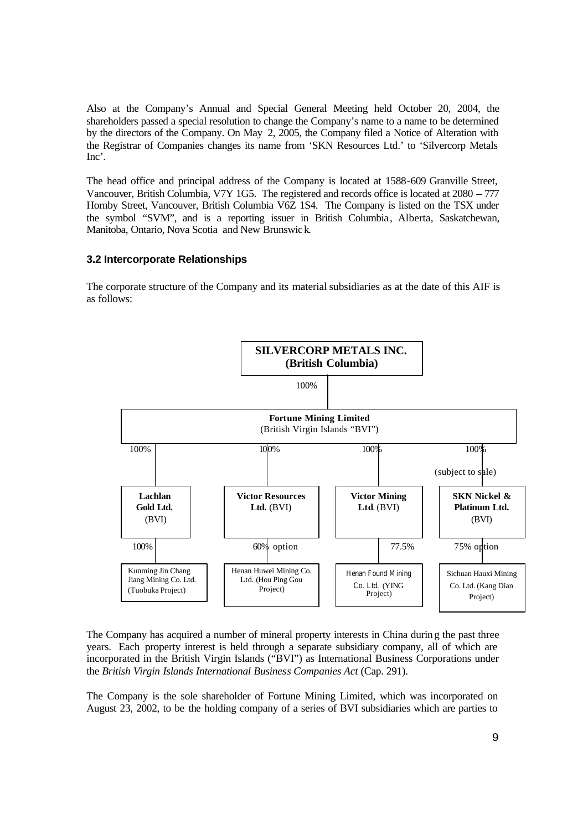Also at the Company's Annual and Special General Meeting held October 20, 2004, the shareholders passed a special resolution to change the Company's name to a name to be determined by the directors of the Company. On May 2, 2005, the Company filed a Notice of Alteration with the Registrar of Companies changes its name from 'SKN Resources Ltd.' to 'Silvercorp Metals Inc'.

The head office and principal address of the Company is located at 1588-609 Granville Street, Vancouver, British Columbia, V7Y 1G5. The registered and records office is located at 2080 – 777 Hornby Street, Vancouver, British Columbia V6Z 1S4. The Company is listed on the TSX under the symbol "SVM", and is a reporting issuer in British Columbia, Alberta, Saskatchewan, Manitoba, Ontario, Nova Scotia and New Brunswick.

#### **3.2 Intercorporate Relationships**

The corporate structure of the Company and its material subsidiaries as at the date of this AIF is as follows:



The Company has acquired a number of mineral property interests in China during the past three years. Each property interest is held through a separate subsidiary company, all of which are incorporated in the British Virgin Islands ("BVI") as International Business Corporations under the *British Virgin Islands International Business Companies Act* (Cap. 291).

The Company is the sole shareholder of Fortune Mining Limited, which was incorporated on August 23, 2002, to be the holding company of a series of BVI subsidiaries which are parties to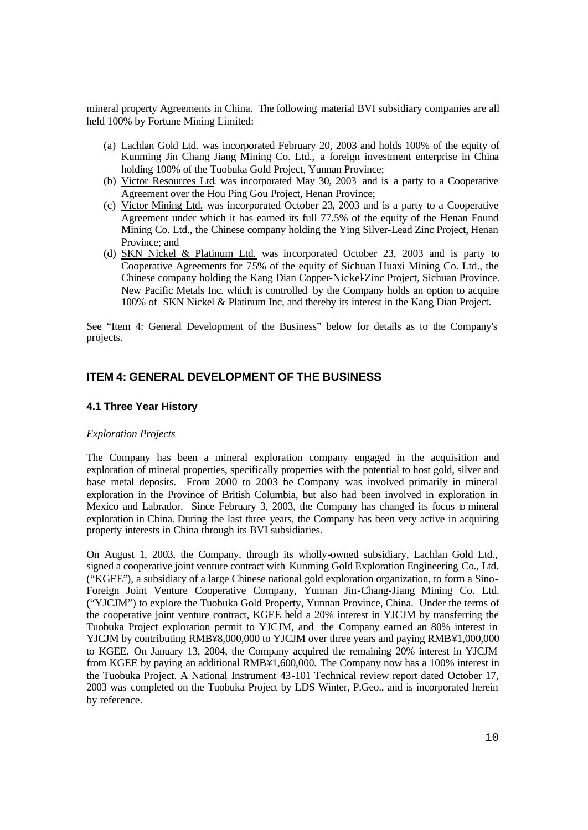mineral property Agreements in China. The following material BVI subsidiary companies are all held 100% by Fortune Mining Limited:

- (a) Lachlan Gold Ltd. was incorporated February 20, 2003 and holds 100% of the equity of Kunming Jin Chang Jiang Mining Co. Ltd., a foreign investment enterprise in China holding 100% of the Tuobuka Gold Project, Yunnan Province;
- (b) Victor Resources Ltd. was incorporated May 30, 2003 and is a party to a Cooperative Agreement over the Hou Ping Gou Project, Henan Province;
- (c) Victor Mining Ltd. was incorporated October 23, 2003 and is a party to a Cooperative Agreement under which it has earned its full 77.5% of the equity of the Henan Found Mining Co. Ltd., the Chinese company holding the Ying Silver-Lead Zinc Project, Henan Province; and
- (d) SKN Nickel & Platinum Ltd. was incorporated October 23, 2003 and is party to Cooperative Agreements for 75% of the equity of Sichuan Huaxi Mining Co. Ltd., the Chinese company holding the Kang Dian Copper-Nickel-Zinc Project, Sichuan Province. New Pacific Metals Inc. which is controlled by the Company holds an option to acquire 100% of SKN Nickel & Platinum Inc, and thereby its interest in the Kang Dian Project.

See "Item 4: General Development of the Business" below for details as to the Company's projects.

# **ITEM 4: GENERAL DEVELOPMENT OF THE BUSINESS**

# **4.1 Three Year History**

# *Exploration Projects*

The Company has been a mineral exploration company engaged in the acquisition and exploration of mineral properties, specifically properties with the potential to host gold, silver and base metal deposits. From 2000 to 2003 the Company was involved primarily in mineral exploration in the Province of British Columbia, but also had been involved in exploration in Mexico and Labrador. Since February 3, 2003, the Company has changed its focus to mineral exploration in China. During the last three years, the Company has been very active in acquiring property interests in China through its BVI subsidiaries.

On August 1, 2003, the Company, through its wholly-owned subsidiary, Lachlan Gold Ltd., signed a cooperative joint venture contract with Kunming Gold Exploration Engineering Co., Ltd. ("KGEE"), a subsidiary of a large Chinese national gold exploration organization, to form a Sino-Foreign Joint Venture Cooperative Company, Yunnan Jin-Chang-Jiang Mining Co. Ltd. ("YJCJM") to explore the Tuobuka Gold Property, Yunnan Province, China. Under the terms of the cooperative joint venture contract, KGEE held a 20% interest in YJCJM by transferring the Tuobuka Project exploration permit to YJCJM, and the Company earned an 80% interest in YJCJM by contributing RMB¥8,000,000 to YJCJM over three years and paying RMB¥1,000,000 to KGEE. On January 13, 2004, the Company acquired the remaining 20% interest in YJCJM from KGEE by paying an additional RMB¥1,600,000. The Company now has a 100% interest in the Tuobuka Project. A National Instrument 43-101 Technical review report dated October 17, 2003 was completed on the Tuobuka Project by LDS Winter, P.Geo., and is incorporated herein by reference.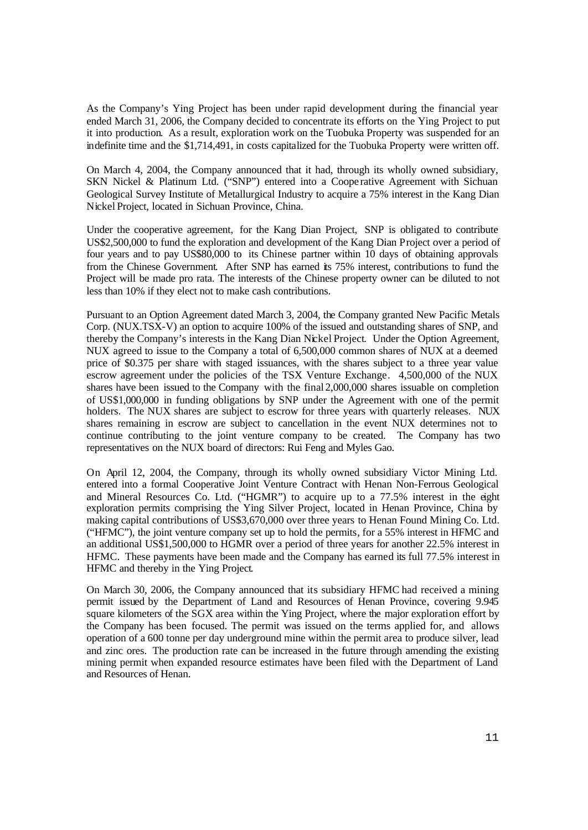As the Company's Ying Project has been under rapid development during the financial year ended March 31, 2006, the Company decided to concentrate its efforts on the Ying Project to put it into production. As a result, exploration work on the Tuobuka Property was suspended for an indefinite time and the \$1,714,491, in costs capitalized for the Tuobuka Property were written off.

On March 4, 2004, the Company announced that it had, through its wholly owned subsidiary, SKN Nickel & Platinum Ltd. ("SNP") entered into a Coope rative Agreement with Sichuan Geological Survey Institute of Metallurgical Industry to acquire a 75% interest in the Kang Dian Nickel Project, located in Sichuan Province, China.

Under the cooperative agreement, for the Kang Dian Project, SNP is obligated to contribute US\$2,500,000 to fund the exploration and development of the Kang Dian Project over a period of four years and to pay US\$80,000 to its Chinese partner within 10 days of obtaining approvals from the Chinese Government. After SNP has earned its 75% interest, contributions to fund the Project will be made pro rata. The interests of the Chinese property owner can be diluted to not less than 10% if they elect not to make cash contributions.

Pursuant to an Option Agreement dated March 3, 2004, the Company granted New Pacific Metals Corp. (NUX.TSX-V) an option to acquire 100% of the issued and outstanding shares of SNP, and thereby the Company's interests in the Kang Dian Nickel Project. Under the Option Agreement, NUX agreed to issue to the Company a total of 6,500,000 common shares of NUX at a deemed price of \$0.375 per share with staged issuances, with the shares subject to a three year value escrow agreement under the policies of the TSX Venture Exchange. 4,500,000 of the NUX shares have been issued to the Company with the final 2,000,000 shares issuable on completion of US\$1,000,000 in funding obligations by SNP under the Agreement with one of the permit holders. The NUX shares are subject to escrow for three years with quarterly releases. NUX shares remaining in escrow are subject to cancellation in the event NUX determines not to continue contributing to the joint venture company to be created. The Company has two representatives on the NUX board of directors: Rui Feng and Myles Gao.

On April 12, 2004, the Company, through its wholly owned subsidiary Victor Mining Ltd. entered into a formal Cooperative Joint Venture Contract with Henan Non-Ferrous Geological and Mineral Resources Co. Ltd. ("HGMR") to acquire up to a 77.5% interest in the eight exploration permits comprising the Ying Silver Project, located in Henan Province, China by making capital contributions of US\$3,670,000 over three years to Henan Found Mining Co. Ltd. ("HFMC"), the joint venture company set up to hold the permits, for a 55% interest in HFMC and an additional US\$1,500,000 to HGMR over a period of three years for another 22.5% interest in HFMC. These payments have been made and the Company has earned its full 77.5% interest in HFMC and thereby in the Ying Project.

On March 30, 2006, the Company announced that its subsidiary HFMC had received a mining permit issued by the Department of Land and Resources of Henan Province, covering 9.945 square kilometers of the SGX area within the Ying Project, where the major exploration effort by the Company has been focused. The permit was issued on the terms applied for, and allows operation of a 600 tonne per day underground mine within the permit area to produce silver, lead and zinc ores. The production rate can be increased in the future through amending the existing mining permit when expanded resource estimates have been filed with the Department of Land and Resources of Henan.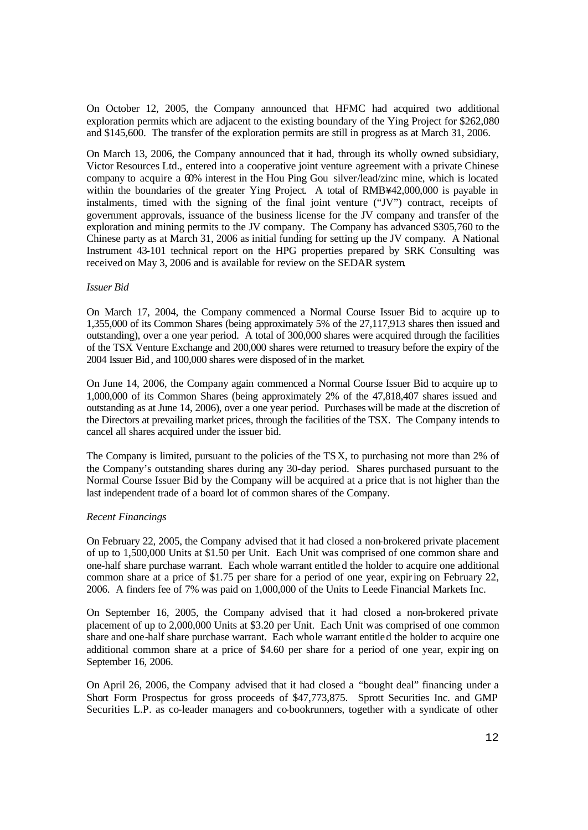On October 12, 2005, the Company announced that HFMC had acquired two additional exploration permits which are adjacent to the existing boundary of the Ying Project for \$262,080 and \$145,600. The transfer of the exploration permits are still in progress as at March 31, 2006.

On March 13, 2006, the Company announced that it had, through its wholly owned subsidiary, Victor Resources Ltd., entered into a cooperative joint venture agreement with a private Chinese company to acquire a 60% interest in the Hou Ping Gou silver/lead/zinc mine, which is located within the boundaries of the greater Ying Project. A total of RMB $442,000,000$  is payable in instalments, timed with the signing of the final joint venture ("JV") contract, receipts of government approvals, issuance of the business license for the JV company and transfer of the exploration and mining permits to the JV company. The Company has advanced \$305,760 to the Chinese party as at March 31, 2006 as initial funding for setting up the JV company. A National Instrument 43-101 technical report on the HPG properties prepared by SRK Consulting was received on May 3, 2006 and is available for review on the SEDAR system.

#### *Issuer Bid*

On March 17, 2004, the Company commenced a Normal Course Issuer Bid to acquire up to 1,355,000 of its Common Shares (being approximately 5% of the 27,117,913 shares then issued and outstanding), over a one year period. A total of 300,000 shares were acquired through the facilities of the TSX Venture Exchange and 200,000 shares were returned to treasury before the expiry of the 2004 Issuer Bid, and 100,000 shares were disposed of in the market.

On June 14, 2006, the Company again commenced a Normal Course Issuer Bid to acquire up to 1,000,000 of its Common Shares (being approximately 2% of the 47,818,407 shares issued and outstanding as at June 14, 2006), over a one year period. Purchases will be made at the discretion of the Directors at prevailing market prices, through the facilities of the TSX. The Company intends to cancel all shares acquired under the issuer bid.

The Company is limited, pursuant to the policies of the TSX, to purchasing not more than 2% of the Company's outstanding shares during any 30-day period. Shares purchased pursuant to the Normal Course Issuer Bid by the Company will be acquired at a price that is not higher than the last independent trade of a board lot of common shares of the Company.

# *Recent Financings*

On February 22, 2005, the Company advised that it had closed a non-brokered private placement of up to 1,500,000 Units at \$1.50 per Unit. Each Unit was comprised of one common share and one-half share purchase warrant. Each whole warrant entitled the holder to acquire one additional common share at a price of \$1.75 per share for a period of one year, expiring on February 22, 2006. A finders fee of 7% was paid on 1,000,000 of the Units to Leede Financial Markets Inc.

On September 16, 2005, the Company advised that it had closed a non-brokered private placement of up to 2,000,000 Units at \$3.20 per Unit. Each Unit was comprised of one common share and one-half share purchase warrant. Each whole warrant entitled the holder to acquire one additional common share at a price of \$4.60 per share for a period of one year, expir ing on September 16, 2006.

On April 26, 2006, the Company advised that it had closed a "bought deal" financing under a Short Form Prospectus for gross proceeds of \$47,773,875. Sprott Securities Inc. and GMP Securities L.P. as co-leader managers and co-bookrunners, together with a syndicate of other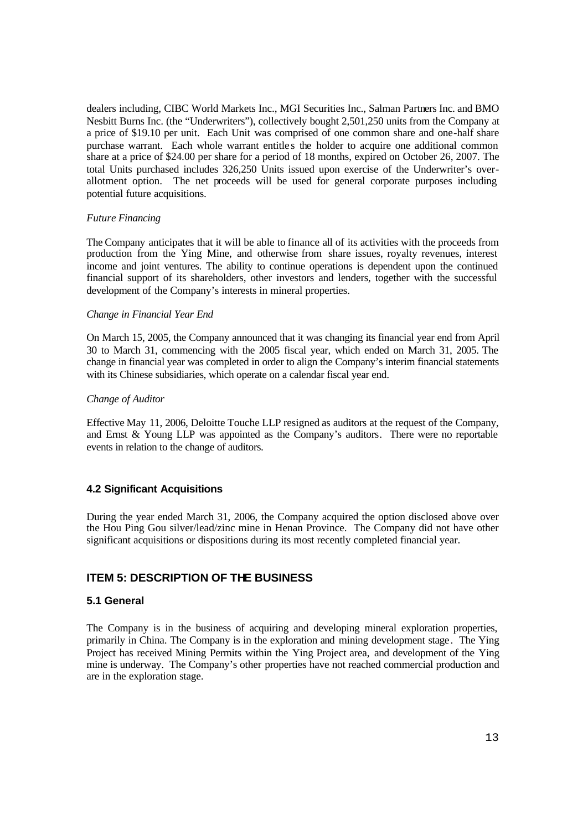dealers including, CIBC World Markets Inc., MGI Securities Inc., Salman Partners Inc. and BMO Nesbitt Burns Inc. (the "Underwriters"), collectively bought 2,501,250 units from the Company at a price of \$19.10 per unit. Each Unit was comprised of one common share and one-half share purchase warrant. Each whole warrant entitles the holder to acquire one additional common share at a price of \$24.00 per share for a period of 18 months, expired on October 26, 2007. The total Units purchased includes 326,250 Units issued upon exercise of the Underwriter's overallotment option. The net proceeds will be used for general corporate purposes including potential future acquisitions.

#### *Future Financing*

The Company anticipates that it will be able to finance all of its activities with the proceeds from production from the Ying Mine, and otherwise from share issues, royalty revenues, interest income and joint ventures. The ability to continue operations is dependent upon the continued financial support of its shareholders, other investors and lenders, together with the successful development of the Company's interests in mineral properties.

#### *Change in Financial Year End*

On March 15, 2005, the Company announced that it was changing its financial year end from April 30 to March 31, commencing with the 2005 fiscal year, which ended on March 31, 2005. The change in financial year was completed in order to align the Company's interim financial statements with its Chinese subsidiaries, which operate on a calendar fiscal year end.

#### *Change of Auditor*

Effective May 11, 2006, Deloitte Touche LLP resigned as auditors at the request of the Company, and Ernst & Young LLP was appointed as the Company's auditors. There were no reportable events in relation to the change of auditors.

#### **4.2 Significant Acquisitions**

During the year ended March 31, 2006, the Company acquired the option disclosed above over the Hou Ping Gou silver/lead/zinc mine in Henan Province. The Company did not have other significant acquisitions or dispositions during its most recently completed financial year.

# **ITEM 5: DESCRIPTION OF THE BUSINESS**

# **5.1 General**

The Company is in the business of acquiring and developing mineral exploration properties, primarily in China. The Company is in the exploration and mining development stage . The Ying Project has received Mining Permits within the Ying Project area, and development of the Ying mine is underway. The Company's other properties have not reached commercial production and are in the exploration stage.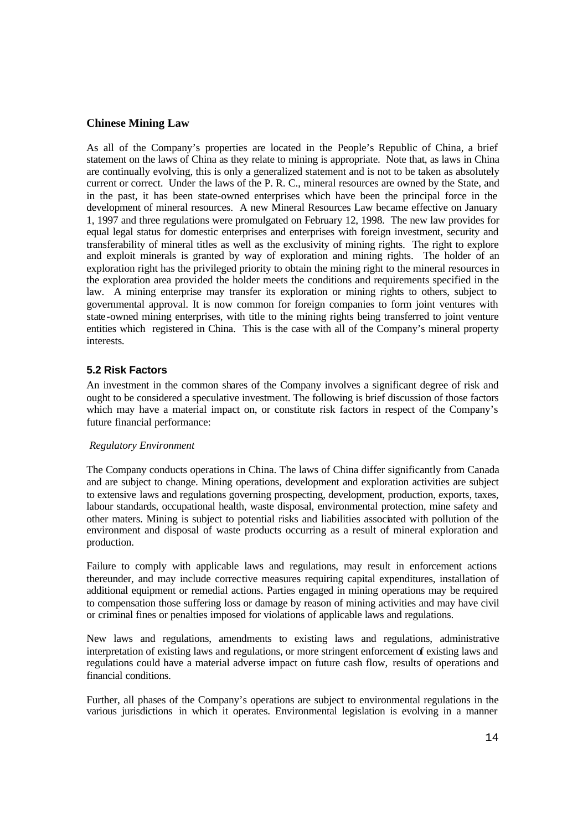# **Chinese Mining Law**

As all of the Company's properties are located in the People's Republic of China, a brief statement on the laws of China as they relate to mining is appropriate. Note that, as laws in China are continually evolving, this is only a generalized statement and is not to be taken as absolutely current or correct. Under the laws of the P. R. C., mineral resources are owned by the State, and in the past, it has been state-owned enterprises which have been the principal force in the development of mineral resources. A new Mineral Resources Law became effective on January 1, 1997 and three regulations were promulgated on February 12, 1998. The new law provides for equal legal status for domestic enterprises and enterprises with foreign investment, security and transferability of mineral titles as well as the exclusivity of mining rights. The right to explore and exploit minerals is granted by way of exploration and mining rights. The holder of an exploration right has the privileged priority to obtain the mining right to the mineral resources in the exploration area provided the holder meets the conditions and requirements specified in the law. A mining enterprise may transfer its exploration or mining rights to others, subject to governmental approval. It is now common for foreign companies to form joint ventures with state-owned mining enterprises, with title to the mining rights being transferred to joint venture entities which registered in China. This is the case with all of the Company's mineral property interests*.* 

# **5.2 Risk Factors**

An investment in the common shares of the Company involves a significant degree of risk and ought to be considered a speculative investment. The following is brief discussion of those factors which may have a material impact on, or constitute risk factors in respect of the Company's future financial performance:

# *Regulatory Environment*

The Company conducts operations in China. The laws of China differ significantly from Canada and are subject to change. Mining operations, development and exploration activities are subject to extensive laws and regulations governing prospecting, development, production, exports, taxes, labour standards, occupational health, waste disposal, environmental protection, mine safety and other maters. Mining is subject to potential risks and liabilities associated with pollution of the environment and disposal of waste products occurring as a result of mineral exploration and production.

Failure to comply with applicable laws and regulations, may result in enforcement actions thereunder, and may include corrective measures requiring capital expenditures, installation of additional equipment or remedial actions. Parties engaged in mining operations may be required to compensation those suffering loss or damage by reason of mining activities and may have civil or criminal fines or penalties imposed for violations of applicable laws and regulations.

New laws and regulations, amendments to existing laws and regulations, administrative interpretation of existing laws and regulations, or more stringent enforcement of existing laws and regulations could have a material adverse impact on future cash flow, results of operations and financial conditions.

Further, all phases of the Company's operations are subject to environmental regulations in the various jurisdictions in which it operates. Environmental legislation is evolving in a manner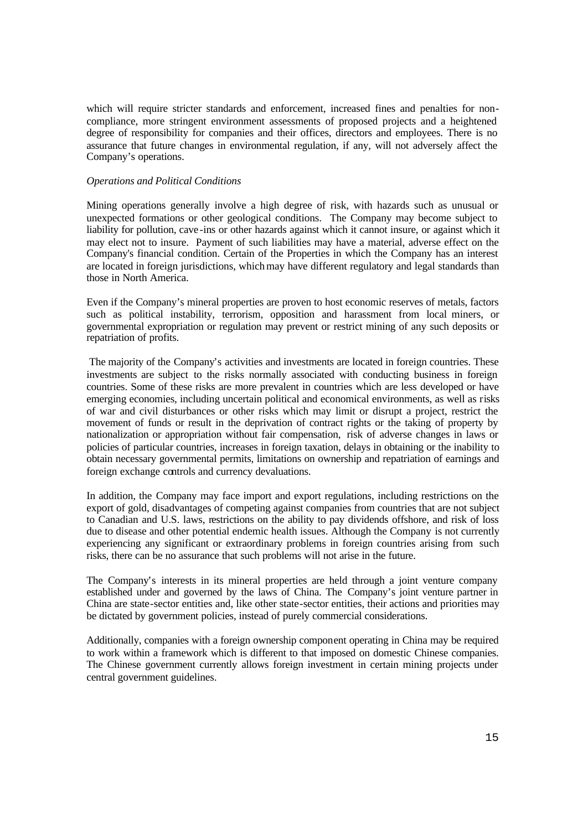which will require stricter standards and enforcement, increased fines and penalties for noncompliance, more stringent environment assessments of proposed projects and a heightened degree of responsibility for companies and their offices, directors and employees. There is no assurance that future changes in environmental regulation, if any, will not adversely affect the Company's operations.

#### *Operations and Political Conditions*

Mining operations generally involve a high degree of risk, with hazards such as unusual or unexpected formations or other geological conditions. The Company may become subject to liability for pollution, cave -ins or other hazards against which it cannot insure, or against which it may elect not to insure. Payment of such liabilities may have a material, adverse effect on the Company's financial condition. Certain of the Properties in which the Company has an interest are located in foreign jurisdictions, which may have different regulatory and legal standards than those in North America.

Even if the Company's mineral properties are proven to host economic reserves of metals, factors such as political instability, terrorism, opposition and harassment from local miners, or governmental expropriation or regulation may prevent or restrict mining of any such deposits or repatriation of profits.

 The majority of the Company's activities and investments are located in foreign countries. These investments are subject to the risks normally associated with conducting business in foreign countries. Some of these risks are more prevalent in countries which are less developed or have emerging economies, including uncertain political and economical environments, as well as risks of war and civil disturbances or other risks which may limit or disrupt a project, restrict the movement of funds or result in the deprivation of contract rights or the taking of property by nationalization or appropriation without fair compensation, risk of adverse changes in laws or policies of particular countries, increases in foreign taxation, delays in obtaining or the inability to obtain necessary governmental permits, limitations on ownership and repatriation of earnings and foreign exchange controls and currency devaluations.

In addition, the Company may face import and export regulations, including restrictions on the export of gold, disadvantages of competing against companies from countries that are not subject to Canadian and U.S. laws, restrictions on the ability to pay dividends offshore, and risk of loss due to disease and other potential endemic health issues. Although the Company is not currently experiencing any significant or extraordinary problems in foreign countries arising from such risks, there can be no assurance that such problems will not arise in the future.

The Company's interests in its mineral properties are held through a joint venture company established under and governed by the laws of China. The Company's joint venture partner in China are state-sector entities and, like other state-sector entities, their actions and priorities may be dictated by government policies, instead of purely commercial considerations.

Additionally, companies with a foreign ownership component operating in China may be required to work within a framework which is different to that imposed on domestic Chinese companies. The Chinese government currently allows foreign investment in certain mining projects under central government guidelines.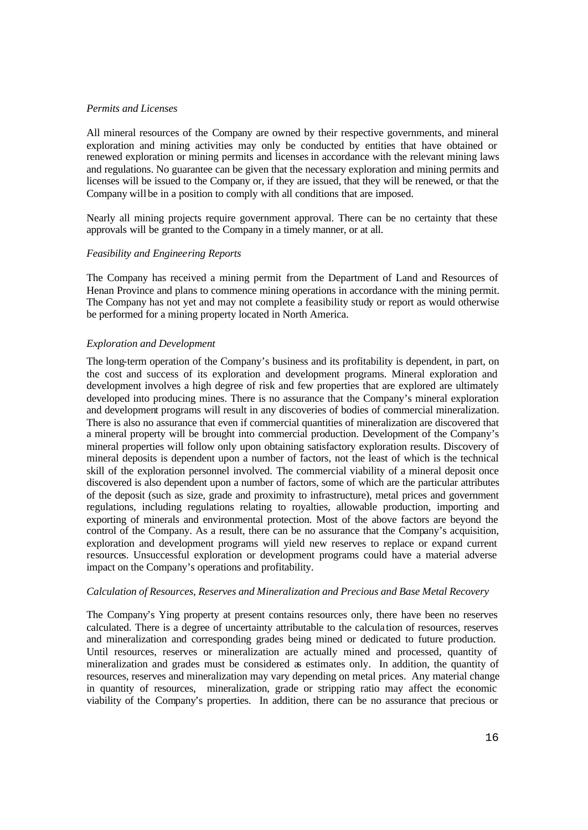#### *Permits and Licenses*

All mineral resources of the Company are owned by their respective governments, and mineral exploration and mining activities may only be conducted by entities that have obtained or renewed exploration or mining permits and licenses in accordance with the relevant mining laws and regulations. No guarantee can be given that the necessary exploration and mining permits and licenses will be issued to the Company or, if they are issued, that they will be renewed, or that the Company will be in a position to comply with all conditions that are imposed.

Nearly all mining projects require government approval. There can be no certainty that these approvals will be granted to the Company in a timely manner, or at all.

# *Feasibility and Engineering Reports*

The Company has received a mining permit from the Department of Land and Resources of Henan Province and plans to commence mining operations in accordance with the mining permit. The Company has not yet and may not complete a feasibility study or report as would otherwise be performed for a mining property located in North America.

# *Exploration and Development*

The long-term operation of the Company's business and its profitability is dependent, in part, on the cost and success of its exploration and development programs. Mineral exploration and development involves a high degree of risk and few properties that are explored are ultimately developed into producing mines. There is no assurance that the Company's mineral exploration and development programs will result in any discoveries of bodies of commercial mineralization. There is also no assurance that even if commercial quantities of mineralization are discovered that a mineral property will be brought into commercial production. Development of the Company's mineral properties will follow only upon obtaining satisfactory exploration results. Discovery of mineral deposits is dependent upon a number of factors, not the least of which is the technical skill of the exploration personnel involved. The commercial viability of a mineral deposit once discovered is also dependent upon a number of factors, some of which are the particular attributes of the deposit (such as size, grade and proximity to infrastructure), metal prices and government regulations, including regulations relating to royalties, allowable production, importing and exporting of minerals and environmental protection. Most of the above factors are beyond the control of the Company. As a result, there can be no assurance that the Company's acquisition, exploration and development programs will yield new reserves to replace or expand current resources. Unsuccessful exploration or development programs could have a material adverse impact on the Company's operations and profitability.

#### *Calculation of Resources, Reserves and Mineralization and Precious and Base Metal Recovery*

The Company's Ying property at present contains resources only, there have been no reserves calculated. There is a degree of uncertainty attributable to the calcula tion of resources, reserves and mineralization and corresponding grades being mined or dedicated to future production. Until resources, reserves or mineralization are actually mined and processed, quantity of mineralization and grades must be considered as estimates only. In addition, the quantity of resources, reserves and mineralization may vary depending on metal prices. Any material change in quantity of resources, mineralization, grade or stripping ratio may affect the economic viability of the Company's properties. In addition, there can be no assurance that precious or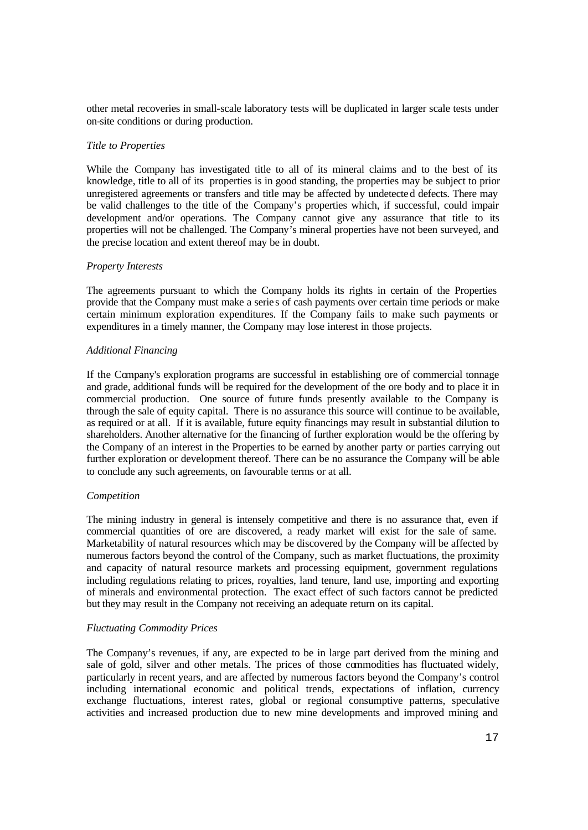other metal recoveries in small-scale laboratory tests will be duplicated in larger scale tests under on-site conditions or during production.

#### *Title to Properties*

While the Company has investigated title to all of its mineral claims and to the best of its knowledge, title to all of its properties is in good standing, the properties may be subject to prior unregistered agreements or transfers and title may be affected by undetecte d defects. There may be valid challenges to the title of the Company's properties which, if successful, could impair development and/or operations. The Company cannot give any assurance that title to its properties will not be challenged. The Company's mineral properties have not been surveyed, and the precise location and extent thereof may be in doubt.

#### *Property Interests*

The agreements pursuant to which the Company holds its rights in certain of the Properties provide that the Company must make a serie s of cash payments over certain time periods or make certain minimum exploration expenditures. If the Company fails to make such payments or expenditures in a timely manner, the Company may lose interest in those projects.

#### *Additional Financing*

If the Company's exploration programs are successful in establishing ore of commercial tonnage and grade, additional funds will be required for the development of the ore body and to place it in commercial production. One source of future funds presently available to the Company is through the sale of equity capital. There is no assurance this source will continue to be available, as required or at all. If it is available, future equity financings may result in substantial dilution to shareholders. Another alternative for the financing of further exploration would be the offering by the Company of an interest in the Properties to be earned by another party or parties carrying out further exploration or development thereof. There can be no assurance the Company will be able to conclude any such agreements, on favourable terms or at all.

#### *Competition*

The mining industry in general is intensely competitive and there is no assurance that, even if commercial quantities of ore are discovered, a ready market will exist for the sale of same. Marketability of natural resources which may be discovered by the Company will be affected by numerous factors beyond the control of the Company, such as market fluctuations, the proximity and capacity of natural resource markets and processing equipment, government regulations including regulations relating to prices, royalties, land tenure, land use, importing and exporting of minerals and environmental protection. The exact effect of such factors cannot be predicted but they may result in the Company not receiving an adequate return on its capital.

#### *Fluctuating Commodity Prices*

The Company's revenues, if any, are expected to be in large part derived from the mining and sale of gold, silver and other metals. The prices of those commodities has fluctuated widely, particularly in recent years, and are affected by numerous factors beyond the Company's control including international economic and political trends, expectations of inflation, currency exchange fluctuations, interest rates, global or regional consumptive patterns, speculative activities and increased production due to new mine developments and improved mining and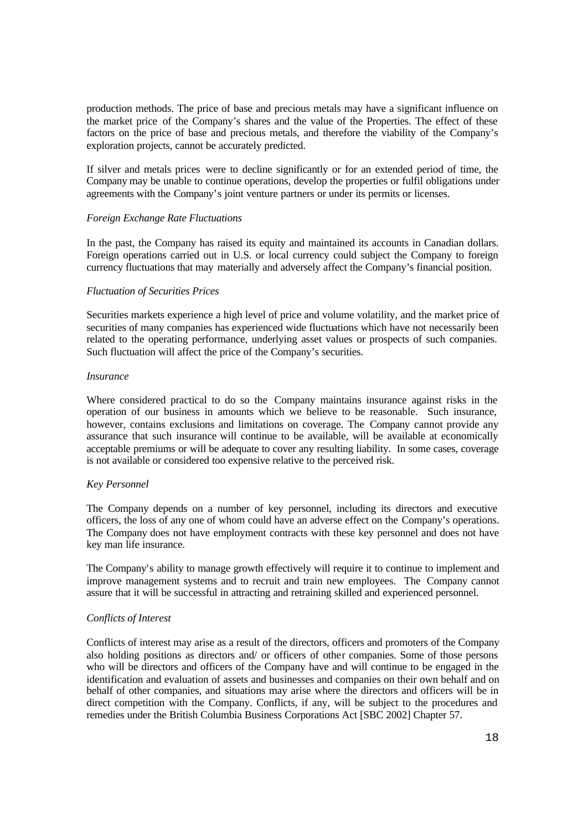production methods. The price of base and precious metals may have a significant influence on the market price of the Company's shares and the value of the Properties. The effect of these factors on the price of base and precious metals, and therefore the viability of the Company's exploration projects, cannot be accurately predicted.

If silver and metals prices were to decline significantly or for an extended period of time, the Company may be unable to continue operations, develop the properties or fulfil obligations under agreements with the Company's joint venture partners or under its permits or licenses.

#### *Foreign Exchange Rate Fluctuations*

In the past, the Company has raised its equity and maintained its accounts in Canadian dollars. Foreign operations carried out in U.S. or local currency could subject the Company to foreign currency fluctuations that may materially and adversely affect the Company's financial position.

#### *Fluctuation of Securities Prices*

Securities markets experience a high level of price and volume volatility, and the market price of securities of many companies has experienced wide fluctuations which have not necessarily been related to the operating performance, underlying asset values or prospects of such companies. Such fluctuation will affect the price of the Company's securities.

#### *Insurance*

Where considered practical to do so the Company maintains insurance against risks in the operation of our business in amounts which we believe to be reasonable. Such insurance, however, contains exclusions and limitations on coverage. The Company cannot provide any assurance that such insurance will continue to be available, will be available at economically acceptable premiums or will be adequate to cover any resulting liability. In some cases, coverage is not available or considered too expensive relative to the perceived risk.

#### *Key Personnel*

The Company depends on a number of key personnel, including its directors and executive officers, the loss of any one of whom could have an adverse effect on the Company's operations. The Company does not have employment contracts with these key personnel and does not have key man life insurance.

The Company's ability to manage growth effectively will require it to continue to implement and improve management systems and to recruit and train new employees. The Company cannot assure that it will be successful in attracting and retraining skilled and experienced personnel.

#### *Conflicts of Interest*

Conflicts of interest may arise as a result of the directors, officers and promoters of the Company also holding positions as directors and/ or officers of other companies. Some of those persons who will be directors and officers of the Company have and will continue to be engaged in the identification and evaluation of assets and businesses and companies on their own behalf and on behalf of other companies, and situations may arise where the directors and officers will be in direct competition with the Company. Conflicts, if any, will be subject to the procedures and remedies under the British Columbia Business Corporations Act [SBC 2002] Chapter 57.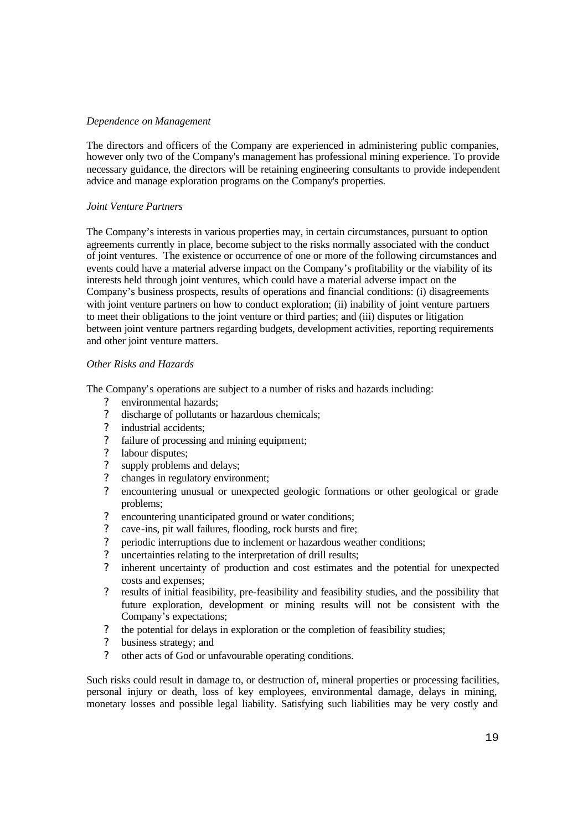# *Dependence on Management*

The directors and officers of the Company are experienced in administering public companies, however only two of the Company's management has professional mining experience. To provide necessary guidance, the directors will be retaining engineering consultants to provide independent advice and manage exploration programs on the Company's properties.

# *Joint Venture Partners*

The Company's interests in various properties may, in certain circumstances, pursuant to option agreements currently in place, become subject to the risks normally associated with the conduct of joint ventures. The existence or occurrence of one or more of the following circumstances and events could have a material adverse impact on the Company's profitability or the viability of its interests held through joint ventures, which could have a material adverse impact on the Company's business prospects, results of operations and financial conditions: (i) disagreements with joint venture partners on how to conduct exploration; (ii) inability of joint venture partners to meet their obligations to the joint venture or third parties; and (iii) disputes or litigation between joint venture partners regarding budgets, development activities, reporting requirements and other joint venture matters.

# *Other Risks and Hazards*

The Company's operations are subject to a number of risks and hazards including:

- ? environmental hazards;
- ? discharge of pollutants or hazardous chemicals;
- ? industrial accidents;
- ? failure of processing and mining equipment;
- ? labour disputes;
- ? supply problems and delays;
- ? changes in regulatory environment;
- ? encountering unusual or unexpected geologic formations or other geological or grade problems;
- ? encountering unanticipated ground or water conditions;
- ? cave-ins, pit wall failures, flooding, rock bursts and fire;
- ? periodic interruptions due to inclement or hazardous weather conditions;
- ? uncertainties relating to the interpretation of drill results;
- ? inherent uncertainty of production and cost estimates and the potential for unexpected costs and expenses;
- ? results of initial feasibility, pre-feasibility and feasibility studies, and the possibility that future exploration, development or mining results will not be consistent with the Company's expectations;
- ? the potential for delays in exploration or the completion of feasibility studies;
- ? business strategy; and
- ? other acts of God or unfavourable operating conditions.

Such risks could result in damage to, or destruction of, mineral properties or processing facilities, personal injury or death, loss of key employees, environmental damage, delays in mining, monetary losses and possible legal liability. Satisfying such liabilities may be very costly and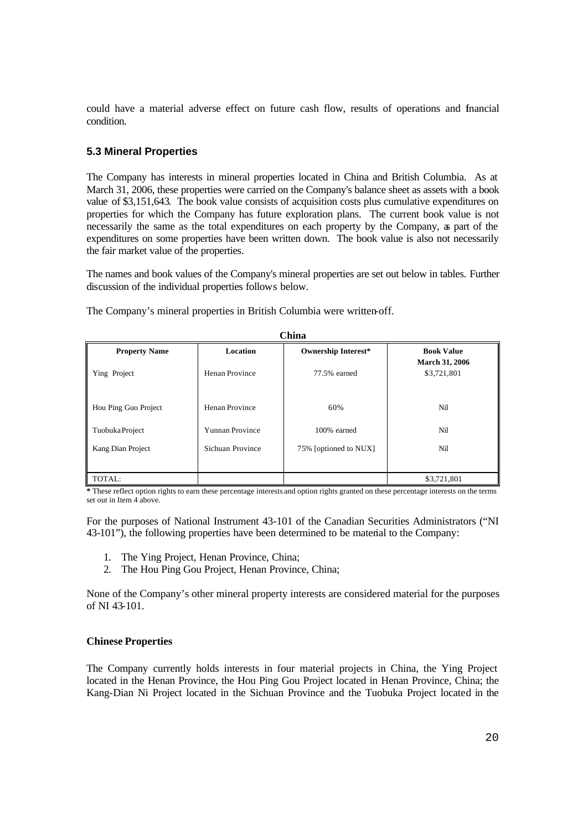could have a material adverse effect on future cash flow, results of operations and financial condition.

# **5.3 Mineral Properties**

The Company has interests in mineral properties located in China and British Columbia. As at March 31, 2006, these properties were carried on the Company's balance sheet as assets with a book value of \$3,151,643. The book value consists of acquisition costs plus cumulative expenditures on properties for which the Company has future exploration plans. The current book value is not necessarily the same as the total expenditures on each property by the Company, as part of the expenditures on some properties have been written down. The book value is also not necessarily the fair market value of the properties.

The names and book values of the Company's mineral properties are set out below in tables. Further discussion of the individual properties follows below.

| The Company's mineral properties in British Columbia were written-off. |  |
|------------------------------------------------------------------------|--|
|------------------------------------------------------------------------|--|

| China                |                  |                            |                                            |  |  |  |
|----------------------|------------------|----------------------------|--------------------------------------------|--|--|--|
| <b>Property Name</b> | Location         | <b>Ownership Interest*</b> | <b>Book Value</b><br><b>March 31, 2006</b> |  |  |  |
| Ying Project         | Henan Province   | 77.5% earned               | \$3,721,801                                |  |  |  |
| Hou Ping Guo Project | Henan Province   | 60%                        | Nil                                        |  |  |  |
| Tuobuka Project      | Yunnan Province  | 100% earned                | Nil                                        |  |  |  |
| Kang Dian Project    | Sichuan Province | 75% [optioned to NUX]      | Nil                                        |  |  |  |
| TOTAL:               |                  |                            | \$3,721,801                                |  |  |  |

**\*** These reflect option rights to earn these percentage interests and option rights granted on these percentage interests on the terms set out in Item 4 above.

For the purposes of National Instrument 43-101 of the Canadian Securities Administrators ("NI 43-101"), the following properties have been determined to be material to the Company:

- 1. The Ying Project, Henan Province, China;
- 2. The Hou Ping Gou Project, Henan Province, China;

None of the Company's other mineral property interests are considered material for the purposes of NI 43-101.

#### **Chinese Properties**

The Company currently holds interests in four material projects in China, the Ying Project located in the Henan Province, the Hou Ping Gou Project located in Henan Province, China; the Kang-Dian Ni Project located in the Sichuan Province and the Tuobuka Project located in the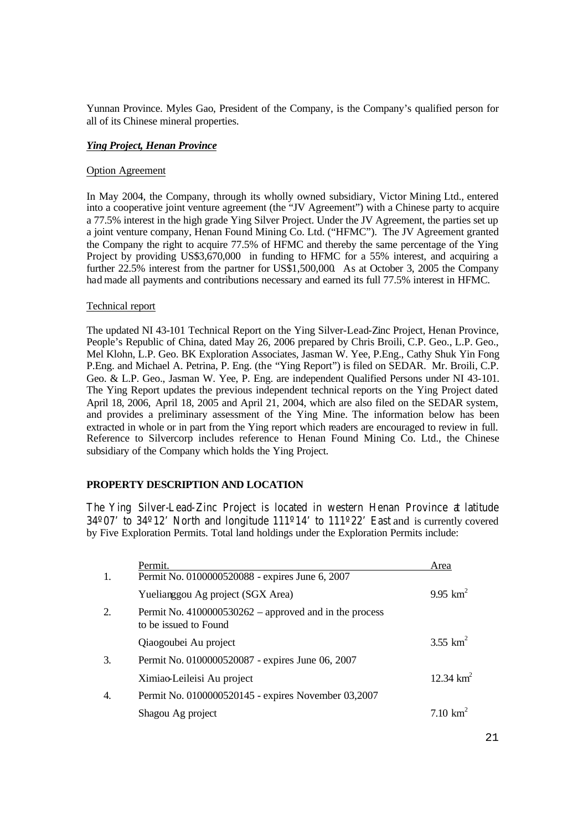Yunnan Province. Myles Gao, President of the Company, is the Company's qualified person for all of its Chinese mineral properties.

# *Ying Project, Henan Province*

#### Option Agreement

In May 2004, the Company, through its wholly owned subsidiary, Victor Mining Ltd., entered into a cooperative joint venture agreement (the "JV Agreement") with a Chinese party to acquire a 77.5% interest in the high grade Ying Silver Project. Under the JV Agreement, the parties set up a joint venture company, Henan Found Mining Co. Ltd. ("HFMC"). The JV Agreement granted the Company the right to acquire 77.5% of HFMC and thereby the same percentage of the Ying Project by providing US\$3,670,000 in funding to HFMC for a 55% interest, and acquiring a further 22.5% interest from the partner for US\$1,500,000. As at October 3, 2005 the Company had made all payments and contributions necessary and earned its full 77.5% interest in HFMC.

#### Technical report

The updated NI 43-101 Technical Report on the Ying Silver-Lead-Zinc Project, Henan Province, People's Republic of China, dated May 26, 2006 prepared by Chris Broili, C.P. Geo., L.P. Geo., Mel Klohn, L.P. Geo. BK Exploration Associates, Jasman W. Yee, P.Eng., Cathy Shuk Yin Fong P.Eng. and Michael A. Petrina, P. Eng. (the "Ying Report") is filed on SEDAR. Mr. Broili, C.P. Geo. & L.P. Geo., Jasman W. Yee, P. Eng. are independent Qualified Persons under NI 43-101. The Ying Report updates the previous independent technical reports on the Ying Project dated April 18, 2006, April 18, 2005 and April 21, 2004, which are also filed on the SEDAR system, and provides a preliminary assessment of the Ying Mine. The information below has been extracted in whole or in part from the Ying report which readers are encouraged to review in full. Reference to Silvercorp includes reference to Henan Found Mining Co. Ltd., the Chinese subsidiary of the Company which holds the Ying Project.

# **PROPERTY DESCRIPTION AND LOCATION**

The Ying Silver-Lead-Zinc Project is located in western Henan Province at latitude 34º07' to 34º12' North and longitude 111º14' to 111º22' East and is currently covered by Five Exploration Permits. Total land holdings under the Exploration Permits include:

|    | Permit.                                                                           | Area         |
|----|-----------------------------------------------------------------------------------|--------------|
| 1. | Permit No. 0100000520088 - expires June 6, 2007                                   |              |
|    | Yuelianggou Ag project (SGX Area)                                                 | 9.95 $km^2$  |
| 2. | Permit No. $4100000530262$ – approved and in the process<br>to be issued to Found |              |
|    | Qiaogoubei Au project                                                             | 3.55 $km^2$  |
| 3. | Permit No. 0100000520087 - expires June 06, 2007                                  |              |
|    | Ximiao-Leileisi Au project                                                        | 12.34 $km^2$ |
| 4. | Permit No. 0100000520145 - expires November 03,2007                               |              |
|    | Shagou Ag project                                                                 | 7.10 $km^2$  |
|    |                                                                                   |              |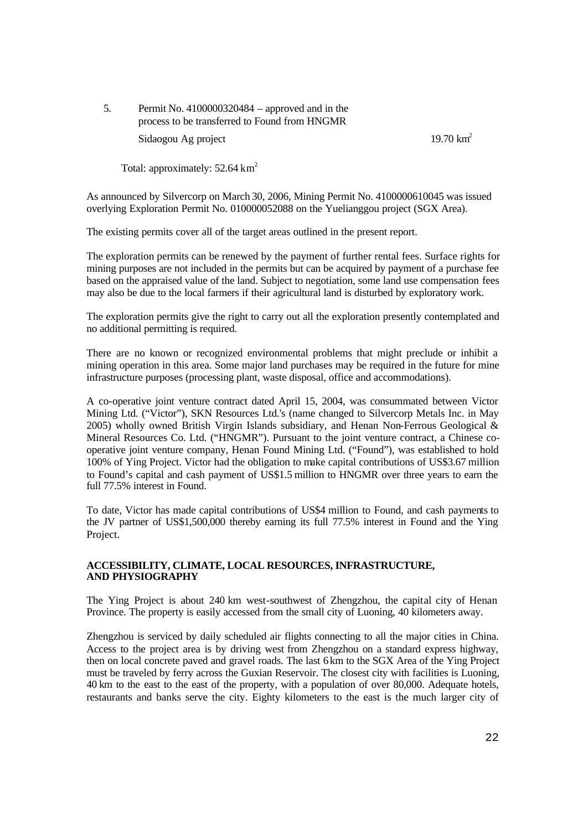5. Permit No. 4100000320484 – approved and in the process to be transferred to Found from HNGMR Sidaogou Ag project 19.70 km<sup>2</sup>

Total: approximately: 52.64 km<sup>2</sup>

As announced by Silvercorp on March 30, 2006, Mining Permit No. 4100000610045 was issued overlying Exploration Permit No. 010000052088 on the Yuelianggou project (SGX Area).

The existing permits cover all of the target areas outlined in the present report.

The exploration permits can be renewed by the payment of further rental fees. Surface rights for mining purposes are not included in the permits but can be acquired by payment of a purchase fee based on the appraised value of the land. Subject to negotiation, some land use compensation fees may also be due to the local farmers if their agricultural land is disturbed by exploratory work.

The exploration permits give the right to carry out all the exploration presently contemplated and no additional permitting is required.

There are no known or recognized environmental problems that might preclude or inhibit a mining operation in this area. Some major land purchases may be required in the future for mine infrastructure purposes (processing plant, waste disposal, office and accommodations).

A co-operative joint venture contract dated April 15, 2004, was consummated between Victor Mining Ltd. ("Victor"), SKN Resources Ltd.'s (name changed to Silvercorp Metals Inc. in May 2005) wholly owned British Virgin Islands subsidiary, and Henan Non-Ferrous Geological & Mineral Resources Co. Ltd. ("HNGMR"). Pursuant to the joint venture contract, a Chinese cooperative joint venture company, Henan Found Mining Ltd. ("Found"), was established to hold 100% of Ying Project. Victor had the obligation to make capital contributions of US\$3.67 million to Found's capital and cash payment of US\$1.5 million to HNGMR over three years to earn the full 77.5% interest in Found.

To date, Victor has made capital contributions of US\$4 million to Found, and cash payments to the JV partner of US\$1,500,000 thereby earning its full 77.5% interest in Found and the Ying Project.

#### **ACCESSIBILITY, CLIMATE, LOCAL RESOURCES, INFRASTRUCTURE, AND PHYSIOGRAPHY**

The Ying Project is about 240 km west-southwest of Zhengzhou, the capital city of Henan Province. The property is easily accessed from the small city of Luoning, 40 kilometers away.

Zhengzhou is serviced by daily scheduled air flights connecting to all the major cities in China. Access to the project area is by driving west from Zhengzhou on a standard express highway, then on local concrete paved and gravel roads. The last 6 km to the SGX Area of the Ying Project must be traveled by ferry across the Guxian Reservoir. The closest city with facilities is Luoning, 40 km to the east to the east of the property, with a population of over 80,000. Adequate hotels, restaurants and banks serve the city. Eighty kilometers to the east is the much larger city of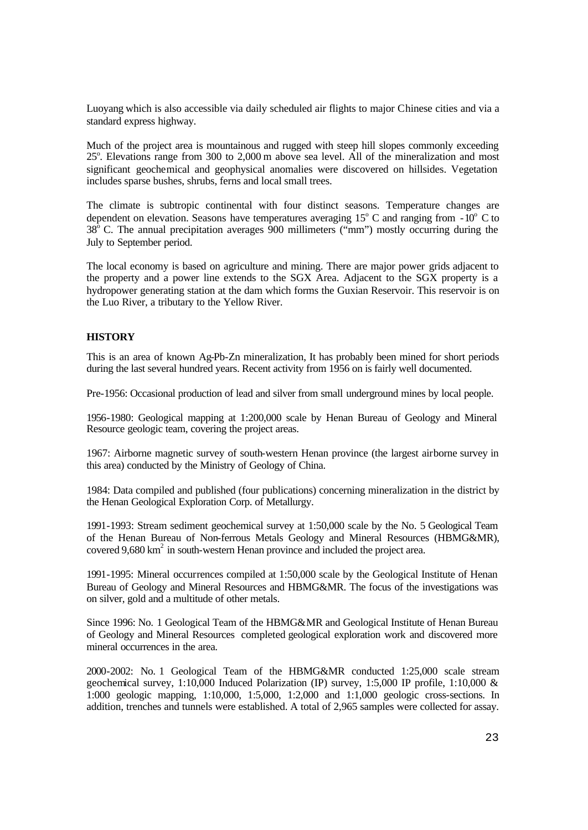Luoyang which is also accessible via daily scheduled air flights to major Chinese cities and via a standard express highway.

Much of the project area is mountainous and rugged with steep hill slopes commonly exceeding 25°. Elevations range from 300 to 2,000 m above sea level. All of the mineralization and most significant geochemical and geophysical anomalies were discovered on hillsides. Vegetation includes sparse bushes, shrubs, ferns and local small trees.

The climate is subtropic continental with four distinct seasons. Temperature changes are dependent on elevation. Seasons have temperatures averaging  $15^{\circ}$  C and ranging from  $-10^{\circ}$  C to  $38^{\circ}$  C. The annual precipitation averages 900 millimeters ("mm") mostly occurring during the July to September period.

The local economy is based on agriculture and mining. There are major power grids adjacent to the property and a power line extends to the SGX Area. Adjacent to the SGX property is a hydropower generating station at the dam which forms the Guxian Reservoir. This reservoir is on the Luo River, a tributary to the Yellow River.

#### **HISTORY**

This is an area of known Ag-Pb-Zn mineralization, It has probably been mined for short periods during the last several hundred years. Recent activity from 1956 on is fairly well documented.

Pre-1956: Occasional production of lead and silver from small underground mines by local people.

1956-1980: Geological mapping at 1:200,000 scale by Henan Bureau of Geology and Mineral Resource geologic team, covering the project areas.

1967: Airborne magnetic survey of south-western Henan province (the largest airborne survey in this area) conducted by the Ministry of Geology of China.

1984: Data compiled and published (four publications) concerning mineralization in the district by the Henan Geological Exploration Corp. of Metallurgy.

1991-1993: Stream sediment geochemical survey at 1:50,000 scale by the No. 5 Geological Team of the Henan Bureau of Non-ferrous Metals Geology and Mineral Resources (HBMG&MR), covered  $9,680 \text{ km}^2$  in south-western Henan province and included the project area.

1991-1995: Mineral occurrences compiled at 1:50,000 scale by the Geological Institute of Henan Bureau of Geology and Mineral Resources and HBMG&MR. The focus of the investigations was on silver, gold and a multitude of other metals.

Since 1996: No. 1 Geological Team of the HBMG&MR and Geological Institute of Henan Bureau of Geology and Mineral Resources completed geological exploration work and discovered more mineral occurrences in the area.

2000-2002: No. 1 Geological Team of the HBMG&MR conducted 1:25,000 scale stream geochemical survey, 1:10,000 Induced Polarization (IP) survey, 1:5,000 IP profile, 1:10,000 & 1:000 geologic mapping, 1:10,000, 1:5,000, 1:2,000 and 1:1,000 geologic cross-sections. In addition, trenches and tunnels were established. A total of 2,965 samples were collected for assay.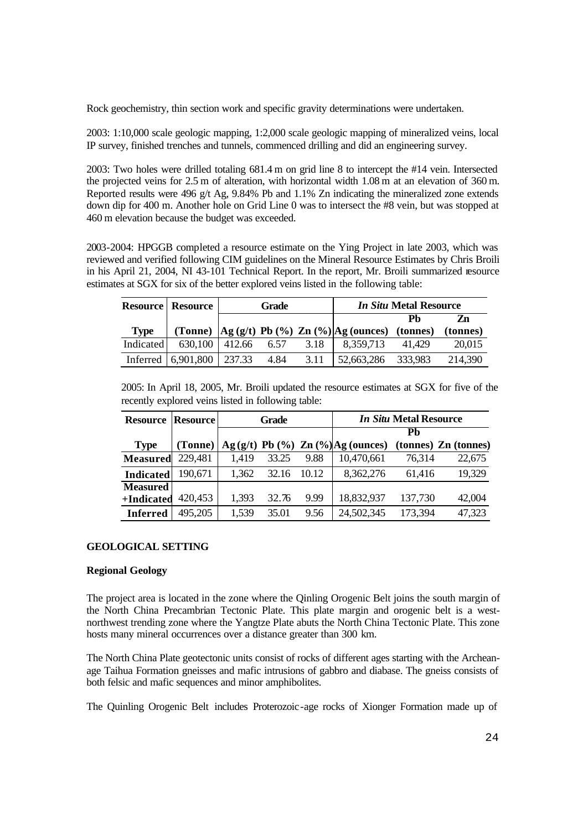Rock geochemistry, thin section work and specific gravity determinations were undertaken.

2003: 1:10,000 scale geologic mapping, 1:2,000 scale geologic mapping of mineralized veins, local IP survey, finished trenches and tunnels, commenced drilling and did an engineering survey.

2003: Two holes were drilled totaling 681.4 m on grid line 8 to intercept the #14 vein. Intersected the projected veins for 2.5 m of alteration, with horizontal width 1.08 m at an elevation of 360 m. Reported results were 496 g/t Ag, 9.84% Pb and 1.1% Zn indicating the mineralized zone extends down dip for 400 m. Another hole on Grid Line 0 was to intersect the #8 vein, but was stopped at 460 m elevation because the budget was exceeded.

2003-2004: HPGGB completed a resource estimate on the Ying Project in late 2003, which was reviewed and verified following CIM guidelines on the Mineral Resource Estimates by Chris Broili in his April 21, 2004, NI 43-101 Technical Report. In the report, Mr. Broili summarized resource estimates at SGX for six of the better explored veins listed in the following table:

|             | <b>Resource   Resource</b> | Grade |      |      |                                                                                                         | <i>In Situ Metal Resource</i> |          |
|-------------|----------------------------|-------|------|------|---------------------------------------------------------------------------------------------------------|-------------------------------|----------|
|             |                            |       |      |      |                                                                                                         |                               | Zn       |
| <b>Type</b> |                            |       |      |      | (Tonne) $\left  \text{Ag}(g/t) \text{ Pb}(\%) \text{ Zn}(\%) \right  \text{Ag}(\text{ounces})$ (tonnes) |                               | (tonnes) |
| Indicated   | $630,100$ 412.66           |       | 6.57 | 3.18 | 8,359,713                                                                                               | 41.429                        | 20,015   |
|             | Inferred 6,901,800 237.33  |       | 4.84 | 3.11 | 52,663,286                                                                                              | 333,983                       | 214,390  |

2005: In April 18, 2005, Mr. Broili updated the resource estimates at SGX for five of the recently explored veins listed in following table:

| <b>Resource</b>  | <b>Resource</b> | Grade |       |       |                                         | <i>In Situ Metal Resource</i> |                      |
|------------------|-----------------|-------|-------|-------|-----------------------------------------|-------------------------------|----------------------|
|                  |                 |       |       |       |                                         | Ph                            |                      |
| <b>Type</b>      | (Tonne)         |       |       |       | $Ag(g/t)$ Pb $(\%)$ Zn $(\%)Ag(ounces)$ |                               | (tonnes) Zn (tonnes) |
| <b>Measured</b>  | 229,481         | 1,419 | 33.25 | 9.88  | 10,470,661                              | 76,314                        | 22,675               |
| <b>Indicated</b> | 190,671         | 1,362 | 32.16 | 10.12 | 8,362,276                               | 61.416                        | 19,329               |
| <b>Measured</b>  |                 |       |       |       |                                         |                               |                      |
| +Indicated       | 420,453         | 1,393 | 32.76 | 9.99  | 18,832,937                              | 137,730                       | 42,004               |
| <b>Inferred</b>  | 495,205         | 1,539 | 35.01 | 9.56  | 24,502,345                              | 173,394                       | 47,323               |

#### **GEOLOGICAL SETTING**

#### **Regional Geology**

The project area is located in the zone where the Qinling Orogenic Belt joins the south margin of the North China Precambrian Tectonic Plate. This plate margin and orogenic belt is a westnorthwest trending zone where the Yangtze Plate abuts the North China Tectonic Plate. This zone hosts many mineral occurrences over a distance greater than 300 km.

The North China Plate geotectonic units consist of rocks of different ages starting with the Archeanage Taihua Formation gneisses and mafic intrusions of gabbro and diabase. The gneiss consists of both felsic and mafic sequences and minor amphibolites.

The Quinling Orogenic Belt includes Proterozoic-age rocks of Xionger Formation made up of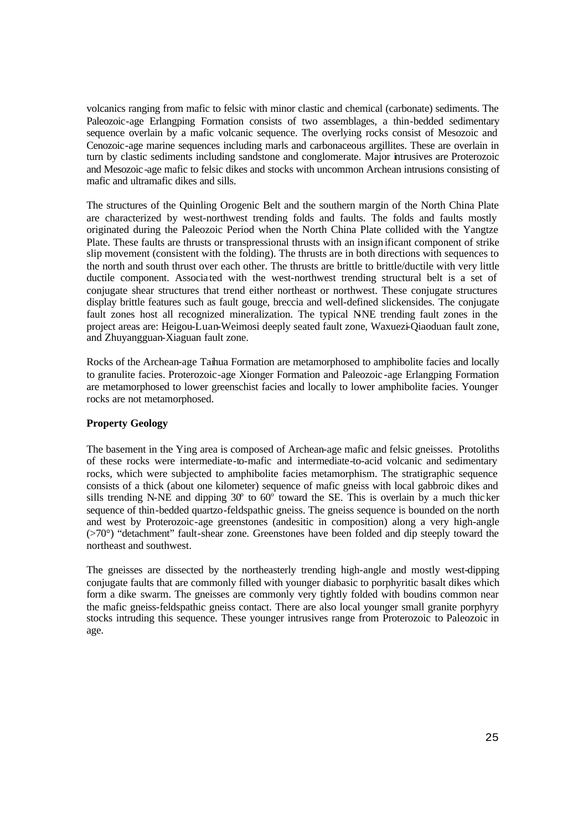volcanics ranging from mafic to felsic with minor clastic and chemical (carbonate) sediments. The Paleozoic-age Erlangping Formation consists of two assemblages, a thin-bedded sedimentary sequence overlain by a mafic volcanic sequence. The overlying rocks consist of Mesozoic and Cenozoic-age marine sequences including marls and carbonaceous argillites. These are overlain in turn by clastic sediments including sandstone and conglomerate. Major intrusives are Proterozoic and Mesozoic-age mafic to felsic dikes and stocks with uncommon Archean intrusions consisting of mafic and ultramafic dikes and sills.

The structures of the Quinling Orogenic Belt and the southern margin of the North China Plate are characterized by west-northwest trending folds and faults. The folds and faults mostly originated during the Paleozoic Period when the North China Plate collided with the Yangtze Plate. These faults are thrusts or transpressional thrusts with an insign ificant component of strike slip movement (consistent with the folding). The thrusts are in both directions with sequences to the north and south thrust over each other. The thrusts are brittle to brittle/ductile with very little ductile component. Associa ted with the west-northwest trending structural belt is a set of conjugate shear structures that trend either northeast or northwest. These conjugate structures display brittle features such as fault gouge, breccia and well-defined slickensides. The conjugate fault zones host all recognized mineralization. The typical NNE trending fault zones in the project areas are: Heigou-Luan-Weimosi deeply seated fault zone, Waxuezi-Qiaoduan fault zone, and Zhuyangguan-Xiaguan fault zone.

Rocks of the Archean-age Taihua Formation are metamorphosed to amphibolite facies and locally to granulite facies. Proterozoic-age Xionger Formation and Paleozoic -age Erlangping Formation are metamorphosed to lower greenschist facies and locally to lower amphibolite facies. Younger rocks are not metamorphosed.

# **Property Geology**

The basement in the Ying area is composed of Archean-age mafic and felsic gneisses. Protoliths of these rocks were intermediate-to-mafic and intermediate-to-acid volcanic and sedimentary rocks, which were subjected to amphibolite facies metamorphism. The stratigraphic sequence consists of a thick (about one kilometer) sequence of mafic gneiss with local gabbroic dikes and sills trending N-NE and dipping  $30^{\circ}$  to  $60^{\circ}$  toward the SE. This is overlain by a much thicker sequence of thin-bedded quartzo-feldspathic gneiss. The gneiss sequence is bounded on the north and west by Proterozoic-age greenstones (andesitic in composition) along a very high-angle (>70°) "detachment" fault-shear zone. Greenstones have been folded and dip steeply toward the northeast and southwest.

The gneisses are dissected by the northeasterly trending high-angle and mostly west-dipping conjugate faults that are commonly filled with younger diabasic to porphyritic basalt dikes which form a dike swarm. The gneisses are commonly very tightly folded with boudins common near the mafic gneiss-feldspathic gneiss contact. There are also local younger small granite porphyry stocks intruding this sequence. These younger intrusives range from Proterozoic to Paleozoic in age.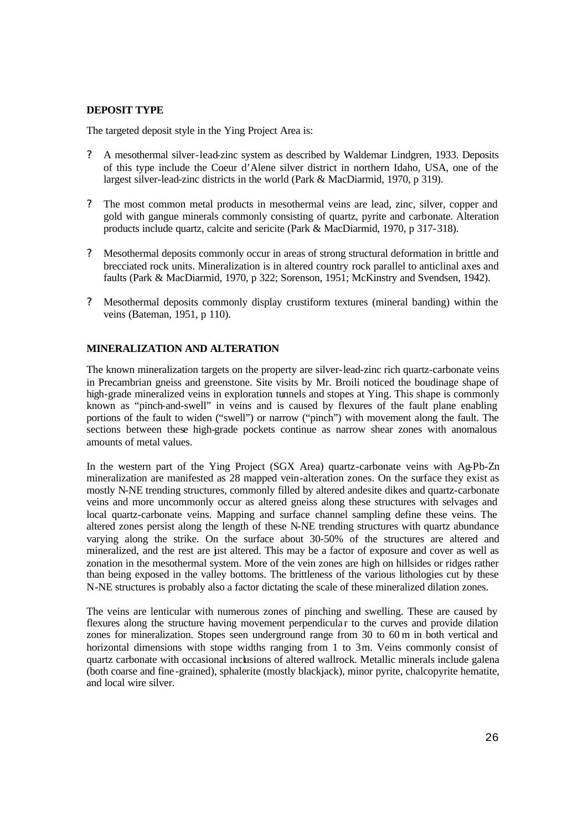# **DEPOSIT TYPE**

The targeted deposit style in the Ying Project Area is:

- ? A mesothermal silver-lead-zinc system as described by Waldemar Lindgren, 1933. Deposits of this type include the Coeur d'Alene silver district in northern Idaho, USA, one of the largest silver-lead-zinc districts in the world (Park & MacDiarmid, 1970, p 319).
- ? The most common metal products in mesothermal veins are lead, zinc, silver, copper and gold with gangue minerals commonly consisting of quartz, pyrite and carbonate. Alteration products include quartz, calcite and sericite (Park & MacDiarmid, 1970, p 317-318).
- ? Mesothermal deposits commonly occur in areas of strong structural deformation in brittle and brecciated rock units. Mineralization is in altered country rock parallel to anticlinal axes and faults (Park & MacDiarmid, 1970, p 322; Sorenson, 1951; McKinstry and Svendsen, 1942).
- ? Mesothermal deposits commonly display crustiform textures (mineral banding) within the veins (Bateman, 1951, p 110).

#### **MINERALIZATION AND ALTERATION**

The known mineralization targets on the property are silver-lead-zinc rich quartz-carbonate veins in Precambrian gneiss and greenstone. Site visits by Mr. Broili noticed the boudinage shape of high-grade mineralized veins in exploration tunnels and stopes at Ying. This shape is commonly known as "pinch-and-swell" in veins and is caused by flexures of the fault plane enabling portions of the fault to widen ("swell") or narrow ("pinch") with movement along the fault. The sections between these high-grade pockets continue as narrow shear zones with anomalous amounts of metal values.

In the western part of the Ying Project (SGX Area) quartz-carbonate veins with Ag-Pb-Zn mineralization are manifested as 28 mapped vein-alteration zones. On the surface they exist as mostly N-NE trending structures, commonly filled by altered andesite dikes and quartz-carbonate veins and more uncommonly occur as altered gneiss along these structures with selvages and local quartz-carbonate veins. Mapping and surface channel sampling define these veins. The altered zones persist along the length of these N-NE trending structures with quartz abundance varying along the strike. On the surface about 30-50% of the structures are altered and mineralized, and the rest are just altered. This may be a factor of exposure and cover as well as zonation in the mesothermal system. More of the vein zones are high on hillsides or ridges rather than being exposed in the valley bottoms. The brittleness of the various lithologies cut by these N-NE structures is probably also a factor dictating the scale of these mineralized dilation zones.

The veins are lenticular with numerous zones of pinching and swelling. These are caused by flexures along the structure having movement perpendicula r to the curves and provide dilation zones for mineralization. Stopes seen underground range from 30 to 60 m in both vertical and horizontal dimensions with stope widths ranging from 1 to 3m. Veins commonly consist of quartz carbonate with occasional inclusions of altered wallrock. Metallic minerals include galena (both coarse and fine -grained), sphalerite (mostly blackjack), minor pyrite, chalcopyrite hematite, and local wire silver.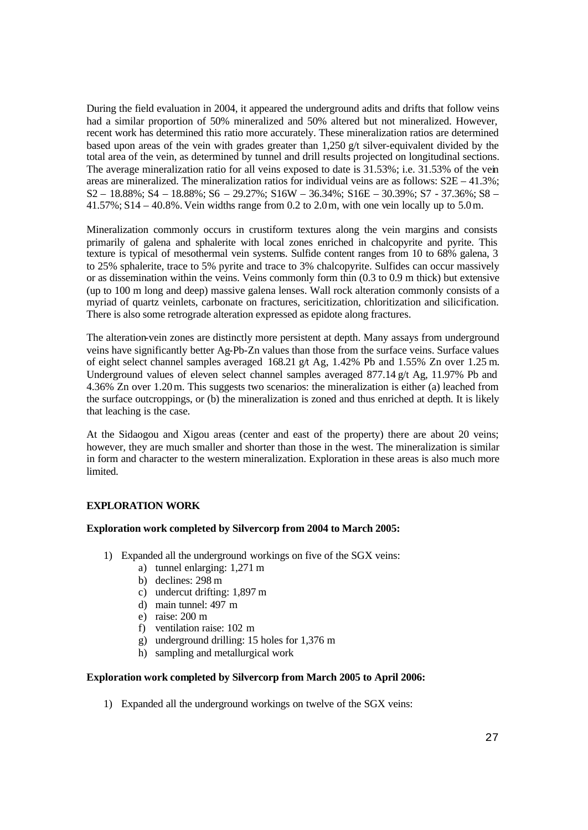During the field evaluation in 2004, it appeared the underground adits and drifts that follow veins had a similar proportion of 50% mineralized and 50% altered but not mineralized. However, recent work has determined this ratio more accurately. These mineralization ratios are determined based upon areas of the vein with grades greater than 1,250 g/t silver-equivalent divided by the total area of the vein, as determined by tunnel and drill results projected on longitudinal sections. The average mineralization ratio for all veins exposed to date is 31.53%; i.e. 31.53% of the vein areas are mineralized. The mineralization ratios for individual veins are as follows:  $S2E - 41.3\%$ ; S2 – 18.88%; S4 – 18.88%; S6 – 29.27%; S16W – 36.34%; S16E – 30.39%; S7 - 37.36%; S8 – 41.57%; S14 – 40.8%. Vein widths range from 0.2 to 2.0m, with one vein locally up to 5.0m.

Mineralization commonly occurs in crustiform textures along the vein margins and consists primarily of galena and sphalerite with local zones enriched in chalcopyrite and pyrite. This texture is typical of mesothermal vein systems. Sulfide content ranges from 10 to 68% galena, 3 to 25% sphalerite, trace to 5% pyrite and trace to 3% chalcopyrite. Sulfides can occur massively or as dissemination within the veins. Veins commonly form thin (0.3 to 0.9 m thick) but extensive (up to 100 m long and deep) massive galena lenses. Wall rock alteration commonly consists of a myriad of quartz veinlets, carbonate on fractures, sericitization, chloritization and silicification. There is also some retrograde alteration expressed as epidote along fractures.

The alteration-vein zones are distinctly more persistent at depth. Many assays from underground veins have significantly better Ag-Pb-Zn values than those from the surface veins. Surface values of eight select channel samples averaged  $168.21$  g/t Ag,  $1.42\%$  Pb and  $1.55\%$  Zn over 1.25 m. Underground values of eleven select channel samples averaged  $877.14$  g/t Ag, 11.97% Pb and 4.36% Zn over 1.20m. This suggests two scenarios: the mineralization is either (a) leached from the surface outcroppings, or (b) the mineralization is zoned and thus enriched at depth. It is likely that leaching is the case.

At the Sidaogou and Xigou areas (center and east of the property) there are about 20 veins; however, they are much smaller and shorter than those in the west. The mineralization is similar in form and character to the western mineralization. Exploration in these areas is also much more **limited** 

# **EXPLORATION WORK**

#### **Exploration work completed by Silvercorp from 2004 to March 2005:**

- 1) Expanded all the underground workings on five of the SGX veins:
	- a) tunnel enlarging: 1,271 m
	- b) declines: 298 m
	- c) undercut drifting: 1,897 m
	- d) main tunnel: 497 m
	- e) raise: 200 m
	- f) ventilation raise: 102 m
	- g) underground drilling: 15 holes for 1,376 m
	- h) sampling and metallurgical work

#### **Exploration work completed by Silvercorp from March 2005 to April 2006:**

1) Expanded all the underground workings on twelve of the SGX veins: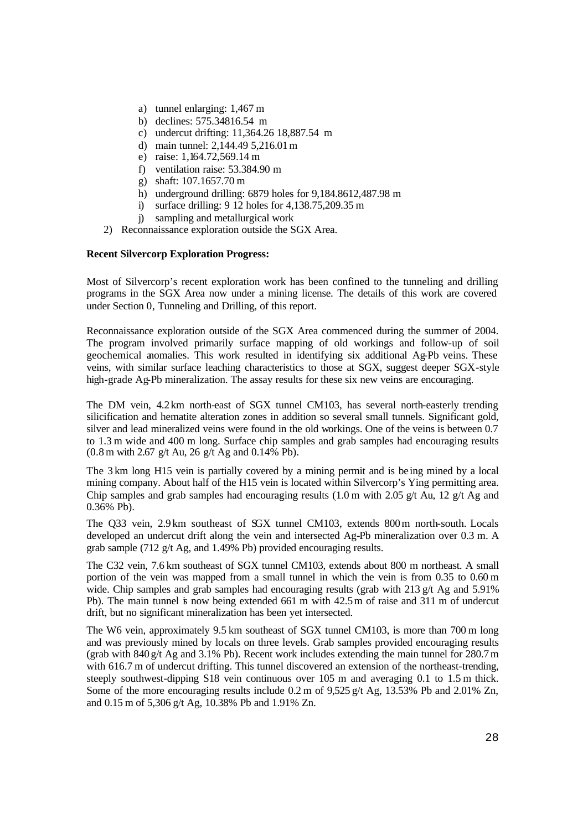- a) tunnel enlarging: 1,467 m
- b) declines: 575.34816.54 m
- c) undercut drifting: 11,364.26 18,887.54 m
- d) main tunnel: 2,144.49 5,216.01m
- e) raise: 1,164.72,569.14 m
- f) ventilation raise: 53.384.90 m
- g) shaft: 107.1657.70 m
- h) underground drilling: 6879 holes for 9,184.8612,487.98 m
- i) surface drilling: 9 12 holes for 4,138.75,209.35 m
- j) sampling and metallurgical work
- 2) Reconnaissance exploration outside the SGX Area.

# **Recent Silvercorp Exploration Progress:**

Most of Silvercorp's recent exploration work has been confined to the tunneling and drilling programs in the SGX Area now under a mining license. The details of this work are covered under Section 0, Tunneling and Drilling, of this report.

Reconnaissance exploration outside of the SGX Area commenced during the summer of 2004. The program involved primarily surface mapping of old workings and follow-up of soil geochemical anomalies. This work resulted in identifying six additional Ag-Pb veins. These veins, with similar surface leaching characteristics to those at SGX, suggest deeper SGX-style high-grade Ag-Pb mineralization. The assay results for these six new veins are encouraging.

The DM vein, 4.2km north-east of SGX tunnel CM103, has several north-easterly trending silicification and hematite alteration zones in addition so several small tunnels. Significant gold, silver and lead mineralized veins were found in the old workings. One of the veins is between 0.7 to 1.3 m wide and 400 m long. Surface chip samples and grab samples had encouraging results  $(0.8 \text{ m with } 2.67 \text{ g/t}$  Au,  $26 \text{ g/t}$  Ag and  $(0.14\% \text{ Pb})$ .

The 3 km long H15 vein is partially covered by a mining permit and is be ing mined by a local mining company. About half of the H15 vein is located within Silvercorp's Ying permitting area. Chip samples and grab samples had encouraging results  $(1.0 \text{ m with } 2.05 \text{ g/t}$  Au,  $12 \text{ g/t}$  Ag and 0.36% Pb).

The Q33 vein, 2.9 km southeast of SGX tunnel CM103, extends 800m north-south. Locals developed an undercut drift along the vein and intersected Ag-Pb mineralization over 0.3 m. A grab sample (712 g/t Ag, and 1.49% Pb) provided encouraging results.

The C32 vein, 7.6 km southeast of SGX tunnel CM103, extends about 800 m northeast. A small portion of the vein was mapped from a small tunnel in which the vein is from 0.35 to 0.60 m wide. Chip samples and grab samples had encouraging results (grab with 213 g/t Ag and 5.91%) Pb). The main tunnel is now being extended 661 m with 42.5 m of raise and 311 m of undercut drift, but no significant mineralization has been yet intersected.

The W6 vein, approximately 9.5 km southeast of SGX tunnel CM103, is more than 700 m long and was previously mined by locals on three levels. Grab samples provided encouraging results (grab with  $840 g/t$  Ag and  $3.1\%$  Pb). Recent work includes extending the main tunnel for 280.7 m with 616.7 m of undercut drifting. This tunnel discovered an extension of the northeast-trending, steeply southwest-dipping S18 vein continuous over 105 m and averaging 0.1 to 1.5 m thick. Some of the more encouraging results include 0.2 m of 9,525 g/t Ag, 13.53% Pb and 2.01% Zn, and 0.15 m of 5,306 g/t Ag, 10.38% Pb and 1.91% Zn.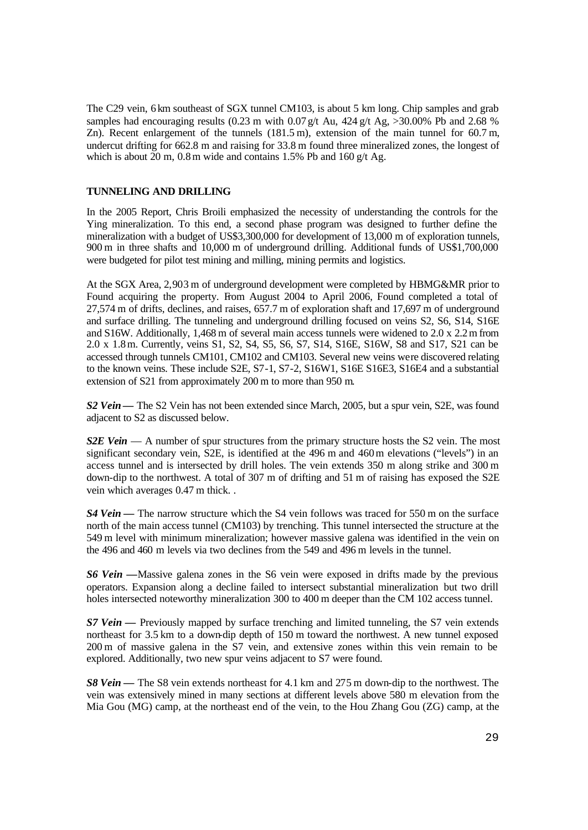The C29 vein, 6 km southeast of SGX tunnel CM103, is about 5 km long. Chip samples and grab samples had encouraging results (0.23 m with 0.07 g/t Au, 424 g/t Ag,  $>30.00\%$  Pb and 2.68 % Zn). Recent enlargement of the tunnels (181.5 m), extension of the main tunnel for 60.7 m, undercut drifting for 662.8 m and raising for 33.8 m found three mineralized zones, the longest of which is about  $20$  m,  $0.8$  m wide and contains 1.5% Pb and 160 g/t Ag.

# **TUNNELING AND DRILLING**

In the 2005 Report, Chris Broili emphasized the necessity of understanding the controls for the Ying mineralization. To this end, a second phase program was designed to further define the mineralization with a budget of US\$3,300,000 for development of 13,000 m of exploration tunnels, 900 m in three shafts and 10,000 m of underground drilling. Additional funds of US\$1,700,000 were budgeted for pilot test mining and milling, mining permits and logistics.

At the SGX Area, 2,903 m of underground development were completed by HBMG&MR prior to Found acquiring the property. From August 2004 to April 2006, Found completed a total of 27,574 m of drifts, declines, and raises, 657.7 m of exploration shaft and 17,697 m of underground and surface drilling. The tunneling and underground drilling focused on veins S2, S6, S14, S16E and S16W. Additionally, 1,468 m of several main access tunnels were widened to 2.0 x 2.2m from 2.0 x 1.8m. Currently, veins S1, S2, S4, S5, S6, S7, S14, S16E, S16W, S8 and S17, S21 can be accessed through tunnels CM101, CM102 and CM103. Several new veins were discovered relating to the known veins. These include S2E, S7-1, S7-2, S16W1, S16E S16E3, S16E4 and a substantial extension of S21 from approximately 200 m to more than 950 m.

*S2 Vein***—** The S2 Vein has not been extended since March, 2005, but a spur vein, S2E, was found adjacent to S2 as discussed below.

*S2E Vein* — A number of spur structures from the primary structure hosts the S2 vein. The most significant secondary vein, S2E, is identified at the 496 m and 460m elevations ("levels") in an access tunnel and is intersected by drill holes. The vein extends 350 m along strike and 300 m down-dip to the northwest. A total of 307 m of drifting and 51 m of raising has exposed the S2E vein which averages 0.47 m thick. .

*S4 Vein* — The narrow structure which the S4 vein follows was traced for 550 m on the surface north of the main access tunnel (CM103) by trenching. This tunnel intersected the structure at the 549 m level with minimum mineralization; however massive galena was identified in the vein on the 496 and 460 m levels via two declines from the 549 and 496 m levels in the tunnel.

*S6 Vein* **—**Massive galena zones in the S6 vein were exposed in drifts made by the previous operators. Expansion along a decline failed to intersect substantial mineralization but two drill holes intersected noteworthy mineralization 300 to 400 m deeper than the CM 102 access tunnel.

*S7 Vein* **—** Previously mapped by surface trenching and limited tunneling, the S7 vein extends northeast for 3.5 km to a down-dip depth of 150 m toward the northwest. A new tunnel exposed 200 m of massive galena in the S7 vein, and extensive zones within this vein remain to be explored. Additionally, two new spur veins adjacent to S7 were found.

*S8 Vein* **—** The S8 vein extends northeast for 4.1 km and 275 m down-dip to the northwest. The vein was extensively mined in many sections at different levels above 580 m elevation from the Mia Gou (MG) camp, at the northeast end of the vein, to the Hou Zhang Gou (ZG) camp, at the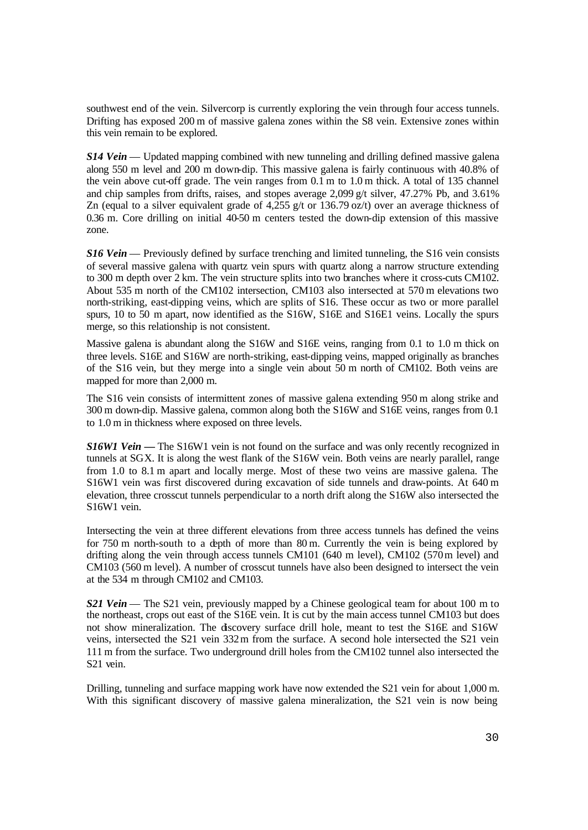southwest end of the vein. Silvercorp is currently exploring the vein through four access tunnels. Drifting has exposed 200 m of massive galena zones within the S8 vein. Extensive zones within this vein remain to be explored.

*S14 Vein* — Updated mapping combined with new tunneling and drilling defined massive galena along 550 m level and 200 m down-dip. This massive galena is fairly continuous with 40.8% of the vein above cut-off grade. The vein ranges from 0.1 m to 1.0 m thick. A total of 135 channel and chip samples from drifts, raises, and stopes average 2,099 g/t silver, 47.27% Pb, and 3.61% Zn (equal to a silver equivalent grade of 4,255 g/t or 136.79 oz/t) over an average thickness of 0.36 m. Core drilling on initial 40-50 m centers tested the down-dip extension of this massive zone.

*S16 Vein* — Previously defined by surface trenching and limited tunneling, the S16 vein consists of several massive galena with quartz vein spurs with quartz along a narrow structure extending to 300 m depth over 2 km. The vein structure splits into two branches where it cross-cuts CM102. About 535 m north of the CM102 intersection, CM103 also intersected at 570 m elevations two north-striking, east-dipping veins, which are splits of S16. These occur as two or more parallel spurs, 10 to 50 m apart, now identified as the S16W, S16E and S16E1 veins. Locally the spurs merge, so this relationship is not consistent.

Massive galena is abundant along the S16W and S16E veins, ranging from 0.1 to 1.0 m thick on three levels. S16E and S16W are north-striking, east-dipping veins, mapped originally as branches of the S16 vein, but they merge into a single vein about 50 m north of CM102. Both veins are mapped for more than 2,000 m.

The S16 vein consists of intermittent zones of massive galena extending 950 m along strike and 300 m down-dip. Massive galena, common along both the S16W and S16E veins, ranges from 0.1 to 1.0 m in thickness where exposed on three levels.

**S16W1 Vein** — The S16W1 vein is not found on the surface and was only recently recognized in tunnels at SGX. It is along the west flank of the S16W vein. Both veins are nearly parallel, range from 1.0 to 8.1 m apart and locally merge. Most of these two veins are massive galena. The S16W1 vein was first discovered during excavation of side tunnels and draw-points. At 640 m elevation, three crosscut tunnels perpendicular to a north drift along the S16W also intersected the S16W1 vein.

Intersecting the vein at three different elevations from three access tunnels has defined the veins for 750 m north-south to a depth of more than 80 m. Currently the vein is being explored by drifting along the vein through access tunnels CM101 (640 m level), CM102 (570m level) and CM103 (560 m level). A number of crosscut tunnels have also been designed to intersect the vein at the 534 m through CM102 and CM103.

*S21 Vein* — The S21 vein, previously mapped by a Chinese geological team for about 100 m to the northeast, crops out east of the S16E vein. It is cut by the main access tunnel CM103 but does not show mineralization. The discovery surface drill hole, meant to test the S16E and S16W veins, intersected the S21 vein 332m from the surface. A second hole intersected the S21 vein 111 m from the surface. Two underground drill holes from the CM102 tunnel also intersected the S21 vein.

Drilling, tunneling and surface mapping work have now extended the S21 vein for about 1,000 m. With this significant discovery of massive galena mineralization, the S21 vein is now being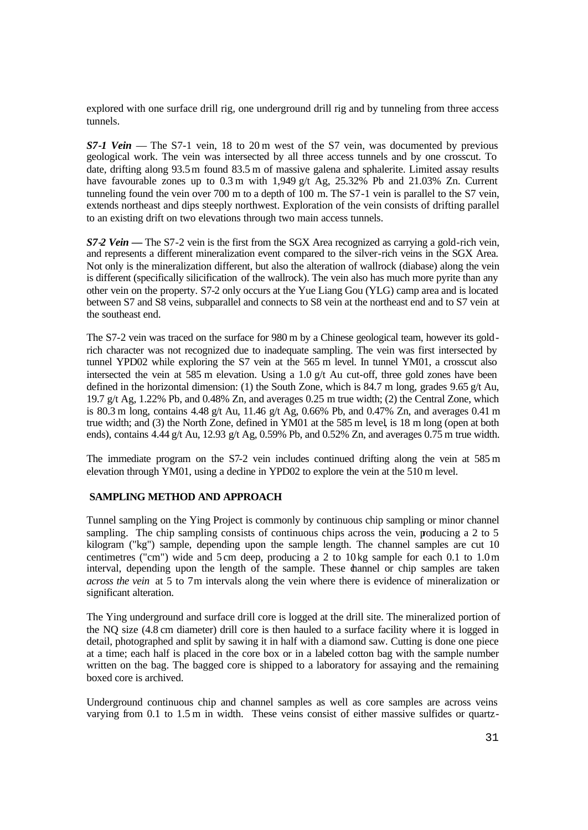explored with one surface drill rig, one underground drill rig and by tunneling from three access tunnels.

*S7-1 Vein* — The S7-1 vein, 18 to 20 m west of the S7 vein, was documented by previous geological work. The vein was intersected by all three access tunnels and by one crosscut. To date, drifting along 93.5m found 83.5 m of massive galena and sphalerite. Limited assay results have favourable zones up to 0.3 m with 1,949 g/t Ag, 25.32% Pb and 21.03% Zn. Current tunneling found the vein over 700 m to a depth of 100 m. The S7-1 vein is parallel to the S7 vein, extends northeast and dips steeply northwest. Exploration of the vein consists of drifting parallel to an existing drift on two elevations through two main access tunnels.

*S7-2 Vein* **—** The S7-2 vein is the first from the SGX Area recognized as carrying a gold-rich vein, and represents a different mineralization event compared to the silver-rich veins in the SGX Area. Not only is the mineralization different, but also the alteration of wallrock (diabase) along the vein is different (specifically silicification of the wallrock). The vein also has much more pyrite than any other vein on the property. S7-2 only occurs at the Yue Liang Gou (YLG) camp area and is located between S7 and S8 veins, subparallel and connects to S8 vein at the northeast end and to S7 vein at the southeast end.

The S7-2 vein was traced on the surface for 980 m by a Chinese geological team, however its goldrich character was not recognized due to inadequate sampling. The vein was first intersected by tunnel YPD02 while exploring the S7 vein at the 565 m level. In tunnel YM01, a crosscut also intersected the vein at 585 m elevation. Using a 1.0 g/t Au cut-off, three gold zones have been defined in the horizontal dimension: (1) the South Zone, which is 84.7 m long, grades 9.65 g/t Au, 19.7 g/t Ag, 1.22% Pb, and 0.48% Zn, and averages 0.25 m true width; (2) the Central Zone, which is 80.3 m long, contains 4.48 g/t Au, 11.46 g/t Ag, 0.66% Pb, and 0.47% Zn, and averages 0.41 m true width; and (3) the North Zone, defined in YM01 at the 585 m level, is 18 m long (open at both ends), contains 4.44 g/t Au, 12.93 g/t Ag, 0.59% Pb, and 0.52% Zn, and averages 0.75 m true width.

The immediate program on the S7-2 vein includes continued drifting along the vein at 585 m elevation through YM01, using a decline in YPD02 to explore the vein at the 510 m level.

#### **SAMPLING METHOD AND APPROACH**

Tunnel sampling on the Ying Project is commonly by continuous chip sampling or minor channel sampling. The chip sampling consists of continuous chips across the vein, producing a 2 to 5 kilogram ("kg") sample, depending upon the sample length. The channel samples are cut 10 centimetres ("cm") wide and 5 cm deep, producing a 2 to 10 kg sample for each 0.1 to 1.0m interval, depending upon the length of the sample. These channel or chip samples are taken *across the vein* at 5 to 7m intervals along the vein where there is evidence of mineralization or significant alteration.

The Ying underground and surface drill core is logged at the drill site. The mineralized portion of the NQ size (4.8 cm diameter) drill core is then hauled to a surface facility where it is logged in detail, photographed and split by sawing it in half with a diamond saw. Cutting is done one piece at a time; each half is placed in the core box or in a labeled cotton bag with the sample number written on the bag. The bagged core is shipped to a laboratory for assaying and the remaining boxed core is archived.

Underground continuous chip and channel samples as well as core samples are across veins varying from 0.1 to 1.5 m in width. These veins consist of either massive sulfides or quartz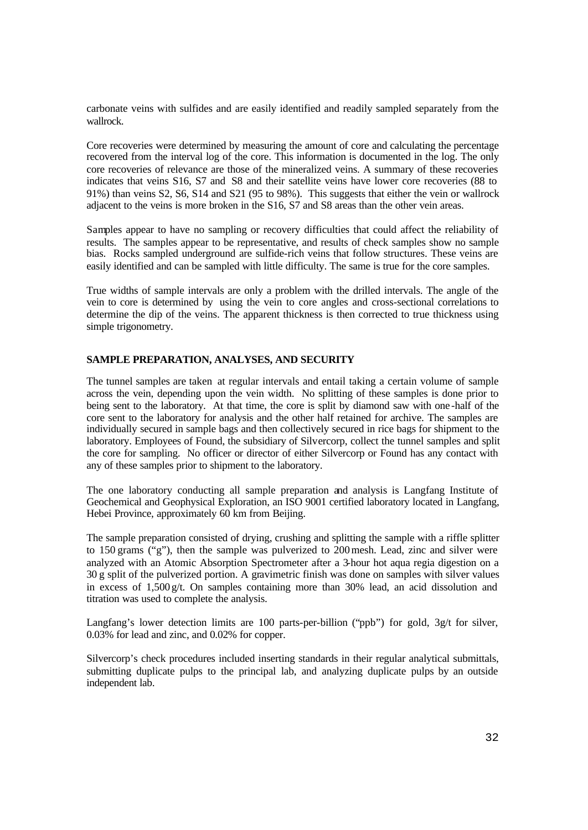carbonate veins with sulfides and are easily identified and readily sampled separately from the wallrock.

Core recoveries were determined by measuring the amount of core and calculating the percentage recovered from the interval log of the core. This information is documented in the log. The only core recoveries of relevance are those of the mineralized veins. A summary of these recoveries indicates that veins S16, S7 and S8 and their satellite veins have lower core recoveries (88 to 91%) than veins S2, S6, S14 and S21 (95 to 98%). This suggests that either the vein or wallrock adjacent to the veins is more broken in the S16, S7 and S8 areas than the other vein areas.

Samples appear to have no sampling or recovery difficulties that could affect the reliability of results. The samples appear to be representative, and results of check samples show no sample bias. Rocks sampled underground are sulfide-rich veins that follow structures. These veins are easily identified and can be sampled with little difficulty. The same is true for the core samples.

True widths of sample intervals are only a problem with the drilled intervals. The angle of the vein to core is determined by using the vein to core angles and cross-sectional correlations to determine the dip of the veins. The apparent thickness is then corrected to true thickness using simple trigonometry.

# **SAMPLE PREPARATION, ANALYSES, AND SECURITY**

The tunnel samples are taken at regular intervals and entail taking a certain volume of sample across the vein, depending upon the vein width. No splitting of these samples is done prior to being sent to the laboratory. At that time, the core is split by diamond saw with one-half of the core sent to the laboratory for analysis and the other half retained for archive. The samples are individually secured in sample bags and then collectively secured in rice bags for shipment to the laboratory. Employees of Found, the subsidiary of Silvercorp, collect the tunnel samples and split the core for sampling. No officer or director of either Silvercorp or Found has any contact with any of these samples prior to shipment to the laboratory.

The one laboratory conducting all sample preparation and analysis is Langfang Institute of Geochemical and Geophysical Exploration, an ISO 9001 certified laboratory located in Langfang, Hebei Province, approximately 60 km from Beijing.

The sample preparation consisted of drying, crushing and splitting the sample with a riffle splitter to 150 grams ("g"), then the sample was pulverized to 200mesh. Lead, zinc and silver were analyzed with an Atomic Absorption Spectrometer after a 3-hour hot aqua regia digestion on a 30 g split of the pulverized portion. A gravimetric finish was done on samples with silver values in excess of  $1,500 \text{ g/t}$ . On samples containing more than 30% lead, an acid dissolution and titration was used to complete the analysis.

Langfang's lower detection limits are 100 parts-per-billion ("ppb") for gold,  $3g/t$  for silver, 0.03% for lead and zinc, and 0.02% for copper.

Silvercorp's check procedures included inserting standards in their regular analytical submittals, submitting duplicate pulps to the principal lab, and analyzing duplicate pulps by an outside independent lab.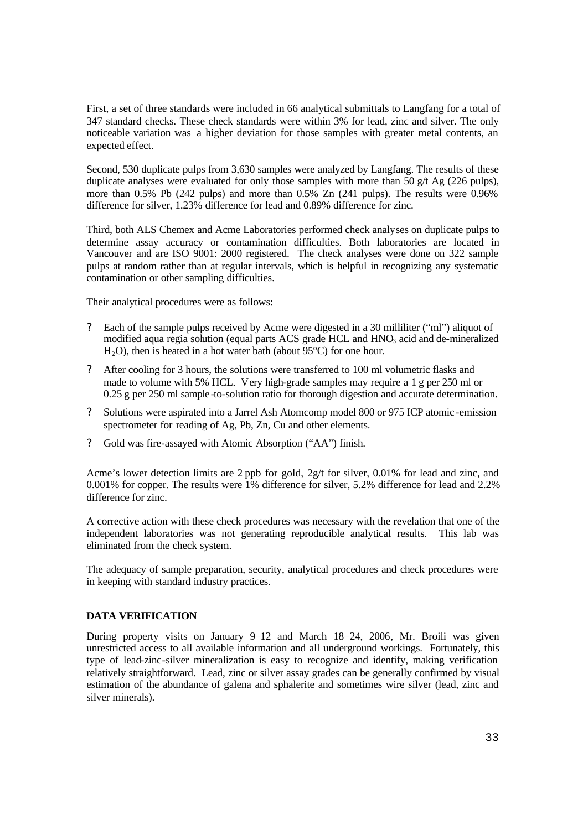First, a set of three standards were included in 66 analytical submittals to Langfang for a total of 347 standard checks. These check standards were within 3% for lead, zinc and silver. The only noticeable variation was a higher deviation for those samples with greater metal contents, an expected effect.

Second, 530 duplicate pulps from 3,630 samples were analyzed by Langfang. The results of these duplicate analyses were evaluated for only those samples with more than 50  $g/t$  Ag (226 pulps), more than 0.5% Pb (242 pulps) and more than 0.5% Zn (241 pulps). The results were 0.96% difference for silver, 1.23% difference for lead and 0.89% difference for zinc.

Third, both ALS Chemex and Acme Laboratories performed check analyses on duplicate pulps to determine assay accuracy or contamination difficulties. Both laboratories are located in Vancouver and are ISO 9001: 2000 registered. The check analyses were done on 322 sample pulps at random rather than at regular intervals, which is helpful in recognizing any systematic contamination or other sampling difficulties.

Their analytical procedures were as follows:

- ? Each of the sample pulps received by Acme were digested in a 30 milliliter ("ml") aliquot of modified aqua regia solution (equal parts ACS grade HCL and HNO3 acid and de-mineralized  $H<sub>2</sub>O$ , then is heated in a hot water bath (about 95 $^{\circ}$ C) for one hour.
- ? After cooling for 3 hours, the solutions were transferred to 100 ml volumetric flasks and made to volume with 5% HCL. Very high-grade samples may require a 1 g per 250 ml or 0.25 g per 250 ml sample-to-solution ratio for thorough digestion and accurate determination.
- ? Solutions were aspirated into a Jarrel Ash Atomcomp model 800 or 975 ICP atomic -emission spectrometer for reading of Ag, Pb, Zn, Cu and other elements.
- ? Gold was fire-assayed with Atomic Absorption ("AA") finish.

Acme's lower detection limits are 2 ppb for gold, 2g/t for silver, 0.01% for lead and zinc, and 0.001% for copper. The results were 1% difference for silver, 5.2% difference for lead and 2.2% difference for zinc.

A corrective action with these check procedures was necessary with the revelation that one of the independent laboratories was not generating reproducible analytical results. This lab was eliminated from the check system.

The adequacy of sample preparation, security, analytical procedures and check procedures were in keeping with standard industry practices.

# **DATA VERIFICATION**

During property visits on January 9–12 and March 18–24, 2006, Mr. Broili was given unrestricted access to all available information and all underground workings. Fortunately, this type of lead-zinc-silver mineralization is easy to recognize and identify, making verification relatively straightforward. Lead, zinc or silver assay grades can be generally confirmed by visual estimation of the abundance of galena and sphalerite and sometimes wire silver (lead, zinc and silver minerals).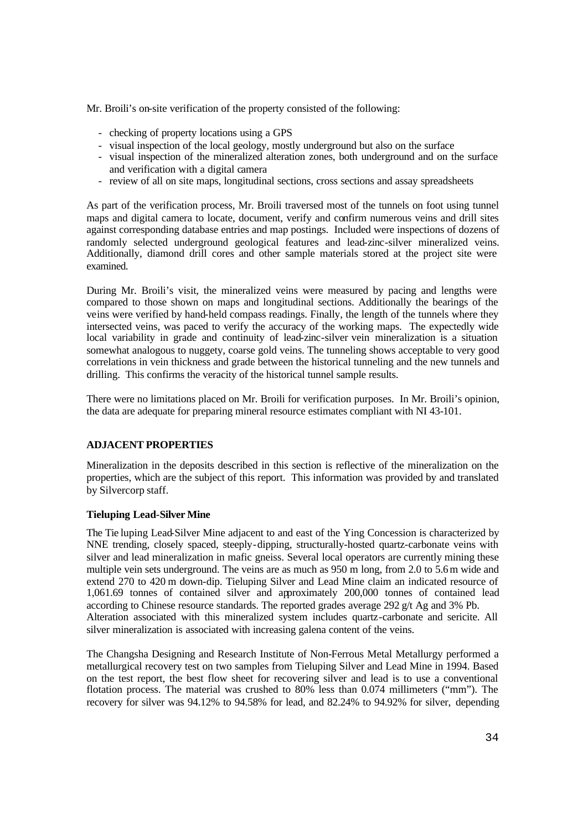Mr. Broili's on-site verification of the property consisted of the following:

- checking of property locations using a GPS
- visual inspection of the local geology, mostly underground but also on the surface
- visual inspection of the mineralized alteration zones, both underground and on the surface and verification with a digital camera
- review of all on site maps, longitudinal sections, cross sections and assay spreadsheets

As part of the verification process, Mr. Broili traversed most of the tunnels on foot using tunnel maps and digital camera to locate, document, verify and confirm numerous veins and drill sites against corresponding database entries and map postings. Included were inspections of dozens of randomly selected underground geological features and lead-zinc-silver mineralized veins. Additionally, diamond drill cores and other sample materials stored at the project site were examined.

During Mr. Broili's visit, the mineralized veins were measured by pacing and lengths were compared to those shown on maps and longitudinal sections. Additionally the bearings of the veins were verified by hand-held compass readings. Finally, the length of the tunnels where they intersected veins, was paced to verify the accuracy of the working maps. The expectedly wide local variability in grade and continuity of lead-zinc-silver vein mineralization is a situation somewhat analogous to nuggety, coarse gold veins. The tunneling shows acceptable to very good correlations in vein thickness and grade between the historical tunneling and the new tunnels and drilling. This confirms the veracity of the historical tunnel sample results.

There were no limitations placed on Mr. Broili for verification purposes. In Mr. Broili's opinion, the data are adequate for preparing mineral resource estimates compliant with NI 43-101.

# **ADJACENT PROPERTIES**

Mineralization in the deposits described in this section is reflective of the mineralization on the properties, which are the subject of this report. This information was provided by and translated by Silvercorp staff.

#### **Tieluping Lead-Silver Mine**

The Tie luping Lead-Silver Mine adjacent to and east of the Ying Concession is characterized by NNE trending, closely spaced, steeply-dipping, structurally-hosted quartz-carbonate veins with silver and lead mineralization in mafic gneiss. Several local operators are currently mining these multiple vein sets underground. The veins are as much as 950 m long, from 2.0 to 5.6m wide and extend 270 to 420 m down-dip. Tieluping Silver and Lead Mine claim an indicated resource of 1,061.69 tonnes of contained silver and approximately 200,000 tonnes of contained lead according to Chinese resource standards. The reported grades average 292 g/t Ag and 3% Pb. Alteration associated with this mineralized system includes quartz-carbonate and sericite. All silver mineralization is associated with increasing galena content of the veins.

The Changsha Designing and Research Institute of Non-Ferrous Metal Metallurgy performed a metallurgical recovery test on two samples from Tieluping Silver and Lead Mine in 1994. Based on the test report, the best flow sheet for recovering silver and lead is to use a conventional flotation process. The material was crushed to 80% less than 0.074 millimeters ("mm"). The recovery for silver was 94.12% to 94.58% for lead, and 82.24% to 94.92% for silver, depending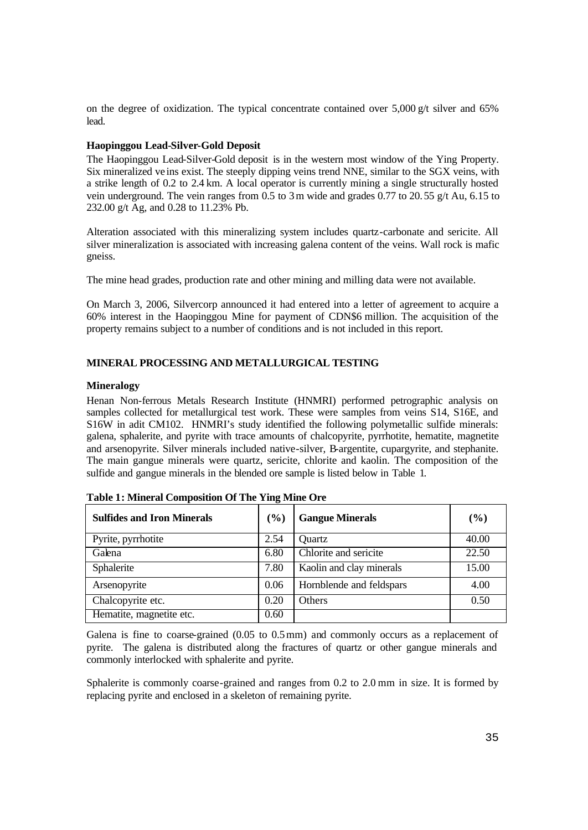on the degree of oxidization. The typical concentrate contained over  $5,000 \text{ g/t}$  silver and 65% lead.

# **Haopinggou Lead-Silver-Gold Deposit**

The Haopinggou Lead-Silver-Gold deposit is in the western most window of the Ying Property. Six mineralized ve ins exist. The steeply dipping veins trend NNE, similar to the SGX veins, with a strike length of 0.2 to 2.4 km. A local operator is currently mining a single structurally hosted vein underground. The vein ranges from 0.5 to 3m wide and grades 0.77 to 20.55 g/t Au, 6.15 to 232.00 g/t Ag, and 0.28 to 11.23% Pb.

Alteration associated with this mineralizing system includes quartz-carbonate and sericite. All silver mineralization is associated with increasing galena content of the veins. Wall rock is mafic gneiss.

The mine head grades, production rate and other mining and milling data were not available.

On March 3, 2006, Silvercorp announced it had entered into a letter of agreement to acquire a 60% interest in the Haopinggou Mine for payment of CDN\$6 million. The acquisition of the property remains subject to a number of conditions and is not included in this report.

# **MINERAL PROCESSING AND METALLURGICAL TESTING**

#### **Mineralogy**

Henan Non-ferrous Metals Research Institute (HNMRI) performed petrographic analysis on samples collected for metallurgical test work. These were samples from veins S14, S16E, and S16W in adit CM102. HNMRI's study identified the following polymetallic sulfide minerals: galena, sphalerite, and pyrite with trace amounts of chalcopyrite, pyrrhotite, hematite, magnetite and arsenopyrite. Silver minerals included native-silver, B-argentite, cupargyrite, and stephanite. The main gangue minerals were quartz, sericite, chlorite and kaolin. The composition of the sulfide and gangue minerals in the blended ore sample is listed below in Table 1.

| <b>Sulfides and Iron Minerals</b> | $\left( \frac{0}{0} \right)$ | <b>Gangue Minerals</b>   | $(\%)$ |
|-----------------------------------|------------------------------|--------------------------|--------|
| Pyrite, pyrrhotite                | 2.54                         | Ouartz                   | 40.00  |
| Galena                            | 6.80                         | Chlorite and sericite    | 22.50  |
| Sphalerite                        | 7.80                         | Kaolin and clay minerals | 15.00  |
| Arsenopyrite                      | 0.06                         | Hornblende and feldspars | 4.00   |
| Chalcopyrite etc.                 | 0.20                         | Others                   | 0.50   |
| Hematite, magnetite etc.          | 0.60                         |                          |        |

**Table 1: Mineral Composition Of The Ying Mine Ore**

Galena is fine to coarse-grained (0.05 to 0.5mm) and commonly occurs as a replacement of pyrite. The galena is distributed along the fractures of quartz or other gangue minerals and commonly interlocked with sphalerite and pyrite.

Sphalerite is commonly coarse-grained and ranges from 0.2 to 2.0 mm in size. It is formed by replacing pyrite and enclosed in a skeleton of remaining pyrite.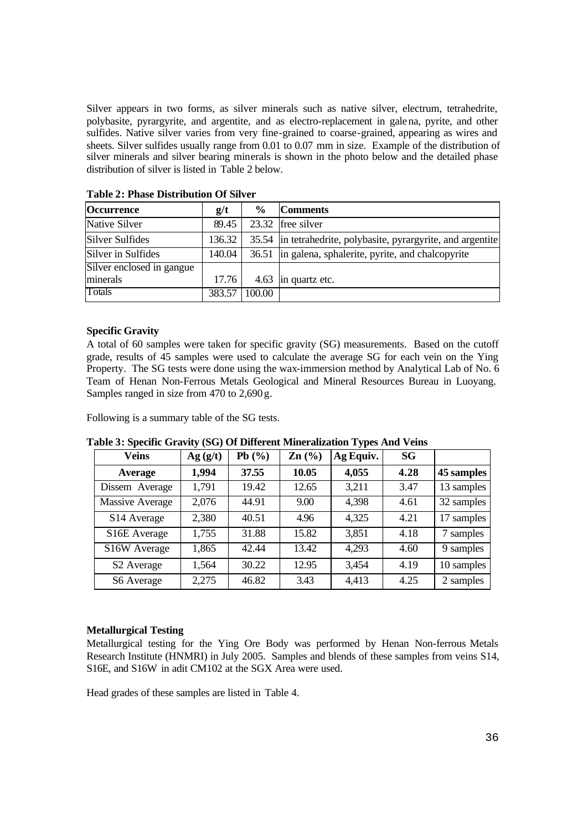Silver appears in two forms, as silver minerals such as native silver, electrum, tetrahedrite, polybasite, pyrargyrite, and argentite, and as electro-replacement in galena, pyrite, and other sulfides. Native silver varies from very fine-grained to coarse-grained, appearing as wires and sheets. Silver sulfides usually range from 0.01 to 0.07 mm in size. Example of the distribution of silver minerals and silver bearing minerals is shown in the photo below and the detailed phase distribution of silver is listed in Table 2 below.

| Occurrence                | g/t    | $\frac{6}{9}$ | <b>Comments</b>                                               |
|---------------------------|--------|---------------|---------------------------------------------------------------|
| Native Silver             | 89.45  | 23.32         | free silver                                                   |
| <b>Silver Sulfides</b>    | 136.32 |               | 35.54 in tetrahedrite, polybasite, pyrargyrite, and argentite |
| Silver in Sulfides        | 140.04 |               | 36.51 in galena, sphalerite, pyrite, and chalcopyrite         |
| Silver enclosed in gangue |        |               |                                                               |
| minerals                  | 17.76  | 4.63          | in quartz etc.                                                |
| Totals                    | 383.57 | 100.00        |                                                               |

**Table 2: Phase Distribution Of Silver**

#### **Specific Gravity**

A total of 60 samples were taken for specific gravity (SG) measurements. Based on the cutoff grade, results of 45 samples were used to calculate the average SG for each vein on the Ying Property. The SG tests were done using the wax-immersion method by Analytical Lab of No. 6 Team of Henan Non-Ferrous Metals Geological and Mineral Resources Bureau in Luoyang. Samples ranged in size from 470 to 2,690 g.

Following is a summary table of the SG tests.

**Veins Ag**  $(g/t)$  **Pb**  $(\%)$  **Zn**  $(\%)$  **Ag** Equiv. **SG Average 1,994 37.55 10.05 4,055 4.28 45 samples** Dissem Average 1,791 19.42 12.65 3,211 3.47 13 samples Massive Average 2,076 44.91 9.00 4.398 4.61 32 samples S14 Average 2,380 40.51 4.96 4,325 4.21 17 samples S16E Average 1,755 31.88 15.82 3,851 4.18 7 samples S16W Average 1,865 42.44 13.42 4,293 4.60 9 samples S2 Average 1,564 30.22 12.95 3,454 4.19 10 samples S6 Average 2,275 46.82 3.43 4,413 4.25 2 samples

**Table 3: Specific Gravity (SG) Of Different Mineralization Types And Veins**

#### **Metallurgical Testing**

Metallurgical testing for the Ying Ore Body was performed by Henan Non-ferrous Metals Research Institute (HNMRI) in July 2005. Samples and blends of these samples from veins S14, S16E, and S16W in adit CM102 at the SGX Area were used.

Head grades of these samples are listed in Table 4.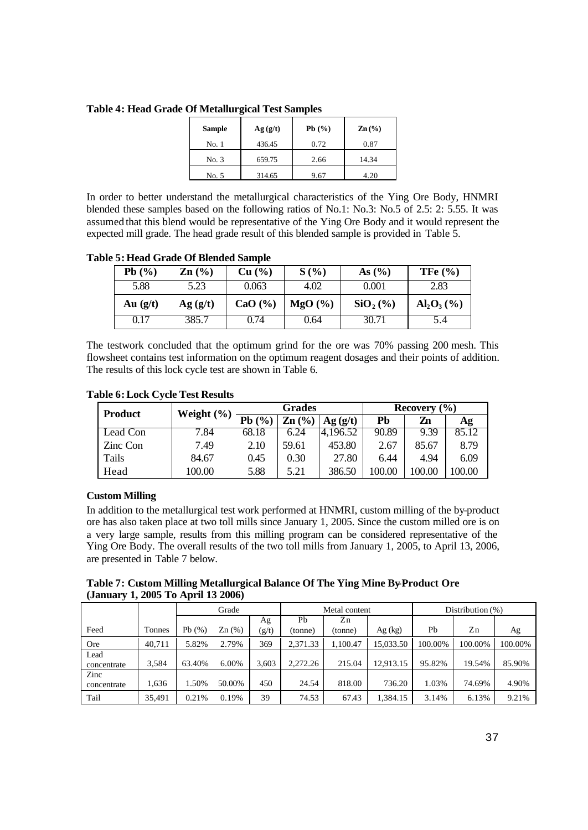|  |  | <b>Table 4: Head Grade Of Metallurgical Test Samples</b> |  |
|--|--|----------------------------------------------------------|--|
|--|--|----------------------------------------------------------|--|

| <b>Sample</b> | Ag(g/t) | Pb $(%$ | $\text{Zn}$ (%) |
|---------------|---------|---------|-----------------|
| No. 1         | 436.45  | 0.72    | 0.87            |
| No. 3         | 659.75  | 2.66    | 14.34           |
| No. 5         | 314.65  | 9.67    | 4.20            |

In order to better understand the metallurgical characteristics of the Ying Ore Body, HNMRI blended these samples based on the following ratios of No.1: No.3: No.5 of 2.5: 2: 5.55. It was assumed that this blend would be representative of the Ying Ore Body and it would represent the expected mill grade. The head grade result of this blended sample is provided in Table 5.

**Table 5: Head Grade Of Blended Sample**

| Pb $(\%)$  | $\mathbf{Zn}$ (%) | Cu (%)      | S(%)   | As $(\%)$  | TFe $(\% )$                                     |
|------------|-------------------|-------------|--------|------------|-------------------------------------------------|
| 5.88       | 5.23              | 0.063       | 4.02   | 0.001      | 2.83                                            |
| Au $(g/t)$ | Ag(g/t)           | CaO $(\% )$ | MgO(%) | $SiO2(\%)$ | $\text{Al}_2\text{O}_3\left(\frac{9}{6}\right)$ |
| 0.17       | 385.7             | 0.74        | 0.64   | 30.71      | 5.4                                             |

The testwork concluded that the optimum grind for the ore was 70% passing 200 mesh. This flowsheet contains test information on the optimum reagent dosages and their points of addition. The results of this lock cycle test are shown in Table 6.

| <b>Product</b> | Weight $(\% )$ | <b>Grades</b> |                   |          | Recovery $(\% )$ |       |       |
|----------------|----------------|---------------|-------------------|----------|------------------|-------|-------|
|                |                | Pb(%          | $\mathbf{Zn}$ (%) | Ag(g/t)  | <b>Ph</b>        | Zn    | Аg    |
| Lead Con       | 7.84           | 68.18         | 6.24              | 4.196.52 | 90.89            | 9.39  | 85.12 |
| Zinc Con       | 7.49           | 2.10          | 59.61             | 453.80   | 2.67             | 85.67 | 8.79  |
| Tails          | 84.67          | 0.45          | 0.30              | 27.80    | 6.44             | 4.94  | 6.09  |
| Head           | 100.00         | 5.88          | 5.21              | 386.50   | 100.00           |       | 00.00 |

**Table 6: Lock Cycle Test Results**

# **Custom Milling**

In addition to the metallurgical test work performed at HNMRI, custom milling of the by-product ore has also taken place at two toll mills since January 1, 2005. Since the custom milled ore is on a very large sample, results from this milling program can be considered representative of the Ying Ore Body. The overall results of the two toll mills from January 1, 2005, to April 13, 2006, are presented in Table 7 below.

**Table 7: Custom Milling Metallurgical Balance Of The Ying Mine By-Product Ore (January 1, 2005 To April 13 2006)**

|                     |        | Grade     |        | Metal content |          |          | Distribution $(\%)$ |         |         |         |
|---------------------|--------|-----------|--------|---------------|----------|----------|---------------------|---------|---------|---------|
|                     |        |           |        | Ag            | Pb       | Zn       |                     |         |         |         |
| Feed                | Tonnes | Pb $(\%)$ | Zn(%)  | (g/t)         | (tonne)  | (tonne)  | Ag (kg)             | Pb      | Zn      | Ag      |
| <b>Ore</b>          | 40.711 | 5.82%     | 2.79%  | 369           | 2.371.33 | 1.100.47 | 15.033.50           | 100.00% | 100.00% | 100.00% |
| Lead<br>concentrate | 3,584  | 63.40%    | 6.00%  | 3.603         | 2.272.26 | 215.04   | 12,913.15           | 95.82%  | 19.54%  | 85.90%  |
| Zinc<br>concentrate | 1,636  | .50%      | 50.00% | 450           | 24.54    | 818.00   | 736.20              | 1.03%   | 74.69%  | 4.90%   |
| Tail                | 35.491 | 0.21%     | 0.19%  | 39            | 74.53    | 67.43    | 1,384.15            | 3.14%   | 6.13%   | 9.21%   |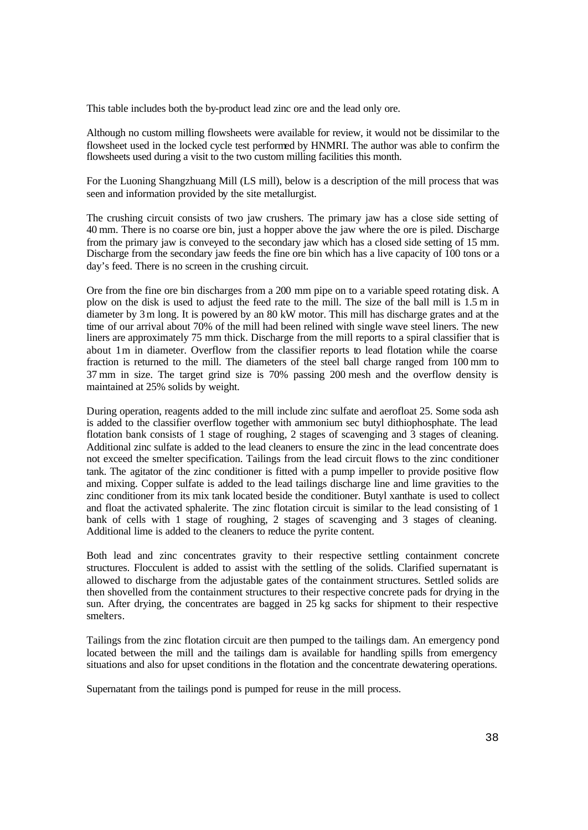This table includes both the by-product lead zinc ore and the lead only ore.

Although no custom milling flowsheets were available for review, it would not be dissimilar to the flowsheet used in the locked cycle test performed by HNMRI. The author was able to confirm the flowsheets used during a visit to the two custom milling facilities this month.

For the Luoning Shangzhuang Mill (LS mill), below is a description of the mill process that was seen and information provided by the site metallurgist.

The crushing circuit consists of two jaw crushers. The primary jaw has a close side setting of 40 mm. There is no coarse ore bin, just a hopper above the jaw where the ore is piled. Discharge from the primary jaw is conveyed to the secondary jaw which has a closed side setting of 15 mm. Discharge from the secondary jaw feeds the fine ore bin which has a live capacity of 100 tons or a day's feed. There is no screen in the crushing circuit.

Ore from the fine ore bin discharges from a 200 mm pipe on to a variable speed rotating disk. A plow on the disk is used to adjust the feed rate to the mill. The size of the ball mill is 1.5 m in diameter by 3m long. It is powered by an 80 kW motor. This mill has discharge grates and at the time of our arrival about 70% of the mill had been relined with single wave steel liners. The new liners are approximately 75 mm thick. Discharge from the mill reports to a spiral classifier that is about 1m in diameter. Overflow from the classifier reports to lead flotation while the coarse fraction is returned to the mill. The diameters of the steel ball charge ranged from 100 mm to 37 mm in size. The target grind size is 70% passing 200 mesh and the overflow density is maintained at 25% solids by weight.

During operation, reagents added to the mill include zinc sulfate and aerofloat 25. Some soda ash is added to the classifier overflow together with ammonium sec butyl dithiophosphate. The lead flotation bank consists of 1 stage of roughing, 2 stages of scavenging and 3 stages of cleaning. Additional zinc sulfate is added to the lead cleaners to ensure the zinc in the lead concentrate does not exceed the smelter specification. Tailings from the lead circuit flows to the zinc conditioner tank. The agitator of the zinc conditioner is fitted with a pump impeller to provide positive flow and mixing. Copper sulfate is added to the lead tailings discharge line and lime gravities to the zinc conditioner from its mix tank located beside the conditioner. Butyl xanthate is used to collect and float the activated sphalerite. The zinc flotation circuit is similar to the lead consisting of 1 bank of cells with 1 stage of roughing, 2 stages of scavenging and 3 stages of cleaning. Additional lime is added to the cleaners to reduce the pyrite content.

Both lead and zinc concentrates gravity to their respective settling containment concrete structures. Flocculent is added to assist with the settling of the solids. Clarified supernatant is allowed to discharge from the adjustable gates of the containment structures. Settled solids are then shovelled from the containment structures to their respective concrete pads for drying in the sun. After drying, the concentrates are bagged in 25 kg sacks for shipment to their respective smelters.

Tailings from the zinc flotation circuit are then pumped to the tailings dam. An emergency pond located between the mill and the tailings dam is available for handling spills from emergency situations and also for upset conditions in the flotation and the concentrate dewatering operations.

Supernatant from the tailings pond is pumped for reuse in the mill process.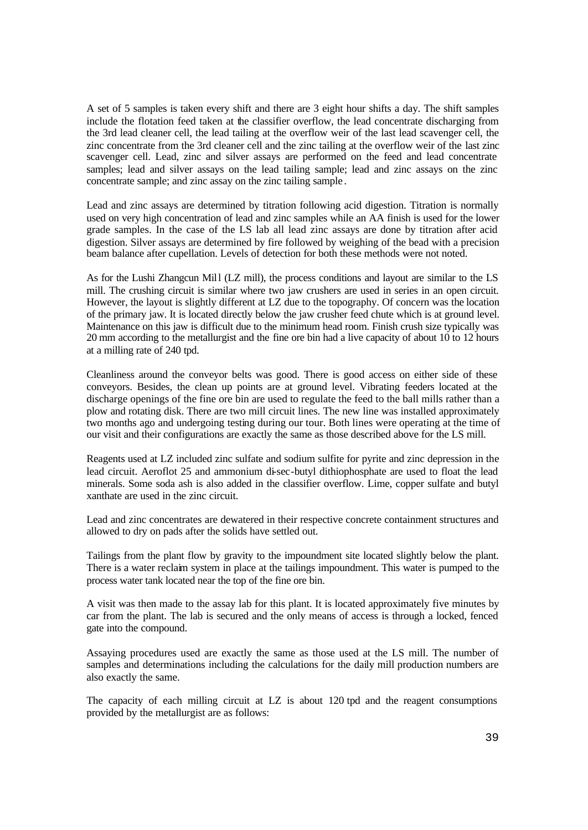A set of 5 samples is taken every shift and there are 3 eight hour shifts a day. The shift samples include the flotation feed taken at the classifier overflow, the lead concentrate discharging from the 3rd lead cleaner cell, the lead tailing at the overflow weir of the last lead scavenger cell, the zinc concentrate from the 3rd cleaner cell and the zinc tailing at the overflow weir of the last zinc scavenger cell. Lead, zinc and silver assays are performed on the feed and lead concentrate samples; lead and silver assays on the lead tailing sample; lead and zinc assays on the zinc concentrate sample; and zinc assay on the zinc tailing sample .

Lead and zinc assays are determined by titration following acid digestion. Titration is normally used on very high concentration of lead and zinc samples while an AA finish is used for the lower grade samples. In the case of the LS lab all lead zinc assays are done by titration after acid digestion. Silver assays are determined by fire followed by weighing of the bead with a precision beam balance after cupellation. Levels of detection for both these methods were not noted.

As for the Lushi Zhangcun Mill (LZ mill), the process conditions and layout are similar to the LS mill. The crushing circuit is similar where two jaw crushers are used in series in an open circuit. However, the layout is slightly different at LZ due to the topography. Of concern was the location of the primary jaw. It is located directly below the jaw crusher feed chute which is at ground level. Maintenance on this jaw is difficult due to the minimum head room. Finish crush size typically was 20 mm according to the metallurgist and the fine ore bin had a live capacity of about 10 to 12 hours at a milling rate of 240 tpd.

Cleanliness around the conveyor belts was good. There is good access on either side of these conveyors. Besides, the clean up points are at ground level. Vibrating feeders located at the discharge openings of the fine ore bin are used to regulate the feed to the ball mills rather than a plow and rotating disk. There are two mill circuit lines. The new line was installed approximately two months ago and undergoing testing during our tour. Both lines were operating at the time of our visit and their configurations are exactly the same as those described above for the LS mill.

Reagents used at LZ included zinc sulfate and sodium sulfite for pyrite and zinc depression in the lead circuit. Aeroflot 25 and ammonium di-sec-butyl dithiophosphate are used to float the lead minerals. Some soda ash is also added in the classifier overflow. Lime, copper sulfate and butyl xanthate are used in the zinc circuit.

Lead and zinc concentrates are dewatered in their respective concrete containment structures and allowed to dry on pads after the solids have settled out.

Tailings from the plant flow by gravity to the impoundment site located slightly below the plant. There is a water reclaim system in place at the tailings impoundment. This water is pumped to the process water tank located near the top of the fine ore bin.

A visit was then made to the assay lab for this plant. It is located approximately five minutes by car from the plant. The lab is secured and the only means of access is through a locked, fenced gate into the compound.

Assaying procedures used are exactly the same as those used at the LS mill. The number of samples and determinations including the calculations for the daily mill production numbers are also exactly the same.

The capacity of each milling circuit at LZ is about 120 tpd and the reagent consumptions provided by the metallurgist are as follows: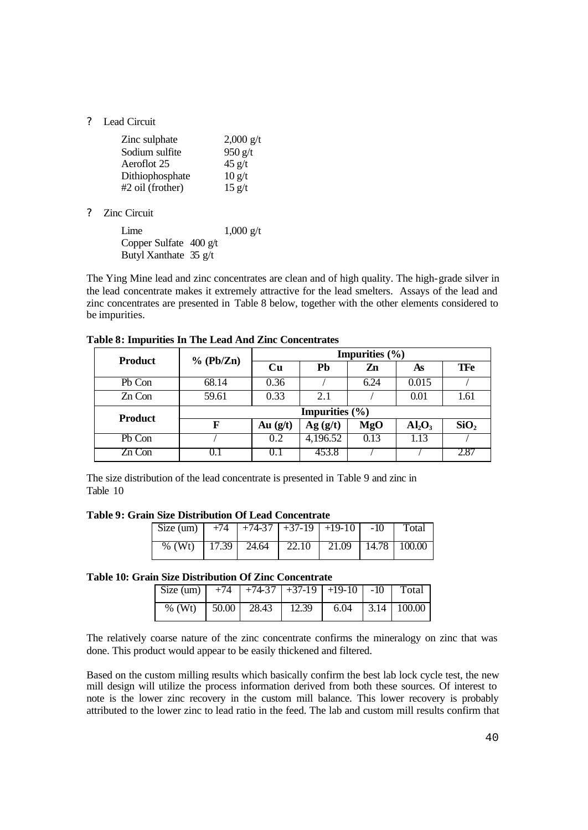? Lead Circuit

| Zinc sulphate      | $2,000 \frac{g}{t}$ |
|--------------------|---------------------|
| Sodium sulfite     | $950$ g/t           |
| Aeroflot 25        | 45 g/t              |
| Dithiophosphate    | 10 g/t              |
| $#2$ oil (frother) | 15 g/t              |

? Zinc Circuit

| Lime                              | $1,000 \text{ g/t}$ |
|-----------------------------------|---------------------|
| Copper Sulfate $400 \frac{gt}{t}$ |                     |
| Butyl Xanthate $35 \frac{g}{t}$   |                     |

The Ying Mine lead and zinc concentrates are clean and of high quality. The high-grade silver in the lead concentrate makes it extremely attractive for the lead smelters. Assays of the lead and zinc concentrates are presented in Table 8 below, together with the other elements considered to be impurities.

| <b>Product</b> | % (Pb/Zn)                 | Impurities $(\% )$ |           |      |                                |                  |  |
|----------------|---------------------------|--------------------|-----------|------|--------------------------------|------------------|--|
|                |                           | Cu                 | <b>Pb</b> | Zn   | As                             | <b>TFe</b>       |  |
| Pb Con         | 68.14                     | 0.36               |           | 6.24 | 0.015                          |                  |  |
| Zn Con         | 59.61                     | 0.33               | 2.1       |      | 0.01                           | 1.61             |  |
| <b>Product</b> | <b>Impurities</b> $(\% )$ |                    |           |      |                                |                  |  |
|                | F                         | Au $(g/t)$         | Ag(g/t)   | MgO  | Al <sub>2</sub> O <sub>3</sub> | SiO <sub>2</sub> |  |
| Pb Con         |                           | 0.2                | 4,196.52  | 0.13 | 1.13                           |                  |  |
| Zn Con         |                           |                    | 453.8     |      |                                | 2.87             |  |

**Table 8: Impurities In The Lead And Zinc Concentrates**

The size distribution of the lead concentrate is presented in Table 9 and zinc in Table 10

**Table 9: Grain Size Distribution Of Lead Concentrate**

| Size (um) $+74$ $+74-37$ $+37-19$ $+19-10$ $-10$ Total                |  |  |  |
|-----------------------------------------------------------------------|--|--|--|
| $\frac{96}{11}$ (Wt)   17.39   24.64   22.10   21.09   14.78   100.00 |  |  |  |

#### **Table 10: Grain Size Distribution Of Zinc Concentrate**

| Size (um) $+74$ $+74-37$ $+37-19$ $+19-10$ $-10$ Total |  |  |  |
|--------------------------------------------------------|--|--|--|
| % (Wt) $\boxed{50.00}$ 28.43 12.39 6.04 3.14 100.00    |  |  |  |

The relatively coarse nature of the zinc concentrate confirms the mineralogy on zinc that was done. This product would appear to be easily thickened and filtered.

Based on the custom milling results which basically confirm the best lab lock cycle test, the new mill design will utilize the process information derived from both these sources. Of interest to note is the lower zinc recovery in the custom mill balance. This lower recovery is probably attributed to the lower zinc to lead ratio in the feed. The lab and custom mill results confirm that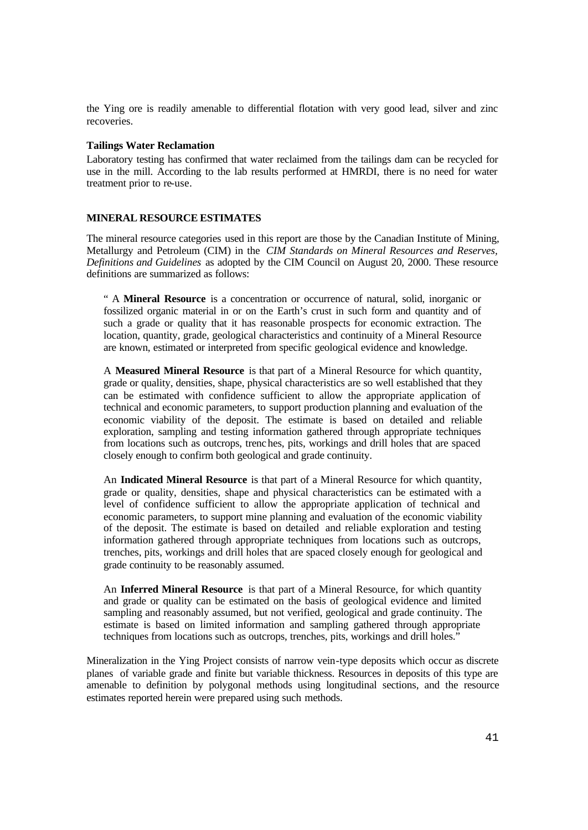the Ying ore is readily amenable to differential flotation with very good lead, silver and zinc recoveries.

### **Tailings Water Reclamation**

Laboratory testing has confirmed that water reclaimed from the tailings dam can be recycled for use in the mill. According to the lab results performed at HMRDI, there is no need for water treatment prior to re-use.

#### **MINERAL RESOURCE ESTIMATES**

The mineral resource categories used in this report are those by the Canadian Institute of Mining, Metallurgy and Petroleum (CIM) in the *CIM Standards on Mineral Resources and Reserves, Definitions and Guidelines* as adopted by the CIM Council on August 20, 2000. These resource definitions are summarized as follows:

" A **Mineral Resource** is a concentration or occurrence of natural, solid, inorganic or fossilized organic material in or on the Earth's crust in such form and quantity and of such a grade or quality that it has reasonable prospects for economic extraction. The location, quantity, grade, geological characteristics and continuity of a Mineral Resource are known, estimated or interpreted from specific geological evidence and knowledge.

A **Measured Mineral Resource** is that part of a Mineral Resource for which quantity, grade or quality, densities, shape, physical characteristics are so well established that they can be estimated with confidence sufficient to allow the appropriate application of technical and economic parameters, to support production planning and evaluation of the economic viability of the deposit. The estimate is based on detailed and reliable exploration, sampling and testing information gathered through appropriate techniques from locations such as outcrops, trenches, pits, workings and drill holes that are spaced closely enough to confirm both geological and grade continuity.

An **Indicated Mineral Resource** is that part of a Mineral Resource for which quantity, grade or quality, densities, shape and physical characteristics can be estimated with a level of confidence sufficient to allow the appropriate application of technical and economic parameters, to support mine planning and evaluation of the economic viability of the deposit. The estimate is based on detailed and reliable exploration and testing information gathered through appropriate techniques from locations such as outcrops, trenches, pits, workings and drill holes that are spaced closely enough for geological and grade continuity to be reasonably assumed.

An **Inferred Mineral Resource** is that part of a Mineral Resource, for which quantity and grade or quality can be estimated on the basis of geological evidence and limited sampling and reasonably assumed, but not verified, geological and grade continuity. The estimate is based on limited information and sampling gathered through appropriate techniques from locations such as outcrops, trenches, pits, workings and drill holes."

Mineralization in the Ying Project consists of narrow vein-type deposits which occur as discrete planes of variable grade and finite but variable thickness. Resources in deposits of this type are amenable to definition by polygonal methods using longitudinal sections, and the resource estimates reported herein were prepared using such methods.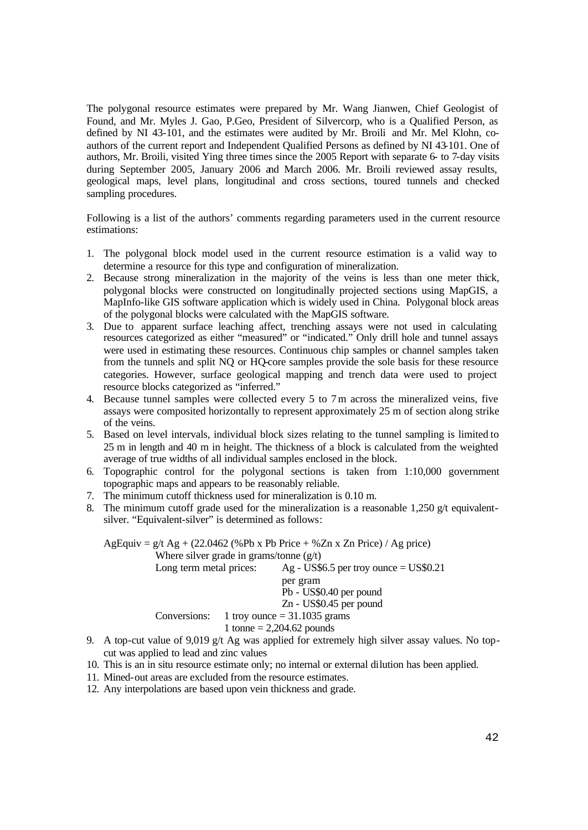The polygonal resource estimates were prepared by Mr. Wang Jianwen, Chief Geologist of Found, and Mr. Myles J. Gao, P.Geo, President of Silvercorp, who is a Qualified Person, as defined by NI 43-101, and the estimates were audited by Mr. Broili and Mr. Mel Klohn, coauthors of the current report and Independent Qualified Persons as defined by NI 43-101. One of authors, Mr. Broili, visited Ying three times since the 2005 Report with separate 6- to 7-day visits during September 2005, January 2006 and March 2006. Mr. Broili reviewed assay results, geological maps, level plans, longitudinal and cross sections, toured tunnels and checked sampling procedures.

Following is a list of the authors' comments regarding parameters used in the current resource estimations:

- 1. The polygonal block model used in the current resource estimation is a valid way to determine a resource for this type and configuration of mineralization.
- 2. Because strong mineralization in the majority of the veins is less than one meter thick, polygonal blocks were constructed on longitudinally projected sections using MapGIS, a MapInfo-like GIS software application which is widely used in China. Polygonal block areas of the polygonal blocks were calculated with the MapGIS software.
- 3. Due to apparent surface leaching affect, trenching assays were not used in calculating resources categorized as either "measured" or "indicated." Only drill hole and tunnel assays were used in estimating these resources. Continuous chip samples or channel samples taken from the tunnels and split NQ or HQ-core samples provide the sole basis for these resource categories. However, surface geological mapping and trench data were used to project resource blocks categorized as "inferred."
- 4. Because tunnel samples were collected every 5 to 7m across the mineralized veins, five assays were composited horizontally to represent approximately 25 m of section along strike of the veins.
- 5. Based on level intervals, individual block sizes relating to the tunnel sampling is limited to 25 m in length and 40 m in height. The thickness of a block is calculated from the weighted average of true widths of all individual samples enclosed in the block.
- 6. Topographic control for the polygonal sections is taken from 1:10,000 government topographic maps and appears to be reasonably reliable.
- 7. The minimum cutoff thickness used for mineralization is 0.10 m.
- 8. The minimum cutoff grade used for the mineralization is a reasonable 1,250  $g/t$  equivalentsilver. "Equivalent-silver" is determined as follows:

AgEquiv =  $g/t$  Ag + (22.0462 (%Pb x Pb Price + %Zn x Zn Price) / Ag price) Where silver grade in grams/tonne  $(g/t)$ Long term metal prices:  $\text{Ag - US$6.5 per troy ounce} = \text{US$0.21}$ per gram Pb - US\$0.40 per pound Zn - US\$0.45 per pound Conversions: 1 troy ounce  $= 31.1035$  grams 1 tonne =  $2,204.62$  pounds

- 9. A top-cut value of 9,019 g/t Ag was applied for extremely high silver assay values. No topcut was applied to lead and zinc values
- 10. This is an in situ resource estimate only; no internal or external dilution has been applied.
- 11. Mined-out areas are excluded from the resource estimates.
- 12. Any interpolations are based upon vein thickness and grade.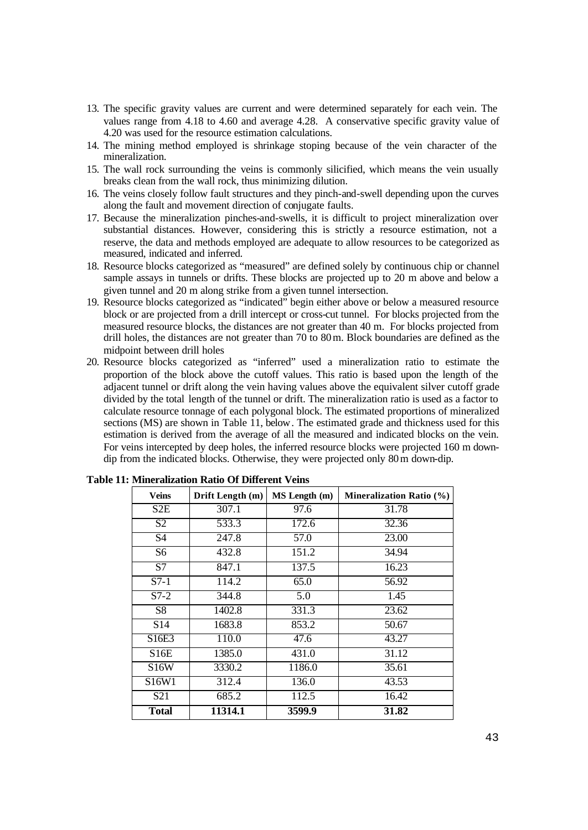- 13. The specific gravity values are current and were determined separately for each vein. The values range from 4.18 to 4.60 and average 4.28. A conservative specific gravity value of 4.20 was used for the resource estimation calculations.
- 14. The mining method employed is shrinkage stoping because of the vein character of the mineralization.
- 15. The wall rock surrounding the veins is commonly silicified, which means the vein usually breaks clean from the wall rock, thus minimizing dilution.
- 16. The veins closely follow fault structures and they pinch-and-swell depending upon the curves along the fault and movement direction of conjugate faults.
- 17. Because the mineralization pinches-and-swells, it is difficult to project mineralization over substantial distances. However, considering this is strictly a resource estimation, not a reserve, the data and methods employed are adequate to allow resources to be categorized as measured, indicated and inferred.
- 18. Resource blocks categorized as "measured" are defined solely by continuous chip or channel sample assays in tunnels or drifts. These blocks are projected up to 20 m above and below a given tunnel and 20 m along strike from a given tunnel intersection.
- 19. Resource blocks categorized as "indicated" begin either above or below a measured resource block or are projected from a drill intercept or cross-cut tunnel. For blocks projected from the measured resource blocks, the distances are not greater than 40 m. For blocks projected from drill holes, the distances are not greater than 70 to 80m. Block boundaries are defined as the midpoint between drill holes
- 20. Resource blocks categorized as "inferred" used a mineralization ratio to estimate the proportion of the block above the cutoff values. This ratio is based upon the length of the adjacent tunnel or drift along the vein having values above the equivalent silver cutoff grade divided by the total length of the tunnel or drift. The mineralization ratio is used as a factor to calculate resource tonnage of each polygonal block. The estimated proportions of mineralized sections (MS) are shown in Table 11, below. The estimated grade and thickness used for this estimation is derived from the average of all the measured and indicated blocks on the vein. For veins intercepted by deep holes, the inferred resource blocks were projected 160 m downdip from the indicated blocks. Otherwise, they were projected only 80m down-dip.

| <b>Veins</b>      | Drift Length (m) | MS Length (m)     | <b>Mineralization Ratio (%)</b> |
|-------------------|------------------|-------------------|---------------------------------|
| S2E               | 307.1            | 97.6              | 31.78                           |
| $\overline{S2}$   | 533.3            | 172.6             | 32.36                           |
| S <sub>4</sub>    | 247.8            | 57.0              | 23.00                           |
| S6                | 432.8            | 151.2             | 34.94                           |
| S <sub>7</sub>    | 847.1            | 137.5             | 16.23                           |
| $S7-1$            | 114.2            | 65.0              | 56.92                           |
| $S7-2$            | 344.8            | 5.0               | 1.45                            |
| S <sub>8</sub>    | 1402.8           | 331.3             | 23.62                           |
| S14               | 1683.8           | 853.2             | 50.67                           |
| S16E3             | 110.0            | $\overline{47.6}$ | 43.27                           |
| S16E              | 1385.0           | 431.0             | 31.12                           |
| S <sub>16</sub> W | 3330.2           | 1186.0            | 35.61                           |
| S16W1             | 312.4            | 136.0             | 43.53                           |
| S <sub>21</sub>   | 685.2            | 112.5             | 16.42                           |
| <b>Total</b>      | 11314.1          | 3599.9            | 31.82                           |

**Table 11: Mineralization Ratio Of Different Veins**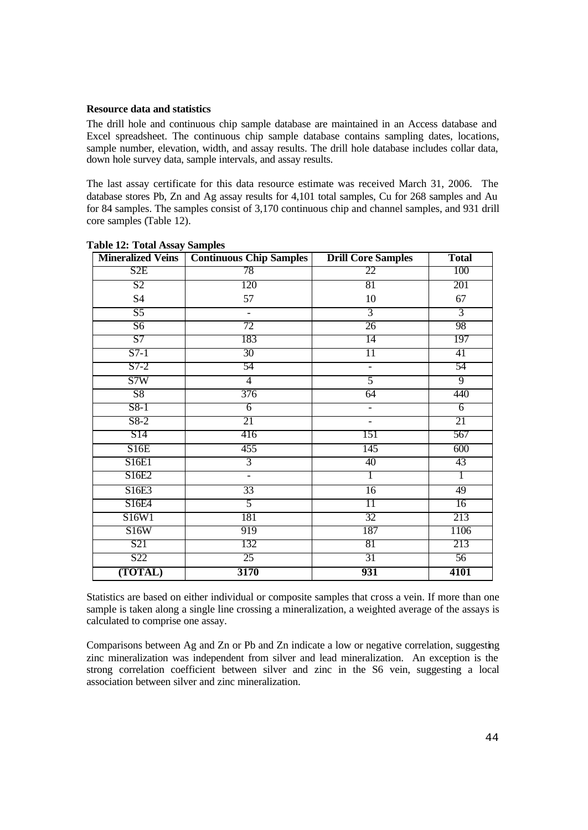### **Resource data and statistics**

The drill hole and continuous chip sample database are maintained in an Access database and Excel spreadsheet. The continuous chip sample database contains sampling dates, locations, sample number, elevation, width, and assay results. The drill hole database includes collar data, down hole survey data, sample intervals, and assay results.

The last assay certificate for this data resource estimate was received March 31, 2006. The database stores Pb, Zn and Ag assay results for 4,101 total samples, Cu for 268 samples and Au for 84 samples. The samples consist of 3,170 continuous chip and channel samples, and 931 drill core samples (Table 12).

| <b>Mineralized Veins</b> | <b>Continuous Chip Samples</b> | <b>Drill Core Samples</b> | <b>Total</b>   |
|--------------------------|--------------------------------|---------------------------|----------------|
| S <sub>2</sub> E         | 78                             | 22                        | 100            |
| $\overline{S2}$          | 120                            | 81                        | 201            |
| S4                       | 57                             | 10                        | 67             |
| $\overline{S5}$          | $\overline{a}$                 | $\overline{3}$            | $\overline{3}$ |
| $\overline{S6}$          | 72                             | 26                        | 98             |
| S7                       | 183                            | 14                        | 197            |
| $S7-1$                   | 30                             | $\overline{11}$           | 41             |
| $S7-2$                   | 54                             | $\overline{\phantom{0}}$  | 54             |
| S7W                      | $\overline{4}$                 | 5                         | $\overline{9}$ |
| S8                       | 376                            | 64                        | 440            |
| S8-1                     | $\overline{6}$                 | $\overline{\phantom{0}}$  | $\overline{6}$ |
| $S8-2$                   | 21                             | $\qquad \qquad -$         | 21             |
| S14                      | 416                            | 151                       | 567            |
| S16E                     | 455                            | 145                       | 600            |
| S16E1                    | $\overline{3}$                 | 40                        | 43             |
| S16E2                    | $\overline{a}$                 |                           | 1              |
| S16E3                    | 33                             | $\overline{16}$           | 49             |
| S16E4                    | 5                              | 11                        | 16             |
| S16W1                    | 181                            | 32                        | 213            |
| S16W                     | 919                            | 187                       | 1106           |
| S21                      | 132                            | 81                        | 213            |
| S <sub>22</sub>          | 25                             | 31                        | 56             |
| (TOTAL)                  | 3170                           | 931                       | 4101           |

**Table 12: Total Assay Samples**

Statistics are based on either individual or composite samples that cross a vein. If more than one sample is taken along a single line crossing a mineralization, a weighted average of the assays is calculated to comprise one assay.

Comparisons between Ag and Zn or Pb and Zn indicate a low or negative correlation, suggesting zinc mineralization was independent from silver and lead mineralization. An exception is the strong correlation coefficient between silver and zinc in the S6 vein, suggesting a local association between silver and zinc mineralization.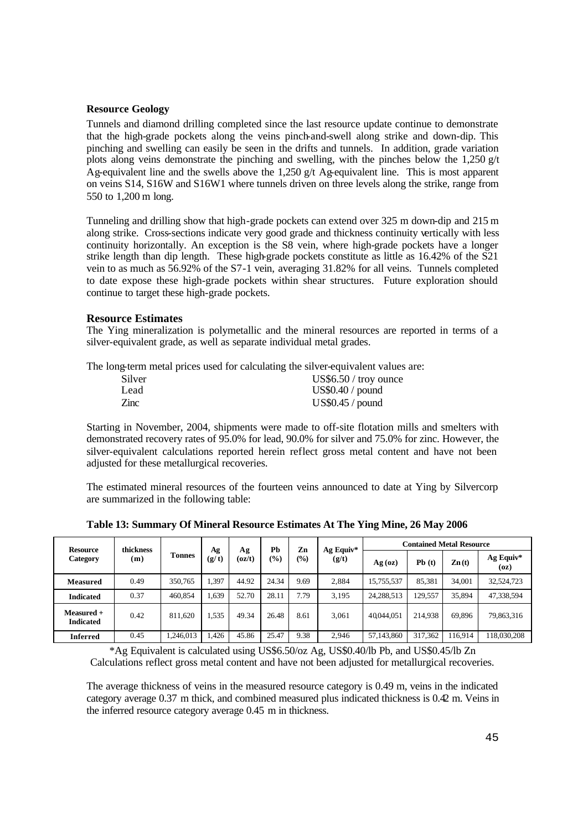### **Resource Geology**

Tunnels and diamond drilling completed since the last resource update continue to demonstrate that the high-grade pockets along the veins pinch-and-swell along strike and down-dip. This pinching and swelling can easily be seen in the drifts and tunnels. In addition, grade variation plots along veins demonstrate the pinching and swelling, with the pinches below the 1,250  $g/t$ Ag-equivalent line and the swells above the 1,250 g/t Ag-equivalent line. This is most apparent on veins S14, S16W and S16W1 where tunnels driven on three levels along the strike, range from 550 to 1,200 m long.

Tunneling and drilling show that high-grade pockets can extend over 325 m down-dip and 215 m along strike. Cross-sections indicate very good grade and thickness continuity vertically with less continuity horizontally. An exception is the S8 vein, where high-grade pockets have a longer strike length than dip length. These high-grade pockets constitute as little as 16.42% of the S21 vein to as much as 56.92% of the S7-1 vein, averaging 31.82% for all veins. Tunnels completed to date expose these high-grade pockets within shear structures. Future exploration should continue to target these high-grade pockets.

### **Resource Estimates**

The Ying mineralization is polymetallic and the mineral resources are reported in terms of a silver-equivalent grade, as well as separate individual metal grades.

The long-term metal prices used for calculating the silver-equivalent values are:

| Silver | $US$6.50 /$ troy ounce |
|--------|------------------------|
| Lead   | US\$0.40 / pound       |
| Zinc   | US\$0.45 / pound       |

Starting in November, 2004, shipments were made to off-site flotation mills and smelters with demonstrated recovery rates of 95.0% for lead, 90.0% for silver and 75.0% for zinc. However, the silver-equivalent calculations reported herein reflect gross metal content and have not been adjusted for these metallurgical recoveries.

The estimated mineral resources of the fourteen veins announced to date at Ying by Silvercorp are summarized in the following table:

| Resource<br>Category             | thickness |               |             |              | Ph    | Zn              |                    | <b>Contained Metal Resource</b> |         |                  |                   |  |
|----------------------------------|-----------|---------------|-------------|--------------|-------|-----------------|--------------------|---------------------------------|---------|------------------|-------------------|--|
|                                  | (m)       | <b>Tonnes</b> | Ag<br>(g/t) | Αg<br>(oz/t) | (0/0) | $\frac{(0)}{0}$ | Ag Equiv*<br>(g/t) | $Ag$ (oz)                       | Pb(t)   | $\mathbf{Zn(t)}$ | Ag Equiv*<br>(oz) |  |
| <b>Measured</b>                  | 0.49      | 350,765       | 1,397       | 44.92        | 24.34 | 9.69            | 2.884              | 15,755,537                      | 85,381  | 34,001           | 32,524,723        |  |
| <b>Indicated</b>                 | 0.37      | 460,854       | 1,639       | 52.70        | 28.11 | 7.79            | 3.195              | 24,288,513                      | 129.557 | 35.894           | 47,338,594        |  |
| $Measured +$<br><b>Indicated</b> | 0.42      | 811,620       | 1,535       | 49.34        | 26.48 | 8.61            | 3.061              | 40,044,051                      | 214.938 | 69,896           | 79,863,316        |  |
| Inferred                         | 0.45      | .246.013      | .426        | 45.86        | 25.47 | 9.38            | 2,946              | 57,143,860                      | 317.362 | 116,914          | 118,030,208       |  |

**Table 13: Summary Of Mineral Resource Estimates At The Ying Mine, 26 May 2006**

\*Ag Equivalent is calculated using US\$6.50/oz Ag, US\$0.40/lb Pb, and US\$0.45/lb Zn Calculations reflect gross metal content and have not been adjusted for metallurgical recoveries.

The average thickness of veins in the measured resource category is 0.49 m, veins in the indicated category average 0.37 m thick, and combined measured plus indicated thickness is 0.42 m. Veins in the inferred resource category average 0.45 m in thickness.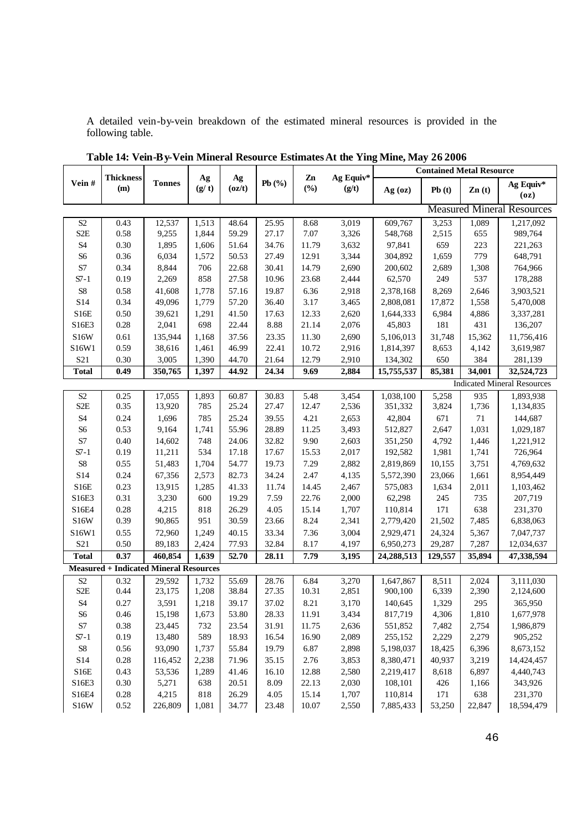A detailed vein-by-vein breakdown of the estimated mineral resources is provided in the following table.

|                            |                         |                                               |             |                                         |           |              |                    |            | <b>Contained Metal Resource</b> |                   |                                    |
|----------------------------|-------------------------|-----------------------------------------------|-------------|-----------------------------------------|-----------|--------------|--------------------|------------|---------------------------------|-------------------|------------------------------------|
| Vein#                      | <b>Thickness</b><br>(m) | <b>Tonnes</b>                                 | Ag<br>(g/t) | Ag<br>$\left( \frac{\alpha}{t} \right)$ | Pb $(\%)$ | Zn<br>$(\%)$ | Ag Equiv*<br>(g/t) | Ag (oz)    | Pb(t)                           | $\mathbf{Zn}$ (t) | Ag Equiv*<br>(oz)                  |
|                            |                         |                                               |             |                                         |           |              |                    |            |                                 |                   | <b>Measured Mineral Resources</b>  |
| $\ensuremath{\mathrm{S2}}$ | 0.43                    | 12,537                                        | 1,513       | 48.64                                   | 25.95     | 8.68         | 3,019              | 609,767    | 3,253                           | 1,089             | 1,217,092                          |
| S <sub>2</sub> E           | $0.58\,$                | 9,255                                         | 1,844       | 59.29                                   | 27.17     | $7.07\,$     | 3,326              | 548,768    | 2,515                           | 655               | 989,764                            |
| $\ensuremath{\mathrm{S}}4$ | $0.30\,$                | 1,895                                         | 1,606       | 51.64                                   | 34.76     | 11.79        | 3,632              | 97,841     | 659                             | 223               | 221,263                            |
| S <sub>6</sub>             | 0.36                    | 6,034                                         | 1,572       | 50.53                                   | 27.49     | 12.91        | 3,344              | 304,892    | 1,659                           | 779               | 648,791                            |
| $\mathbf{S}7$              | 0.34                    | 8,844                                         | 706         | 22.68                                   | 30.41     | 14.79        | 2,690              | 200,602    | 2,689                           | 1,308             | 764,966                            |
| $S7-1$                     | 0.19                    | 2,269                                         | 858         | 27.58                                   | 10.96     | 23.68        | 2,444              | 62,570     | 249                             | 537               | 178,288                            |
| ${\rm S}8$                 | 0.58                    | 41,608                                        | 1,778       | 57.16                                   | 19.87     | 6.36         | 2,918              | 2,378,168  | 8,269                           | 2,646             | 3,903,521                          |
| S14                        | 0.34                    | 49,096                                        | 1,779       | 57.20                                   | 36.40     | 3.17         | 3,465              | 2,808,081  | 17,872                          | 1,558             | 5,470,008                          |
| S16E                       | $0.50\,$                | 39,621                                        | 1,291       | 41.50                                   | 17.63     | 12.33        | 2,620              | 1,644,333  | 6,984                           | 4,886             | 3,337,281                          |
| S16E3                      | $0.28\,$                | 2,041                                         | 698         | 22.44                                   | 8.88      | 21.14        | 2,076              | 45,803     | 181                             | 431               | 136,207                            |
| S <sub>16</sub> W          | 0.61                    | 135,944                                       | 1,168       | 37.56                                   | 23.35     | 11.30        | 2,690              | 5,106,013  | 31,748                          | 15,362            | 11,756,416                         |
| S16W1                      | 0.59                    | 38,616                                        | 1,461       | 46.99                                   | 22.41     | 10.72        | 2,916              | 1,814,397  | 8,653                           | 4,142             | 3,619,987                          |
| S21                        | 0.30                    | 3,005                                         | 1,390       | 44.70                                   | 21.64     | 12.79        | 2,910              | 134,302    | 650                             | 384               | 281,139                            |
| <b>Total</b>               | 0.49                    | 350,765                                       | 1,397       | 44.92                                   | 24.34     | 9.69         | 2,884              | 15,755,537 | 85,381                          | 34,001            | 32,524,723                         |
|                            |                         |                                               |             |                                         |           |              |                    |            |                                 |                   | <b>Indicated Mineral Resources</b> |
| $\mathbf{S2}$              | 0.25                    | 17,055                                        | 1,893       | 60.87                                   | 30.83     | 5.48         | 3,454              | 1,038,100  | 5,258                           | 935               | 1,893,938                          |
| S <sub>2</sub> E           | 0.35                    | 13,920                                        | 785         | 25.24                                   | 27.47     | 12.47        | 2,536              | 351,332    | 3,824                           | 1,736             | 1,134,835                          |
| $\ensuremath{\mathrm{S}}4$ | 0.24                    | 1,696                                         | 785         | 25.24                                   | 39.55     | 4.21         | 2,653              | 42,804     | 671                             | $71\,$            | 144,687                            |
| $S6$                       | 0.53                    | 9,164                                         | 1,741       | 55.96                                   | 28.89     | 11.25        | 3,493              | 512,827    | 2,647                           | 1,031             | 1,029,187                          |
| $\mathbf{S}7$              | 0.40                    | 14,602                                        | 748         | 24.06                                   | 32.82     | 9.90         | 2,603              | 351,250    | 4,792                           | 1,446             | 1,221,912                          |
| $S7-1$                     | 0.19                    | 11,211                                        | 534         | 17.18                                   | 17.67     | 15.53        | 2,017              | 192,582    | 1,981                           | 1,741             | 726,964                            |
| ${\rm S}8$                 | 0.55                    | 51,483                                        | 1,704       | 54.77                                   | 19.73     | 7.29         | 2,882              | 2,819,869  | 10,155                          | 3,751             | 4,769,632                          |
| S14                        | 0.24                    | 67,356                                        | 2,573       | 82.73                                   | 34.24     | 2.47         | 4,135              | 5,572,390  | 23,066                          | 1,661             | 8,954,449                          |
| S16E                       | 0.23                    | 13,915                                        | 1,285       | 41.33                                   | 11.74     | 14.45        | 2,467              | 575,083    | 1,634                           | 2,011             | 1,103,462                          |
| S16E3                      | 0.31                    | 3,230                                         | 600         | 19.29                                   | 7.59      | 22.76        | 2,000              | 62,298     | 245                             | 735               | 207,719                            |
| S16E4                      | $0.28\,$                | 4,215                                         | 818         | 26.29                                   | 4.05      | 15.14        | 1,707              | 110,814    | 171                             | 638               | 231,370                            |
| S16W                       | 0.39                    | 90,865                                        | 951         | 30.59                                   | 23.66     | 8.24         | 2,341              | 2,779,420  | 21,502                          | 7,485             | 6,838,063                          |
| S16W1                      | 0.55                    | 72,960                                        | 1,249       | 40.15                                   | 33.34     | 7.36         | 3,004              | 2,929,471  | 24,324                          | 5,367             | 7,047,737                          |
| S <sub>21</sub>            | 0.50                    | 89,183                                        | 2,424       | 77.93                                   | 32.84     | 8.17         | 4,197              | 6,950,273  | 29,287                          | 7,287             | 12,034,637                         |
| <b>Total</b>               | 0.37                    | 460,854                                       | 1,639       | 52.70                                   | 28.11     | 7.79         | 3,195              | 24,288,513 | 129,557                         | 35,894            | 47,338,594                         |
|                            |                         | <b>Measured + Indicated Mineral Resources</b> |             |                                         |           |              |                    |            |                                 |                   |                                    |
| $\mathbf{S2}$              | 0.32                    | 29,592                                        | 1,732       | 55.69                                   | 28.76     | 6.84         | 3,270              | 1,647,867  | 8,511                           | 2,024             | 3,111,030                          |
| $S2\mathbf{E}$             | 0.44                    | 23,175                                        | 1,208       | 38.84                                   | 27.35     | 10.31        | 2,851              | 900,100    | 6,339                           | 2,390             | 2,124,600                          |
| <b>S4</b>                  | $0.27\,$                | 3,591                                         | 1,218       | 39.17                                   | 37.02     | $8.21\,$     | 3,170              | 140,645    | 1,329                           | 295               | 365,950                            |
| S <sub>6</sub>             | 0.46                    | 15,198                                        | 1,673       | 53.80                                   | 28.33     | 11.91        | 3,434              | 817,719    | 4,306                           | 1,810             | 1,677,978                          |
| $\ensuremath{\mathrm{S7}}$ | 0.38                    | 23,445                                        | 732         | 23.54                                   | 31.91     | 11.75        | 2,636              | 551,852    | 7,482                           | 2,754             | 1,986,879                          |
| $S7-1$                     | 0.19                    | 13,480                                        | 589         | 18.93                                   | 16.54     | 16.90        | 2,089              | 255,152    | 2,229                           | 2,279             | 905,252                            |
| ${\rm S}8$                 | 0.56                    | 93,090                                        | 1,737       | 55.84                                   | 19.79     | 6.87         | 2,898              | 5,198,037  | 18,425                          | 6,396             | 8,673,152                          |
| S14                        | 0.28                    | 116,452                                       | 2,238       | 71.96                                   | 35.15     | 2.76         | 3,853              | 8,380,471  | 40,937                          | 3,219             | 14,424,457                         |
| S16E                       | 0.43                    | 53,536                                        | 1,289       | 41.46                                   | 16.10     | 12.88        | 2,580              | 2,219,417  | 8,618                           | 6,897             | 4,440,743                          |
| S16E3                      | $0.30\,$                | 5,271                                         | 638         | 20.51                                   | 8.09      | 22.13        | 2,030              | 108,101    | 426                             | 1,166             | 343,926                            |
| S16E4                      | $0.28\,$                | 4,215                                         | 818         | 26.29                                   | 4.05      | 15.14        | 1,707              | 110,814    | 171                             | 638               | 231,370                            |
| S16W                       | $0.52\,$                | 226,809                                       | 1,081       | 34.77                                   | 23.48     | 10.07        | 2,550              | 7,885,433  | 53,250                          | 22,847            | 18,594,479                         |

**Table 14: Vein-By-Vein Mineral Resource Estimates At the Ying Mine, May 26 2006**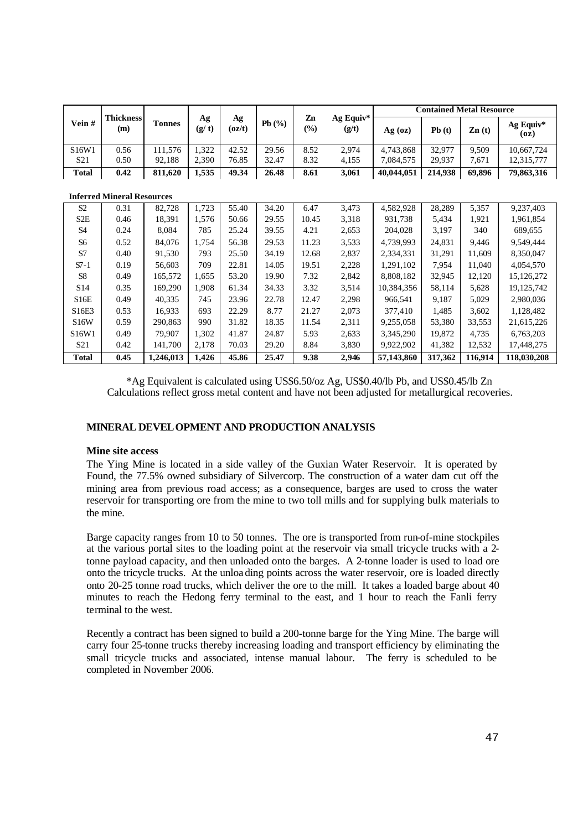|              |                        |               |             |              |       | Zn            | Ag Equiv* | <b>Contained Metal Resource</b> |                            |        |                   |  |
|--------------|------------------------|---------------|-------------|--------------|-------|---------------|-----------|---------------------------------|----------------------------|--------|-------------------|--|
| Vein#        | <b>Thickness</b><br>(m | <b>Tonnes</b> | Аg<br>(g/t) | Ag<br>(oz/t) | Pb(%) | $\frac{1}{2}$ | (g/t)     | Ag (oz)                         | Pb(t)<br>$\mathbf{Zn}$ (t) |        | Ag Equiv*<br>(oz) |  |
| S16W1        | 0.56                   | 11.576        | .322        | 42.52        | 29.56 | 8.52          | 2.974     | 4,743,868                       | 32.977                     | 9.509  | 10,667,724        |  |
| S21          | 0.50                   | 92.188        | 2.390       | 76.85        | 32.47 | 8.32          | 4,155     | 7.084.575                       | 29.937                     | 7.671  | 12,315,777        |  |
| <b>Total</b> | 0.42                   | 811.620       | .535        | 49.34        | 26.48 | 8.61          | 3,061     | 40.044.051                      | 214.938                    | 69.896 | 79,863,316        |  |

|                  | <b>Inferred Mineral Resources</b> |           |       |       |       |       |       |            |         |         |              |
|------------------|-----------------------------------|-----------|-------|-------|-------|-------|-------|------------|---------|---------|--------------|
| S <sub>2</sub>   | 0.31                              | 82,728    | 1,723 | 55.40 | 34.20 | 6.47  | 3,473 | 4,582,928  | 28,289  | 5,357   | 9,237,403    |
| S <sub>2</sub> E | 0.46                              | 18,391    | 1.576 | 50.66 | 29.55 | 10.45 | 3,318 | 931.738    | 5,434   | 1,921   | 1,961,854    |
| S <sub>4</sub>   | 0.24                              | 8,084     | 785   | 25.24 | 39.55 | 4.21  | 2,653 | 204,028    | 3,197   | 340     | 689,655      |
| S6               | 0.52                              | 84.076    | 1.754 | 56.38 | 29.53 | 11.23 | 3,533 | 4.739.993  | 24.831  | 9.446   | 9.549.444    |
| S7               | 0.40                              | 91,530    | 793   | 25.50 | 34.19 | 12.68 | 2,837 | 2,334,331  | 31,291  | 11,609  | 8,350,047    |
| $S7-1$           | 0.19                              | 56,603    | 709   | 22.81 | 14.05 | 19.51 | 2,228 | 1.291.102  | 7.954   | 11.040  | 4.054.570    |
| S8               | 0.49                              | 165,572   | 1,655 | 53.20 | 19.90 | 7.32  | 2,842 | 8,808,182  | 32,945  | 12,120  | 15, 126, 272 |
| S <sub>14</sub>  | 0.35                              | 169,290   | 1.908 | 61.34 | 34.33 | 3.32  | 3,514 | 10,384,356 | 58,114  | 5,628   | 19, 125, 742 |
| S16E             | 0.49                              | 40,335    | 745   | 23.96 | 22.78 | 12.47 | 2,298 | 966,541    | 9,187   | 5,029   | 2,980,036    |
| S16E3            | 0.53                              | 16,933    | 693   | 22.29 | 8.77  | 21.27 | 2,073 | 377,410    | 1,485   | 3,602   | 1,128,482    |
| <b>S16W</b>      | 0.59                              | 290,863   | 990   | 31.82 | 18.35 | 11.54 | 2,311 | 9.255.058  | 53,380  | 33,553  | 21,615,226   |
| S16W1            | 0.49                              | 79,907    | 1,302 | 41.87 | 24.87 | 5.93  | 2,633 | 3,345,290  | 19.872  | 4,735   | 6,763,203    |
| S <sub>21</sub>  | 0.42                              | 141,700   | 2,178 | 70.03 | 29.20 | 8.84  | 3,830 | 9.922.902  | 41,382  | 12,532  | 17,448,275   |
| <b>Total</b>     | 0.45                              | 1,246,013 | 1,426 | 45.86 | 25.47 | 9.38  | 2,946 | 57,143,860 | 317,362 | 116.914 | 118,030,208  |

\*Ag Equivalent is calculated using US\$6.50/oz Ag, US\$0.40/lb Pb, and US\$0.45/lb Zn Calculations reflect gross metal content and have not been adjusted for metallurgical recoveries.

# **MINERAL DEVELOPMENT AND PRODUCTION ANALYSIS**

### **Mine site access**

The Ying Mine is located in a side valley of the Guxian Water Reservoir. It is operated by Found, the 77.5% owned subsidiary of Silvercorp. The construction of a water dam cut off the mining area from previous road access; as a consequence, barges are used to cross the water reservoir for transporting ore from the mine to two toll mills and for supplying bulk materials to the mine.

Barge capacity ranges from 10 to 50 tonnes. The ore is transported from run-of-mine stockpiles at the various portal sites to the loading point at the reservoir via small tricycle trucks with a 2 tonne payload capacity, and then unloaded onto the barges. A 2-tonne loader is used to load ore onto the tricycle trucks. At the unloa ding points across the water reservoir, ore is loaded directly onto 20-25 tonne road trucks, which deliver the ore to the mill. It takes a loaded barge about 40 minutes to reach the Hedong ferry terminal to the east, and 1 hour to reach the Fanli ferry terminal to the west.

Recently a contract has been signed to build a 200-tonne barge for the Ying Mine. The barge will carry four 25-tonne trucks thereby increasing loading and transport efficiency by eliminating the small tricycle trucks and associated, intense manual labour. The ferry is scheduled to be completed in November 2006.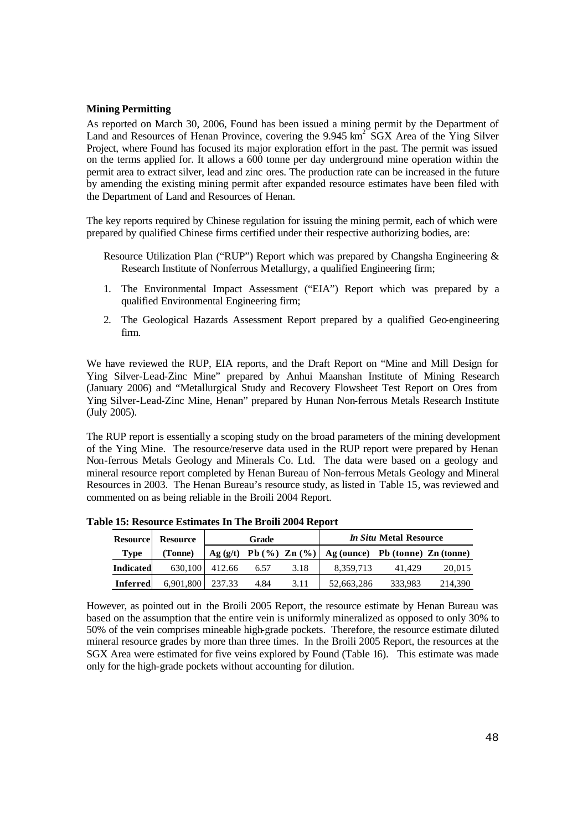### **Mining Permitting**

As reported on March 30, 2006, Found has been issued a mining permit by the Department of Land and Resources of Henan Province, covering the  $9.945 \text{ km}^2$  SGX Area of the Ying Silver Project, where Found has focused its major exploration effort in the past. The permit was issued on the terms applied for. It allows a 600 tonne per day underground mine operation within the permit area to extract silver, lead and zinc ores. The production rate can be increased in the future by amending the existing mining permit after expanded resource estimates have been filed with the Department of Land and Resources of Henan.

The key reports required by Chinese regulation for issuing the mining permit, each of which were prepared by qualified Chinese firms certified under their respective authorizing bodies, are:

- Resource Utilization Plan ("RUP") Report which was prepared by Changsha Engineering & Research Institute of Nonferrous Metallurgy, a qualified Engineering firm;
- 1. The Environmental Impact Assessment ("EIA") Report which was prepared by a qualified Environmental Engineering firm;
- 2. The Geological Hazards Assessment Report prepared by a qualified Geo-engineering firm.

We have reviewed the RUP, EIA reports, and the Draft Report on "Mine and Mill Design for Ying Silver-Lead-Zinc Mine" prepared by Anhui Maanshan Institute of Mining Research (January 2006) and "Metallurgical Study and Recovery Flowsheet Test Report on Ores from Ying Silver-Lead-Zinc Mine, Henan" prepared by Hunan Non-ferrous Metals Research Institute (July 2005).

The RUP report is essentially a scoping study on the broad parameters of the mining development of the Ying Mine. The resource/reserve data used in the RUP report were prepared by Henan Non-ferrous Metals Geology and Minerals Co. Ltd. The data were based on a geology and mineral resource report completed by Henan Bureau of Non-ferrous Metals Geology and Mineral Resources in 2003. The Henan Bureau's resource study, as listed in Table 15, was reviewed and commented on as being reliable in the Broili 2004 Report.

| <b>Resource</b>  | <b>Resource</b> |        | Grade |      | <i>In Situ Metal Resource</i>                                   |         |         |  |  |
|------------------|-----------------|--------|-------|------|-----------------------------------------------------------------|---------|---------|--|--|
| <b>Type</b>      | (Tonne)         |        |       |      | Ag $(g/t)$ Pb $(\%)$ Zn $(\%)$ Ag (ounce) Pb (tonne) Zn (tonne) |         |         |  |  |
| <b>Indicated</b> | 630.100         | 412.66 | 6.57  | 3.18 | 8.359.713                                                       | 41.429  | 20,015  |  |  |
| <b>Inferred</b>  | 6,901,800       | 237.33 | 4.84  | 3.11 | 52.663.286                                                      | 333.983 | 214,390 |  |  |

**Table 15: Resource Estimates In The Broili 2004 Report**

However, as pointed out in the Broili 2005 Report, the resource estimate by Henan Bureau was based on the assumption that the entire vein is uniformly mineralized as opposed to only 30% to 50% of the vein comprises mineable high-grade pockets. Therefore, the resource estimate diluted mineral resource grades by more than three times. In the Broili 2005 Report, the resources at the SGX Area were estimated for five veins explored by Found (Table 16). This estimate was made only for the high-grade pockets without accounting for dilution.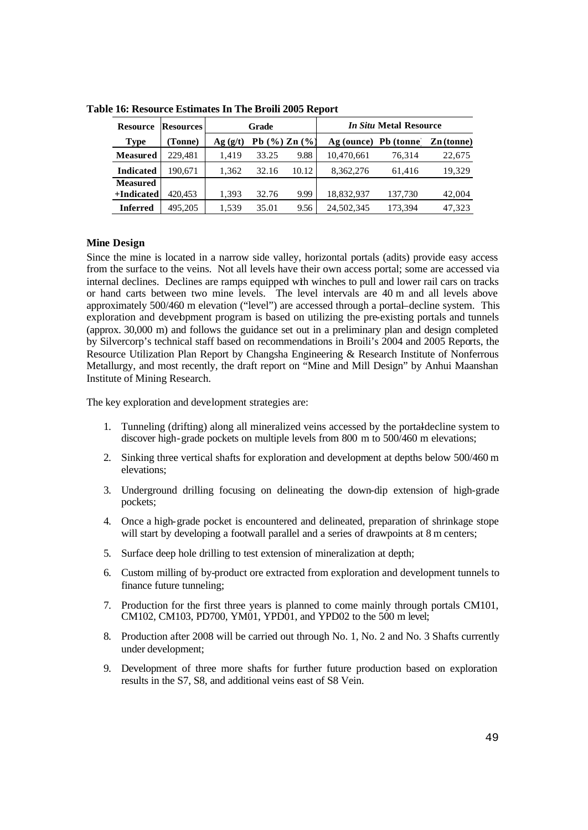| <b>Resource</b>  | <b>Resources</b> |         | Grade               |       |                      |         | <i>In Situ Metal Resource</i> |  |  |  |
|------------------|------------------|---------|---------------------|-------|----------------------|---------|-------------------------------|--|--|--|
| <b>Type</b>      | (Tonne)          | Ag(g/t) | Pb $(\%)$ Zn $(\%)$ |       | Ag (ounce) Pb (tonne |         | $\mathbf{Zn}$ (tonne)         |  |  |  |
| <b>Measured</b>  | 229.481          | 1.419   | 33.25               | 9.88  | 10,470,661           | 76.314  | 22,675                        |  |  |  |
| <b>Indicated</b> | 190.671          | 1,362   | 32.16               | 10.12 | 8,362,276            | 61.416  | 19,329                        |  |  |  |
| <b>Measured</b>  |                  |         |                     |       |                      |         |                               |  |  |  |
| +Indicated       | 420.453          | 1,393   | 32.76               | 9.99  | 18,832,937           | 137,730 | 42,004                        |  |  |  |
| <b>Inferred</b>  | 495,205          | 1.539   | 35.01               | 9.56  | 24,502,345           | 173.394 | 47.323                        |  |  |  |

**Table 16: Resource Estimates In The Broili 2005 Report**

### **Mine Design**

Since the mine is located in a narrow side valley, horizontal portals (adits) provide easy access from the surface to the veins. Not all levels have their own access portal; some are accessed via internal declines. Declines are ramps equipped with winches to pull and lower rail cars on tracks or hand carts between two mine levels. The level intervals are 40 m and all levels above approximately 500/460 m elevation ("level") are accessed through a portal–decline system. This exploration and development program is based on utilizing the pre-existing portals and tunnels (approx. 30,000 m) and follows the guidance set out in a preliminary plan and design completed by Silvercorp's technical staff based on recommendations in Broili's 2004 and 2005 Reports, the Resource Utilization Plan Report by Changsha Engineering & Research Institute of Nonferrous Metallurgy, and most recently, the draft report on "Mine and Mill Design" by Anhui Maanshan Institute of Mining Research.

The key exploration and development strategies are:

- 1. Tunneling (drifting) along all mineralized veins accessed by the portal-decline system to discover high-grade pockets on multiple levels from 800 m to 500/460 m elevations;
- 2. Sinking three vertical shafts for exploration and development at depths below 500/460 m elevations;
- 3. Underground drilling focusing on delineating the down-dip extension of high-grade pockets;
- 4. Once a high-grade pocket is encountered and delineated, preparation of shrinkage stope will start by developing a footwall parallel and a series of drawpoints at 8 m centers;
- 5. Surface deep hole drilling to test extension of mineralization at depth;
- 6. Custom milling of by-product ore extracted from exploration and development tunnels to finance future tunneling;
- 7. Production for the first three years is planned to come mainly through portals CM101, CM102, CM103, PD700, YM01, YPD01, and YPD02 to the 500 m level;
- 8. Production after 2008 will be carried out through No. 1, No. 2 and No. 3 Shafts currently under development;
- 9. Development of three more shafts for further future production based on exploration results in the S7, S8, and additional veins east of S8 Vein.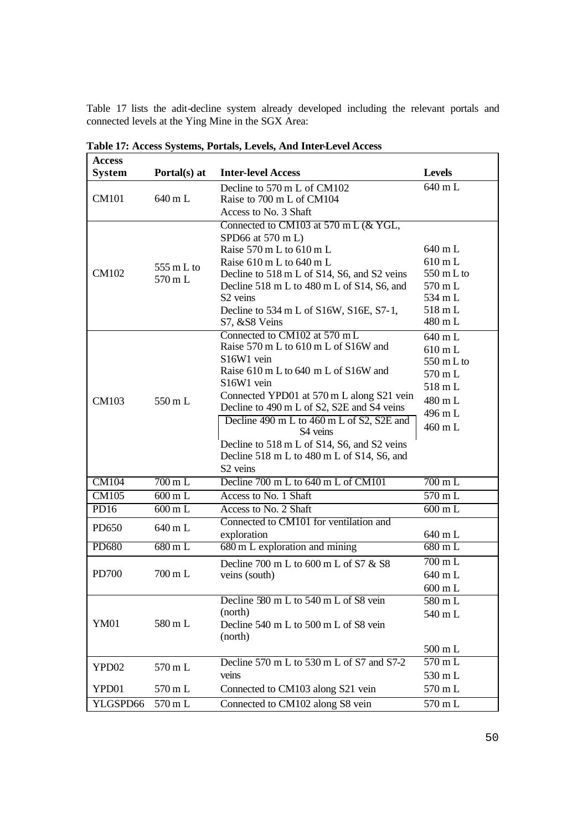Table 17 lists the adit-decline system already developed including the relevant portals and connected levels at the Ying Mine in the SGX Area:

| <b>Access</b>    |                      |                                                                    |                      |
|------------------|----------------------|--------------------------------------------------------------------|----------------------|
| <b>System</b>    | Portal(s) at         | <b>Inter-level Access</b>                                          | <b>Levels</b>        |
|                  |                      | Decline to 570 m L of CM102                                        | 640 mL               |
| <b>CM101</b>     | 640 m L              | Raise to 700 m L of CM104                                          |                      |
|                  |                      | Access to No. 3 Shaft                                              |                      |
|                  |                      | Connected to CM103 at 570 m L $(\&$ YGL,                           |                      |
|                  |                      | SPD66 at 570 m L)                                                  |                      |
|                  |                      | Raise 570 m L to 610 m L                                           | 640 mL               |
|                  | 555 m L to           | Raise $610 \text{ m}$ L to $640 \text{ m}$ L                       | $610$ m L            |
| CM102            | 570 m L              | Decline to 518 m L of S14, S6, and S2 veins                        | $550 \text{ m L}$ to |
|                  |                      | Decline 518 m L to 480 m L of S14, S6, and<br>S <sub>2</sub> veins | 570 mL<br>534 mL     |
|                  |                      |                                                                    | 518 mL               |
|                  |                      | Decline to 534 m L of S16W, S16E, S7-1,<br>S7, &S8 Veins           | 480 mL               |
|                  |                      | Connected to CM102 at 570 mL                                       |                      |
|                  |                      | Raise 570 m L to 610 m L of S16W and                               | 640 mL               |
|                  |                      | S <sub>16</sub> W <sub>1</sub> vein                                | $610 \text{ m L}$    |
|                  |                      | Raise 610 m L to 640 m L of S16W and                               | $550 \text{ m L}$ to |
|                  |                      | S <sub>16</sub> W <sub>1</sub> vein                                | 570 mL               |
|                  |                      | Connected YPD01 at 570 m L along S21 vein                          | 518 mL               |
| CM103            | $550 \text{ m L}$    | Decline to 490 m L of S2, S2E and S4 veins                         | 480 mL               |
|                  |                      | Decline 490 m L to 460 m L of S2, S2E and                          | 496 mL               |
|                  |                      | S4 veins                                                           | 460 mL               |
|                  |                      | Decline to 518 m L of S14, S6, and S2 veins                        |                      |
|                  |                      | Decline 518 m L to 480 m L of S14, S6, and                         |                      |
|                  |                      | S <sub>2</sub> veins                                               |                      |
| <b>CM104</b>     | $700 \,\mathrm{m}$ L | Decline 700 m L to 640 m L of CM101                                | $700 \text{ m L}$    |
| <b>CM105</b>     | 600 m L              | Access to No. 1 Shaft                                              | 570 mL               |
| PD <sub>16</sub> | 600 m L              | Access to No. 2 Shaft                                              | $600$ m L            |
| PD650            | 640 m L              | Connected to CM101 for ventilation and                             |                      |
|                  |                      | exploration                                                        | 640 mL               |
| <b>PD680</b>     | $680 \,\mathrm{m}$ L | 680 m L exploration and mining                                     | $680$ m L            |
|                  |                      | Decline 700 m L to 600 m L of S7 & S8                              | $\overline{700}$ m L |
| PD700            | 700 m L              | veins (south)                                                      | 640 mL               |
|                  |                      |                                                                    | 600 mL               |
|                  |                      | Decline 580 m L to 540 m L of S8 vein                              | 580 m L              |
|                  |                      | (north)                                                            | 540 mL               |
| <b>YM01</b>      | 580 m L              | Decline 540 m L to 500 m L of S8 vein                              |                      |
|                  |                      | (north)                                                            |                      |
|                  |                      |                                                                    | 500 mL               |
| YPD02            | 570 m L              | Decline 570 m L to 530 m L of S7 and S7-2                          | $570$ m L            |
|                  |                      | veins                                                              | 530 mL               |
| YPD01            | 570 m L              | Connected to CM103 along S21 vein                                  | 570 mL               |
| YLGSPD66         | $570\,\mathrm{m}$ L  | Connected to CM102 along S8 vein                                   | 570 mL               |

**Table 17: Access Systems, Portals, Levels, And Inter-Level Access**

ı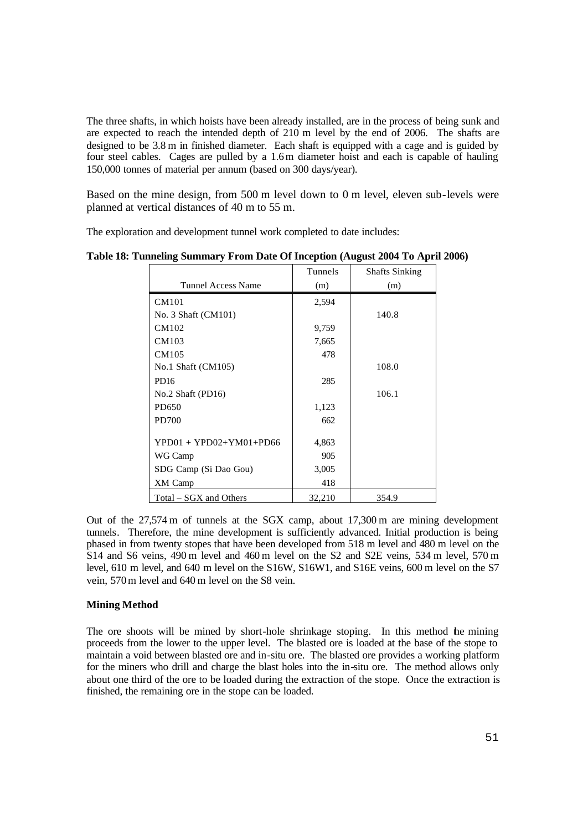The three shafts, in which hoists have been already installed, are in the process of being sunk and are expected to reach the intended depth of 210 m level by the end of 2006. The shafts are designed to be 3.8 m in finished diameter. Each shaft is equipped with a cage and is guided by four steel cables. Cages are pulled by a 1.6m diameter hoist and each is capable of hauling 150,000 tonnes of material per annum (based on 300 days/year).

Based on the mine design, from 500 m level down to 0 m level, eleven sub-levels were planned at vertical distances of 40 m to 55 m.

The exploration and development tunnel work completed to date includes:

|                           | Tunnels | <b>Shafts Sinking</b> |
|---------------------------|---------|-----------------------|
| Tunnel Access Name        | (m)     | (m)                   |
| CM101                     | 2,594   |                       |
| No. 3 Shaft (CM101)       |         | 140.8                 |
| CM102                     | 9,759   |                       |
| CM103                     | 7,665   |                       |
| CM105                     | 478     |                       |
| $No.1 Shaft$ (CM105)      |         | 108.0                 |
| PD <sub>16</sub>          | 285     |                       |
| No.2 Shaft $(PD16)$       |         | 106.1                 |
| PD650                     | 1,123   |                       |
| PD700                     | 662     |                       |
| $YPD01 + YPD02+YM01+PD66$ | 4,863   |                       |
| WG Camp                   | 905     |                       |
| SDG Camp (Si Dao Gou)     | 3,005   |                       |
| XM Camp                   | 418     |                       |
| Total – SGX and Others    | 32,210  | 354.9                 |

**Table 18: Tunneling Summary From Date Of Inception (August 2004 To April 2006)**

Out of the 27,574 m of tunnels at the SGX camp, about 17,300 m are mining development tunnels. Therefore, the mine development is sufficiently advanced. Initial production is being phased in from twenty stopes that have been developed from 518 m level and 480 m level on the S14 and S6 veins, 490 m level and 460 m level on the S2 and S2E veins, 534 m level, 570 m level, 610 m level, and 640 m level on the S16W, S16W1, and S16E veins, 600 m level on the S7 vein, 570m level and 640 m level on the S8 vein.

# **Mining Method**

The ore shoots will be mined by short-hole shrinkage stoping. In this method the mining proceeds from the lower to the upper level. The blasted ore is loaded at the base of the stope to maintain a void between blasted ore and in-situ ore. The blasted ore provides a working platform for the miners who drill and charge the blast holes into the in-situ ore. The method allows only about one third of the ore to be loaded during the extraction of the stope. Once the extraction is finished, the remaining ore in the stope can be loaded.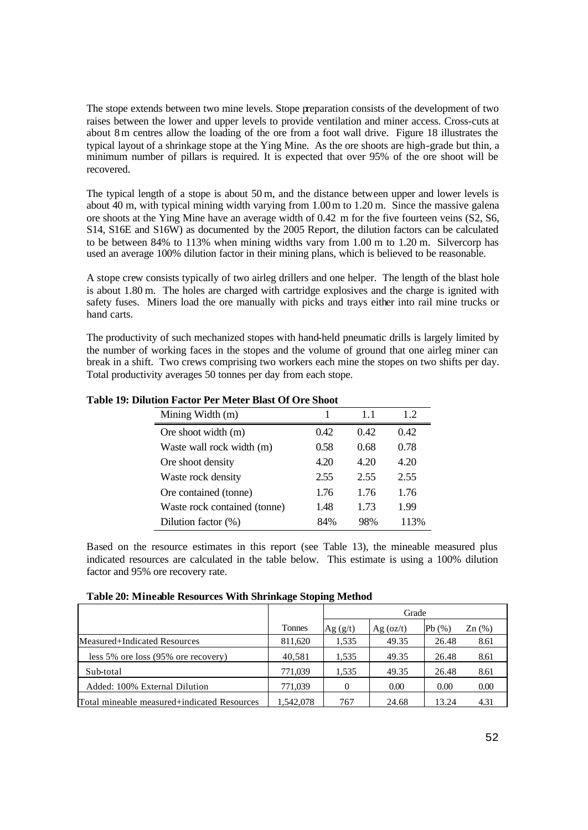The stope extends between two mine levels. Stope preparation consists of the development of two raises between the lower and upper levels to provide ventilation and miner access. Cross-cuts at about 8m centres allow the loading of the ore from a foot wall drive. Figure 18 illustrates the typical layout of a shrinkage stope at the Ying Mine. As the ore shoots are high-grade but thin, a minimum number of pillars is required. It is expected that over 95% of the ore shoot will be recovered.

The typical length of a stope is about 50 m, and the distance between upper and lower levels is about 40 m, with typical mining width varying from 1.00m to 1.20 m. Since the massive galena ore shoots at the Ying Mine have an average width of 0.42 m for the five fourteen veins (S2, S6, S14, S16E and S16W) as documented by the 2005 Report, the dilution factors can be calculated to be between 84% to 113% when mining widths vary from 1.00 m to 1.20 m. Silvercorp has used an average 100% dilution factor in their mining plans, which is believed to be reasonable.

A stope crew consists typically of two airleg drillers and one helper. The length of the blast hole is about 1.80 m. The holes are charged with cartridge explosives and the charge is ignited with safety fuses. Miners load the ore manually with picks and trays either into rail mine trucks or hand carts.

The productivity of such mechanized stopes with hand-held pneumatic drills is largely limited by the number of working faces in the stopes and the volume of ground that one airleg miner can break in a shift. Two crews comprising two workers each mine the stopes on two shifts per day. Total productivity averages 50 tonnes per day from each stope.

| Mining Width (m)             |      | 11   | 1.2  |
|------------------------------|------|------|------|
| Ore shoot width (m)          | 0.42 | 0.42 | 0.42 |
| Waste wall rock width (m)    | 0.58 | 0.68 | 0.78 |
| Ore shoot density            | 4.20 | 4.20 | 4.20 |
| Waste rock density           | 2.55 | 2.55 | 2.55 |
| Ore contained (tonne)        | 1.76 | 1.76 | 1.76 |
| Waste rock contained (tonne) | 1.48 | 1.73 | 1.99 |
| Dilution factor (%)          | 84%  | 98%  | 113% |

**Table 19: Dilution Factor Per Meter Blast Of Ore Shoot**

Based on the resource estimates in this report (see Table 13), the mineable measured plus indicated resources are calculated in the table below. This estimate is using a 100% dilution factor and 95% ore recovery rate.

|                                             | Tonnes    | Ag(g/t) | $Ag$ (oz/t) | Pb(%) | $Zn$ $(\%)$ |
|---------------------------------------------|-----------|---------|-------------|-------|-------------|
| Measured+Indicated Resources                | 811,620   | 1.535   | 49.35       | 26.48 | 8.61        |
| less $5\%$ ore loss $(95\%$ ore recovery)   | 40,581    | 1,535   | 49.35       | 26.48 | 8.61        |
| Sub-total                                   | 771,039   | 1,535   | 49.35       | 26.48 | 8.61        |
| Added: 100% External Dilution               | 771,039   | 0       | 0.00        | 0.00  | 0.00        |
| Total mineable measured+indicated Resources | 1.542.078 | 767     | 24.68       | 13.24 | 4.31        |

**Table 20: Mineable Resources With Shrinkage Stoping Method**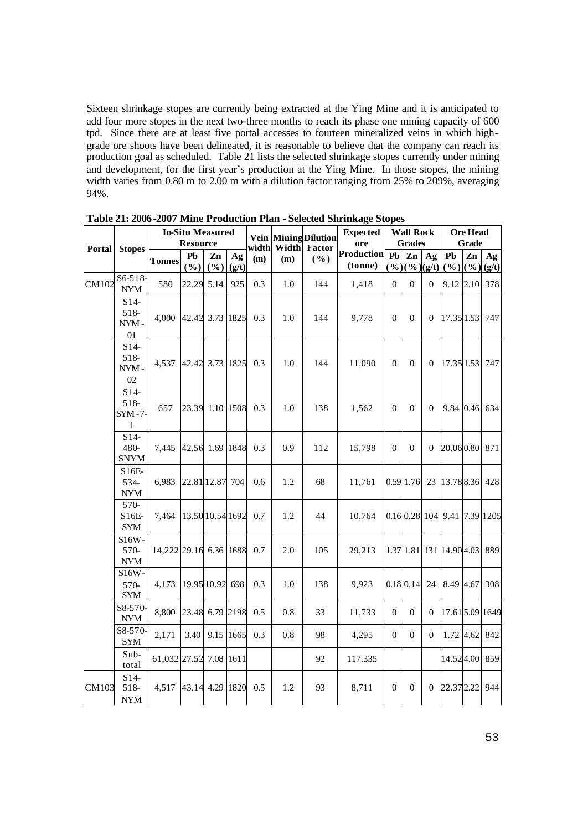Sixteen shrinkage stopes are currently being extracted at the Ying Mine and it is anticipated to add four more stopes in the next two-three months to reach its phase one mining capacity of 600 tpd. Since there are at least five portal accesses to fourteen mineralized veins in which highgrade ore shoots have been delineated, it is reasonable to believe that the company can reach its production goal as scheduled. Table 21 lists the selected shrinkage stopes currently under mining and development, for the first year's production at the Ying Mine. In those stopes, the mining width varies from 0.80 m to 2.00 m with a dilution factor ranging from 25% to 209%, averaging 94%.

| <b>Portal</b> |                                            |                        | <b>In-Situ Measured</b><br><b>Resource</b> |                 |             | width | Width | <b>Vein Mining Dilution</b><br><b>Factor</b> | <b>Expected</b><br>ore       |           | <b>Wall Rock</b><br><b>Grades</b> |                                    |                              | <b>Ore Head</b><br><b>Grade</b> |             |
|---------------|--------------------------------------------|------------------------|--------------------------------------------|-----------------|-------------|-------|-------|----------------------------------------------|------------------------------|-----------|-----------------------------------|------------------------------------|------------------------------|---------------------------------|-------------|
|               | <b>Stopes</b>                              | <b>Tonnes</b>          | Pb<br>(%)                                  | Zn<br>(%)       | Ag<br>(g/t) | (m)   | (m)   | ( %)                                         | <b>Production</b><br>(tonne) | Pb<br>(%) | Zn                                | Ag<br>$(\frac{9}{6})(\frac{g}{t})$ | Pb<br>(%)                    | Zn<br>( %)                      | Ag<br>(g/t) |
| CM102         | $S6-518-$<br><b>NYM</b>                    | 580                    | 22.29 5.14                                 |                 | 925         | 0.3   | 1.0   | 144                                          | 1,418                        | $\Omega$  | $\Omega$                          | $\theta$                           |                              | 9.12 2.10                       | 378         |
|               | $S14-$<br>518-<br>NYM-<br>01               | 4.000                  | 42.42 3.73 1825                            |                 |             | 0.3   | 1.0   | 144                                          | 9,778                        | $\theta$  | $\theta$                          | $\theta$                           | 17.35 1.53                   |                                 | 747         |
|               | $S14-$<br>518-<br>$NYM -$<br>02            | 4,537                  |                                            | 42.42 3.73 1825 |             | 0.3   | 1.0   | 144                                          | 11,090                       | $\theta$  | $\Omega$                          | $\theta$                           | 17.35 1.53                   |                                 | 747         |
|               | $S14-$<br>518-<br>$SYM -7-$<br>1           | 657                    |                                            | 23.39 1.10 1508 |             | 0.3   | 1.0   | 138                                          | 1,562                        | $\Omega$  | $\Omega$                          | $\Omega$                           |                              | 9.84 0.46                       | 634         |
|               | $S14-$<br>480-<br><b>SNYM</b>              | 7,445                  | 42.56 1.69 1848                            |                 |             | 0.3   | 0.9   | 112                                          | 15,798                       | $\Omega$  | $\Omega$                          | $\Omega$                           | 20.060.80                    |                                 | 871         |
|               | S16E-<br>534-<br>$\ensuremath{\text{NYM}}$ | 6,983                  |                                            | 22.81 12.87 704 |             | 0.6   | 1.2   | 68                                           | 11,761                       |           | 0.59 1.76                         | 23                                 | 13.788.36                    |                                 | 428         |
|               | 570-<br>$S16E-$<br><b>SYM</b>              | 7,464                  |                                            | 13.5010.54 1692 |             | 0.7   | 1.2   | 44                                           | 10,764                       |           |                                   |                                    | 0.16 0.28 104 9.41 7.39 1205 |                                 |             |
|               | S16W-<br>570-<br><b>NYM</b>                | 14,222 29.16 6.36 1688 |                                            |                 |             | 0.7   | 2.0   | 105                                          | 29,213                       |           |                                   |                                    | 1.37 1.81 131 14.90 4.03     |                                 | 889         |
|               | S16W-<br>570-<br><b>SYM</b>                | 4,173                  |                                            | 19.95 10.92 698 |             | 0.3   | 1.0   | 138                                          | 9,923                        |           | $0.18$ 0.14                       | 24                                 | 8.49 4.67                    |                                 | 308         |
|               | S8-570-<br>$\ensuremath{\text{NYM}}$       | 8,800                  |                                            | 23.48 6.79 2198 |             | 0.5   | 0.8   | 33                                           | 11,733                       | $\Omega$  | $\Omega$                          | $\boldsymbol{0}$                   | 17.61 5.09 1649              |                                 |             |
|               | S8-570-<br><b>SYM</b>                      | 2,171                  | 3.40                                       | 9.15 1665       |             | 0.3   | 0.8   | 98                                           | 4,295                        | $\Omega$  | $\Omega$                          | $\theta$                           |                              | 1.72 4.62                       | 842         |
|               | Sub-<br>total                              | 61,032 27.52 7.08 1611 |                                            |                 |             |       |       | 92                                           | 117,335                      |           |                                   |                                    | 14.524.00                    |                                 | 859         |
| CM103         | $S14-$<br>518-<br><b>NYM</b>               | 4,517                  | 43.14 4.29 1820                            |                 |             | 0.5   | 1.2   | 93                                           | 8,711                        | $\theta$  | $\theta$                          | $\overline{0}$                     | 22.37 2.22                   |                                 | 944         |

**Table 21: 2006-2007 Mine Production Plan - Selected Shrinkage Stopes**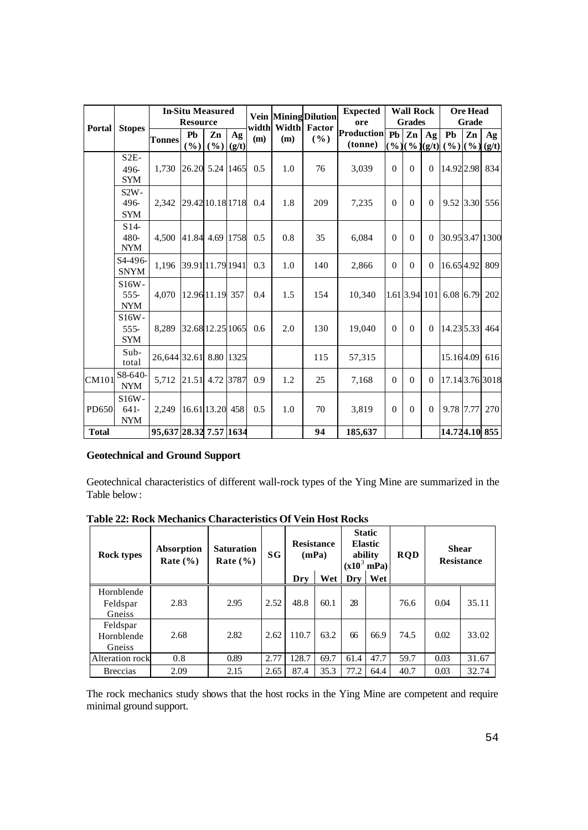|               |                                     | <b>In-Situ Measured</b><br><b>Resource</b> |                  |                  | width       | Width | <b>Vein Mining Dilution</b><br>Factor | <b>Expected</b><br>ore | <b>Wall Rock</b><br><b>Ore Head</b><br><b>Grades</b> |          |                  |                | <b>Grade</b>            |    |             |
|---------------|-------------------------------------|--------------------------------------------|------------------|------------------|-------------|-------|---------------------------------------|------------------------|------------------------------------------------------|----------|------------------|----------------|-------------------------|----|-------------|
| <b>Portal</b> | <b>Stopes</b>                       | Tonnes                                     | Pb<br>(%)        | Zn<br>(9/0)      | Ag<br>(g/t) | (m)   | (m)                                   | ( %)                   | <b>Production</b> Pb<br>(tonne)                      |          | Zn<br>$(\%)(\%)$ | Ag<br>(g/t)    | Pb<br>$($ %) $($ %)     | Zn | Ag<br>(g/t) |
|               | $S2E-$<br>496-<br><b>SYM</b>        | 1.730                                      | 26.20 5.24 1465  |                  |             | 0.5   | 1.0                                   | 76                     | 3,039                                                | $\theta$ | $\Omega$         | $\Omega$       | 14.92 2.98              |    | 834         |
|               | $S2W -$<br>496-<br><b>SYM</b>       | 2.342                                      |                  | 29.42 10.18 1718 |             | 0.4   | 1.8                                   | 209                    | 7,235                                                | $\theta$ | $\mathbf{0}$     | $\mathbf{0}$   | 9.52 3.30 556           |    |             |
|               | $S14-$<br>480-<br><b>NYM</b>        | 4.500                                      | 41.84 4.69 1758  |                  |             | 0.5   | 0.8                                   | 35                     | 6.084                                                | $\Omega$ | $\mathbf{0}$     | $\Omega$       | 30.95 3.47 1300         |    |             |
|               | S <sub>4</sub> -496-<br><b>SNYM</b> | 1.196                                      | 39.91 11.79 1941 |                  |             | 0.3   | 1.0                                   | 140                    | 2,866                                                | $\Omega$ | $\Omega$         | $\overline{0}$ | 16.654.92               |    | 809         |
|               | $S16W -$<br>$555-$<br><b>NYM</b>    | 4,070                                      | 12.9611.19 357   |                  |             | 0.4   | 1.5                                   | 154                    | 10,340                                               |          |                  |                | 1.61 3.94 101 6.08 6.79 |    | 202         |
|               | $S16W -$<br>$555-$<br><b>SYM</b>    | 8,289                                      |                  | 32.68 12.25 1065 |             | 0.6   | 2.0                                   | 130                    | 19,040                                               | $\Omega$ | $\Omega$         | $\Omega$       | 14.23 5.33              |    | 464         |
|               | $Sub-$<br>total                     | 26,644 32.61 8.80 1325                     |                  |                  |             |       |                                       | 115                    | 57,315                                               |          |                  |                | 15.164.09               |    | 616         |
| CM101         | S8-640-<br><b>NYM</b>               | 5.712                                      | 21.51 4.72       |                  | 3787        | 0.9   | 1.2                                   | 25                     | 7,168                                                | $\Omega$ | $\Omega$         | $\mathbf{0}$   | 17.14 3.76 3018         |    |             |
| <b>PD650</b>  | S16W-<br>$641-$<br><b>NYM</b>       | 2,249                                      |                  | 16.61 13.20 458  |             | 0.5   | 1.0                                   | 70                     | 3,819                                                | $\Omega$ | $\Omega$         | $\Omega$       | 9.78 7.77               |    | 270         |
| <b>Total</b>  |                                     | 95,637 28.32 7.57 1634                     |                  |                  |             |       |                                       | 94                     | 185,637                                              |          |                  |                | 14.724.10 855           |    |             |

# **Geotechnical and Ground Support**

Geotechnical characteristics of different wall-rock types of the Ying Mine are summarized in the Table below:

**Table 22: Rock Mechanics Characteristics Of Vein Host Rocks Static** 

| <b>Rock types</b>                | Absorption<br>Rate $(\% )$ | <b>Saturation</b><br>Rate $(\% )$ | SG   | <b>Resistance</b> | (mPa) |      | <b>Static</b><br><b>Elastic</b><br>ability<br>$(x10^3 \text{ mPa})$ | <b>RQD</b> | <b>Shear</b> | <b>Resistance</b> |
|----------------------------------|----------------------------|-----------------------------------|------|-------------------|-------|------|---------------------------------------------------------------------|------------|--------------|-------------------|
|                                  |                            |                                   |      | Dry               | Wet   | Dry  | Wet                                                                 |            |              |                   |
| Hornblende<br>Feldspar<br>Gneiss | 2.83                       | 2.95                              | 2.52 | 48.8              | 60.1  | 28   |                                                                     | 76.6       | 0.04         | 35.11             |
| Feldspar<br>Hornblende<br>Gneiss | 2.68                       | 2.82                              | 2.62 | 110.7             | 63.2  | 66   | 66.9                                                                | 74.5       | 0.02         | 33.02             |
| Alteration rock                  | 0.8                        | 0.89                              | 2.77 | 128.7             | 69.7  | 61.4 | 47.7                                                                | 59.7       | 0.03         | 31.67             |
| <b>Breccias</b>                  | 2.09                       | 2.15                              | 2.65 | 87.4              | 35.3  | 77.2 | 64.4                                                                | 40.7       | 0.03         | 32.74             |

The rock mechanics study shows that the host rocks in the Ying Mine are competent and require minimal ground support.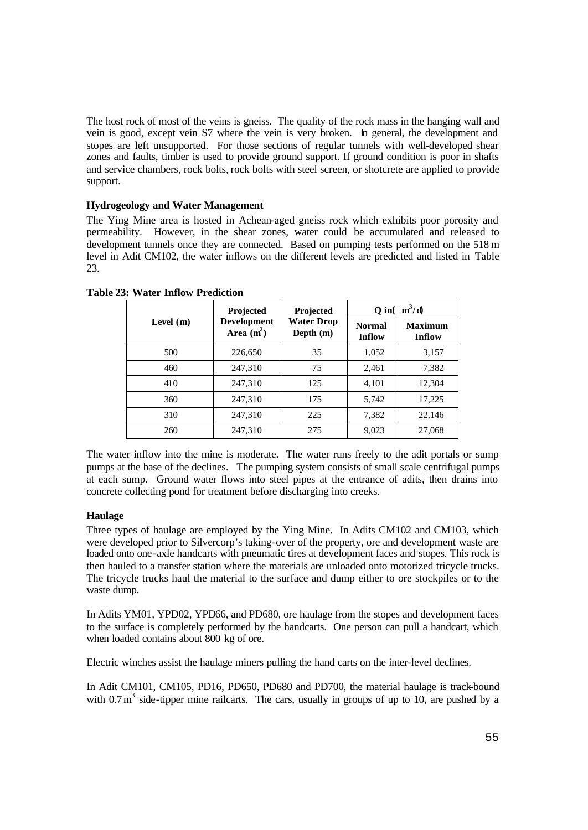The host rock of most of the veins is gneiss. The quality of the rock mass in the hanging wall and vein is good, except vein S7 where the vein is very broken. In general, the development and stopes are left unsupported. For those sections of regular tunnels with well-developed shear zones and faults, timber is used to provide ground support. If ground condition is poor in shafts and service chambers, rock bolts, rock bolts with steel screen, or shotcrete are applied to provide support.

### **Hydrogeology and Water Management**

The Ying Mine area is hosted in Achean-aged gneiss rock which exhibits poor porosity and permeability. However, in the shear zones, water could be accumulated and released to development tunnels once they are connected. Based on pumping tests performed on the 518 m level in Adit CM102, the water inflows on the different levels are predicted and listed in Table 23.

|             | Projected                          | <b>Projected</b>                 | Q in( $m^3/d$ )         |                          |  |
|-------------|------------------------------------|----------------------------------|-------------------------|--------------------------|--|
| Level $(m)$ | <b>Development</b><br>Area $(m^2)$ | <b>Water Drop</b><br>Depth $(m)$ | <b>Normal</b><br>Inflow | <b>Maximum</b><br>Inflow |  |
| 500         | 226,650                            | 35                               | 1,052                   | 3,157                    |  |
| 460         | 247,310                            | 75                               | 2,461                   | 7,382                    |  |
| 410         | 247,310                            | 125                              | 4,101                   | 12,304                   |  |
| 360         | 247,310                            | 175                              | 5,742                   | 17,225                   |  |
| 310         | 247,310                            | 225                              | 7,382                   | 22,146                   |  |
| 260         | 247,310                            | 275                              | 9,023                   | 27,068                   |  |

**Table 23: Water Inflow Prediction**

The water inflow into the mine is moderate. The water runs freely to the adit portals or sump pumps at the base of the declines. The pumping system consists of small scale centrifugal pumps at each sump. Ground water flows into steel pipes at the entrance of adits, then drains into concrete collecting pond for treatment before discharging into creeks.

### **Haulage**

Three types of haulage are employed by the Ying Mine. In Adits CM102 and CM103, which were developed prior to Silvercorp's taking-over of the property, ore and development waste are loaded onto one-axle handcarts with pneumatic tires at development faces and stopes. This rock is then hauled to a transfer station where the materials are unloaded onto motorized tricycle trucks. The tricycle trucks haul the material to the surface and dump either to ore stockpiles or to the waste dump.

In Adits YM01, YPD02, YPD66, and PD680, ore haulage from the stopes and development faces to the surface is completely performed by the handcarts. One person can pull a handcart, which when loaded contains about 800 kg of ore.

Electric winches assist the haulage miners pulling the hand carts on the inter-level declines.

In Adit CM101, CM105, PD16, PD650, PD680 and PD700, the material haulage is track-bound with  $0.7 \text{ m}^3$  side-tipper mine railcarts. The cars, usually in groups of up to 10, are pushed by a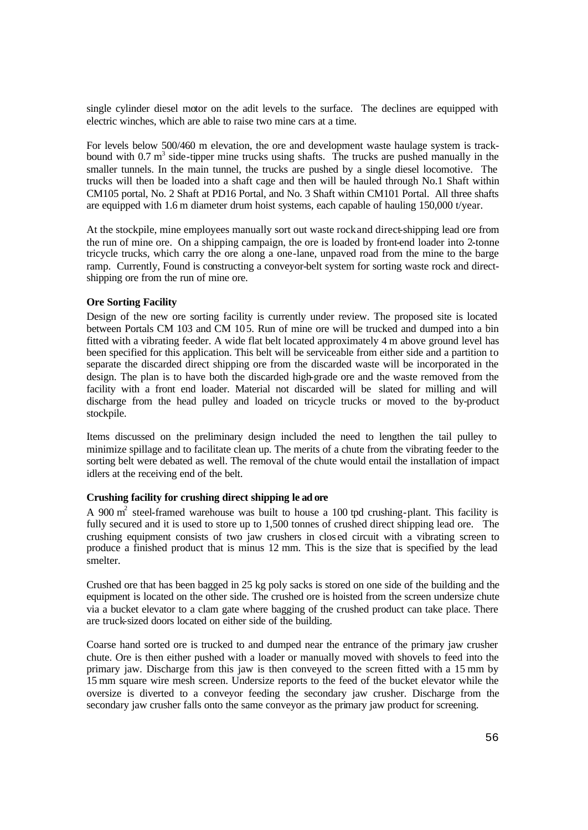single cylinder diesel motor on the adit levels to the surface. The declines are equipped with electric winches, which are able to raise two mine cars at a time.

For levels below 500/460 m elevation, the ore and development waste haulage system is trackbound with  $0.7 \text{ m}^3$  side-tipper mine trucks using shafts. The trucks are pushed manually in the smaller tunnels. In the main tunnel, the trucks are pushed by a single diesel locomotive. The trucks will then be loaded into a shaft cage and then will be hauled through No.1 Shaft within CM105 portal, No. 2 Shaft at PD16 Portal, and No. 3 Shaft within CM101 Portal. All three shafts are equipped with 1.6 m diameter drum hoist systems, each capable of hauling 150,000 t/year.

At the stockpile, mine employees manually sort out waste rock and direct-shipping lead ore from the run of mine ore. On a shipping campaign, the ore is loaded by front-end loader into 2-tonne tricycle trucks, which carry the ore along a one-lane, unpaved road from the mine to the barge ramp. Currently, Found is constructing a conveyor-belt system for sorting waste rock and directshipping ore from the run of mine ore.

### **Ore Sorting Facility**

Design of the new ore sorting facility is currently under review. The proposed site is located between Portals CM 103 and CM 105. Run of mine ore will be trucked and dumped into a bin fitted with a vibrating feeder. A wide flat belt located approximately 4 m above ground level has been specified for this application. This belt will be serviceable from either side and a partition to separate the discarded direct shipping ore from the discarded waste will be incorporated in the design. The plan is to have both the discarded high-grade ore and the waste removed from the facility with a front end loader. Material not discarded will be slated for milling and will discharge from the head pulley and loaded on tricycle trucks or moved to the by-product stockpile.

Items discussed on the preliminary design included the need to lengthen the tail pulley to minimize spillage and to facilitate clean up. The merits of a chute from the vibrating feeder to the sorting belt were debated as well. The removal of the chute would entail the installation of impact idlers at the receiving end of the belt.

### **Crushing facility for crushing direct shipping le ad ore**

A 900  $m<sup>2</sup>$  steel-framed warehouse was built to house a 100 tpd crushing-plant. This facility is fully secured and it is used to store up to 1,500 tonnes of crushed direct shipping lead ore. The crushing equipment consists of two jaw crushers in clos ed circuit with a vibrating screen to produce a finished product that is minus 12 mm. This is the size that is specified by the lead smelter.

Crushed ore that has been bagged in 25 kg poly sacks is stored on one side of the building and the equipment is located on the other side. The crushed ore is hoisted from the screen undersize chute via a bucket elevator to a clam gate where bagging of the crushed product can take place. There are truck-sized doors located on either side of the building.

Coarse hand sorted ore is trucked to and dumped near the entrance of the primary jaw crusher chute. Ore is then either pushed with a loader or manually moved with shovels to feed into the primary jaw. Discharge from this jaw is then conveyed to the screen fitted with a 15 mm by 15 mm square wire mesh screen. Undersize reports to the feed of the bucket elevator while the oversize is diverted to a conveyor feeding the secondary jaw crusher. Discharge from the secondary jaw crusher falls onto the same conveyor as the primary jaw product for screening.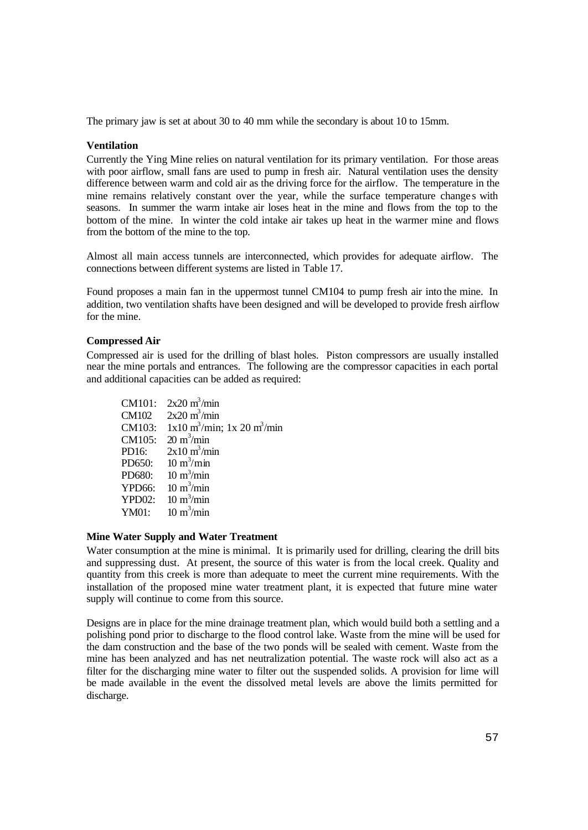The primary jaw is set at about 30 to 40 mm while the secondary is about 10 to 15mm.

### **Ventilation**

Currently the Ying Mine relies on natural ventilation for its primary ventilation. For those areas with poor airflow, small fans are used to pump in fresh air. Natural ventilation uses the density difference between warm and cold air as the driving force for the airflow. The temperature in the mine remains relatively constant over the year, while the surface temperature change s with seasons. In summer the warm intake air loses heat in the mine and flows from the top to the bottom of the mine. In winter the cold intake air takes up heat in the warmer mine and flows from the bottom of the mine to the top.

Almost all main access tunnels are interconnected, which provides for adequate airflow. The connections between different systems are listed in Table 17.

Found proposes a main fan in the uppermost tunnel CM104 to pump fresh air into the mine. In addition, two ventilation shafts have been designed and will be developed to provide fresh airflow for the mine.

# **Compressed Air**

Compressed air is used for the drilling of blast holes. Piston compressors are usually installed near the mine portals and entrances. The following are the compressor capacities in each portal and additional capacities can be added as required:

CM101:  $2x20 \text{ m}^3/\text{min}$ CM102  $\frac{3}{1}$ /min CM103:  $1x10 \text{ m}^3/\text{min}$ ;  $1x 20 \text{ m}^3/\text{min}$ CM105:  $20 \text{ m}^3/\text{min}$ PD16:  $2x10 \text{ m}^3/\text{min}$  $PD650:$  $\frac{3}{m}$ in PD680:  $\frac{3}{\text{min}}$ YPD66:  $\frac{3}{m}$ in  $YPD02$ :  $\frac{3}{\text{min}}$ YM01:  $\frac{3}{m}$ in

### **Mine Water Supply and Water Treatment**

Water consumption at the mine is minimal. It is primarily used for drilling, clearing the drill bits and suppressing dust. At present, the source of this water is from the local creek. Quality and quantity from this creek is more than adequate to meet the current mine requirements. With the installation of the proposed mine water treatment plant, it is expected that future mine water supply will continue to come from this source.

Designs are in place for the mine drainage treatment plan, which would build both a settling and a polishing pond prior to discharge to the flood control lake. Waste from the mine will be used for the dam construction and the base of the two ponds will be sealed with cement. Waste from the mine has been analyzed and has net neutralization potential. The waste rock will also act as a filter for the discharging mine water to filter out the suspended solids. A provision for lime will be made available in the event the dissolved metal levels are above the limits permitted for discharge.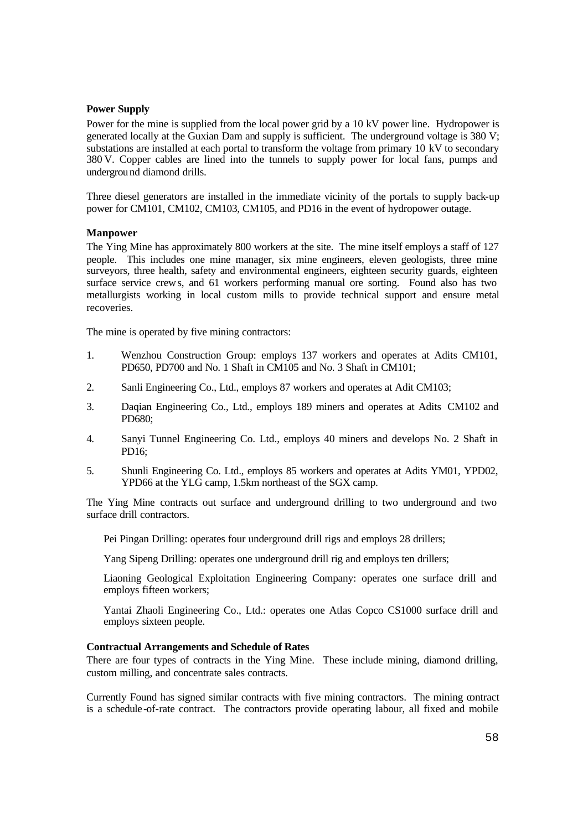## **Power Supply**

Power for the mine is supplied from the local power grid by a 10 kV power line. Hydropower is generated locally at the Guxian Dam and supply is sufficient. The underground voltage is 380 V; substations are installed at each portal to transform the voltage from primary 10 kV to secondary 380 V. Copper cables are lined into the tunnels to supply power for local fans, pumps and underground diamond drills.

Three diesel generators are installed in the immediate vicinity of the portals to supply back-up power for CM101, CM102, CM103, CM105, and PD16 in the event of hydropower outage.

### **Manpower**

The Ying Mine has approximately 800 workers at the site. The mine itself employs a staff of 127 people. This includes one mine manager, six mine engineers, eleven geologists, three mine surveyors, three health, safety and environmental engineers, eighteen security guards, eighteen surface service crews, and 61 workers performing manual ore sorting. Found also has two metallurgists working in local custom mills to provide technical support and ensure metal recoveries.

The mine is operated by five mining contractors:

- 1. Wenzhou Construction Group: employs 137 workers and operates at Adits CM101, PD650, PD700 and No. 1 Shaft in CM105 and No. 3 Shaft in CM101;
- 2. Sanli Engineering Co., Ltd., employs 87 workers and operates at Adit CM103;
- 3. Daqian Engineering Co., Ltd., employs 189 miners and operates at Adits CM102 and PD680;
- 4. Sanyi Tunnel Engineering Co. Ltd., employs 40 miners and develops No. 2 Shaft in PD16;
- 5. Shunli Engineering Co. Ltd., employs 85 workers and operates at Adits YM01, YPD02, YPD66 at the YLG camp, 1.5km northeast of the SGX camp.

The Ying Mine contracts out surface and underground drilling to two underground and two surface drill contractors.

Pei Pingan Drilling: operates four underground drill rigs and employs 28 drillers;

Yang Sipeng Drilling: operates one underground drill rig and employs ten drillers;

Liaoning Geological Exploitation Engineering Company: operates one surface drill and employs fifteen workers;

Yantai Zhaoli Engineering Co., Ltd.: operates one Atlas Copco CS1000 surface drill and employs sixteen people.

#### **Contractual Arrangements and Schedule of Rates**

There are four types of contracts in the Ying Mine. These include mining, diamond drilling, custom milling, and concentrate sales contracts.

Currently Found has signed similar contracts with five mining contractors. The mining contract is a schedule -of-rate contract. The contractors provide operating labour, all fixed and mobile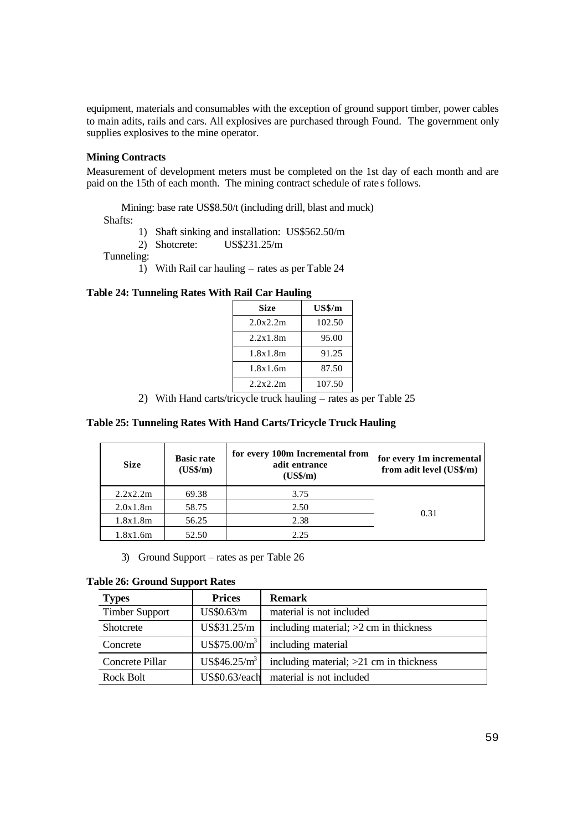equipment, materials and consumables with the exception of ground support timber, power cables to main adits, rails and cars. All explosives are purchased through Found. The government only supplies explosives to the mine operator.

## **Mining Contracts**

Measurement of development meters must be completed on the 1st day of each month and are paid on the 15th of each month. The mining contract schedule of rate s follows.

Mining: base rate US\$8.50/t (including drill, blast and muck)

Shafts:

- 1) Shaft sinking and installation: US\$562.50/m
- 2) Shotcrete: US\$231.25/m

Tunneling:

1) With Rail car hauling – rates as per Table 24

## **Table 24: Tunneling Rates With Rail Car Hauling**

| <b>Size</b> | $US\$/m$ |
|-------------|----------|
| 2.0x2.2m    | 102.50   |
| 2.2x1.8m    | 95.00    |
| 1.8x1.8m    | 91.25    |
| 1.8x1.6m    | 87.50    |
| 2.2x2.2m    | 107.50   |

2) With Hand carts/tricycle truck hauling – rates as per Table 25

### **Table 25: Tunneling Rates With Hand Carts/Tricycle Truck Hauling**

| <b>Size</b> | <b>Basic rate</b><br>$(US\$/m)$ | for every 100m Incremental from<br>adit entrance<br>$(US\frac{2}{m})$ | for every 1m incremental<br>from adit level (US\$/m) |
|-------------|---------------------------------|-----------------------------------------------------------------------|------------------------------------------------------|
| 2.2x2.2m    | 69.38                           | 3.75                                                                  |                                                      |
| 2.0x1.8m    | 58.75                           | 2.50                                                                  | 0.31                                                 |
| 1.8x1.8m    | 56.25                           | 2.38                                                                  |                                                      |
| 1.8x1.6m    | 52.50                           | 2.25                                                                  |                                                      |

3) Ground Support – rates as per Table 26

# **Table 26: Ground Support Rates**

| <b>Types</b>          | <b>Prices</b>            | <b>Remark</b>                             |
|-----------------------|--------------------------|-------------------------------------------|
| <b>Timber Support</b> | US\$0.63/m               | material is not included                  |
| Shotcrete             | US\$31.25/m              | including material; $>2$ cm in thickness  |
| Concrete              | US\$75.00/m <sup>3</sup> | including material                        |
| Concrete Pillar       | US\$46.25/m <sup>3</sup> | including material; $>21$ cm in thickness |
| Rock Bolt             | US\$0.63/each            | material is not included                  |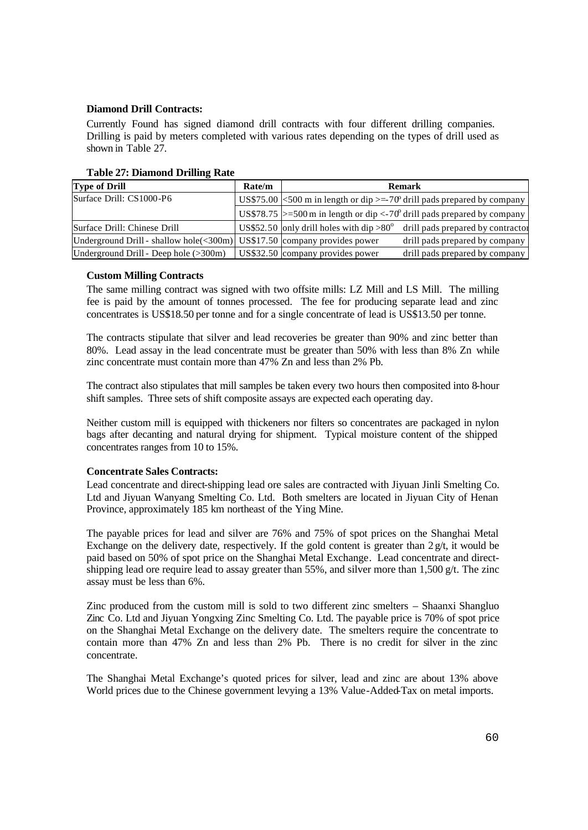# **Diamond Drill Contracts:**

Currently Found has signed diamond drill contracts with four different drilling companies. Drilling is paid by meters completed with various rates depending on the types of drill used as shown in Table 27.

| <b>Type of Drill</b>                                                     | Rate/m |                                                 | <b>Remark</b>                                                                                  |
|--------------------------------------------------------------------------|--------|-------------------------------------------------|------------------------------------------------------------------------------------------------|
| Surface Drill: CS1000-P6                                                 |        |                                                 | US\$75.00 $\leq$ 500 m in length or dip $\geq$ -70 <sup>o</sup> drill pads prepared by company |
|                                                                          |        |                                                 | US\$78.75 >=500 m in length or dip <-70° drill pads prepared by company                        |
| Surface Drill: Chinese Drill                                             |        | US\$52.50 only drill holes with dip $>80^\circ$ | drill pads prepared by contractor                                                              |
| Underground Drill - shallow hole(<300m) US\$17.50 company provides power |        |                                                 | drill pads prepared by company                                                                 |
| Underground Drill - Deep hole $(>300m)$                                  |        | US\$32.50 company provides power                | drill pads prepared by company                                                                 |

### **Table 27: Diamond Drilling Rate**

### **Custom Milling Contracts**

The same milling contract was signed with two offsite mills: LZ Mill and LS Mill. The milling fee is paid by the amount of tonnes processed. The fee for producing separate lead and zinc concentrates is US\$18.50 per tonne and for a single concentrate of lead is US\$13.50 per tonne.

The contracts stipulate that silver and lead recoveries be greater than 90% and zinc better than 80%. Lead assay in the lead concentrate must be greater than 50% with less than 8% Zn while zinc concentrate must contain more than 47% Zn and less than 2% Pb.

The contract also stipulates that mill samples be taken every two hours then composited into 8-hour shift samples. Three sets of shift composite assays are expected each operating day.

Neither custom mill is equipped with thickeners nor filters so concentrates are packaged in nylon bags after decanting and natural drying for shipment. Typical moisture content of the shipped concentrates ranges from 10 to 15%.

### **Concentrate Sales Contracts:**

Lead concentrate and direct-shipping lead ore sales are contracted with Jiyuan Jinli Smelting Co. Ltd and Jiyuan Wanyang Smelting Co. Ltd. Both smelters are located in Jiyuan City of Henan Province, approximately 185 km northeast of the Ying Mine.

The payable prices for lead and silver are 76% and 75% of spot prices on the Shanghai Metal Exchange on the delivery date, respectively. If the gold content is greater than  $2 \frac{g}{t}$ , it would be paid based on 50% of spot price on the Shanghai Metal Exchange. Lead concentrate and directshipping lead ore require lead to assay greater than 55%, and silver more than 1,500 g/t. The zinc assay must be less than 6%.

Zinc produced from the custom mill is sold to two different zinc smelters – Shaanxi Shangluo Zinc Co. Ltd and Jiyuan Yongxing Zinc Smelting Co. Ltd. The payable price is 70% of spot price on the Shanghai Metal Exchange on the delivery date. The smelters require the concentrate to contain more than 47% Zn and less than 2% Pb. There is no credit for silver in the zinc concentrate.

The Shanghai Metal Exchange's quoted prices for silver, lead and zinc are about 13% above World prices due to the Chinese government levying a 13% Value-Added-Tax on metal imports.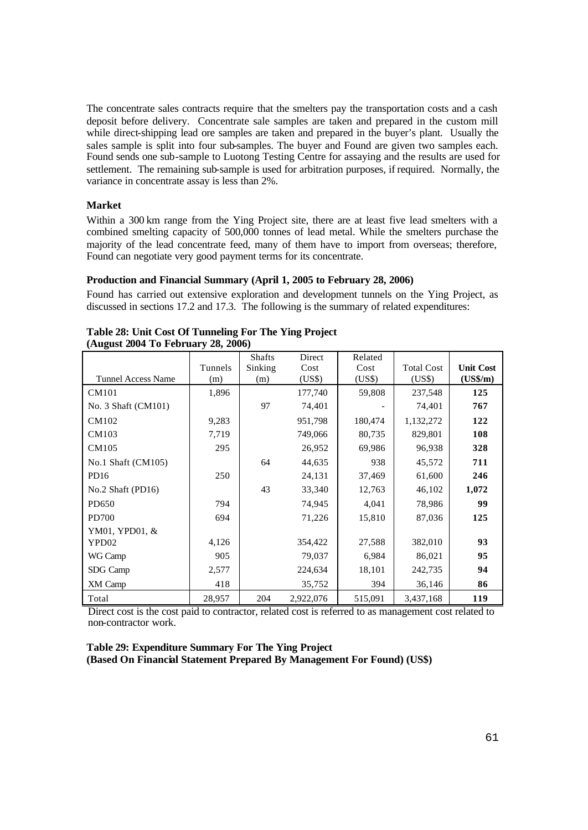The concentrate sales contracts require that the smelters pay the transportation costs and a cash deposit before delivery. Concentrate sale samples are taken and prepared in the custom mill while direct-shipping lead ore samples are taken and prepared in the buyer's plant. Usually the sales sample is split into four sub-samples. The buyer and Found are given two samples each. Found sends one sub-sample to Luotong Testing Centre for assaying and the results are used for settlement. The remaining sub-sample is used for arbitration purposes, if required. Normally, the variance in concentrate assay is less than 2%.

### **Market**

Within a 300 km range from the Ying Project site, there are at least five lead smelters with a combined smelting capacity of 500,000 tonnes of lead metal. While the smelters purchase the majority of the lead concentrate feed, many of them have to import from overseas; therefore, Found can negotiate very good payment terms for its concentrate.

## **Production and Financial Summary (April 1, 2005 to February 28, 2006)**

Found has carried out extensive exploration and development tunnels on the Ying Project, as discussed in sections 17.2 and 17.3. The following is the summary of related expenditures:

| <b>Tunnel Access Name</b> | Tunnels<br>(m) | <b>Shafts</b><br>Sinking<br>(m) | Direct<br>Cost<br>(US\$) | Related<br>Cost<br>(US\$) | <b>Total Cost</b><br>(US\$) | <b>Unit Cost</b><br>$(US\frac{2}{m})$ |
|---------------------------|----------------|---------------------------------|--------------------------|---------------------------|-----------------------------|---------------------------------------|
| CM101                     | 1,896          |                                 | 177,740                  | 59,808                    | 237,548                     | 125                                   |
| No. 3 Shaft (CM101)       |                | 97                              | 74,401                   |                           | 74,401                      | 767                                   |
| CM102                     | 9,283          |                                 | 951,798                  | 180,474                   | 1,132,272                   | 122                                   |
| CM103                     | 7,719          |                                 | 749,066                  | 80,735                    | 829,801                     | 108                                   |
| CM105                     | 295            |                                 | 26,952                   | 69,986                    | 96,938                      | 328                                   |
| No.1 Shaft (CM105)        |                | 64                              | 44,635                   | 938                       | 45,572                      | 711                                   |
| PD <sub>16</sub>          | 250            |                                 | 24,131                   | 37,469                    | 61,600                      | 246                                   |
| No.2 Shaft $(PD16)$       |                | 43                              | 33,340                   | 12,763                    | 46,102                      | 1,072                                 |
| PD650                     | 794            |                                 | 74,945                   | 4,041                     | 78,986                      | 99                                    |
| PD700                     | 694            |                                 | 71,226                   | 15,810                    | 87,036                      | 125                                   |
| YM01, YPD01, &            |                |                                 |                          |                           |                             |                                       |
| YPD02                     | 4,126          |                                 | 354,422                  | 27,588                    | 382,010                     | 93                                    |
| WG Camp                   | 905            |                                 | 79,037                   | 6,984                     | 86,021                      | 95                                    |
| SDG Camp                  | 2,577          |                                 | 224,634                  | 18,101                    | 242,735                     | 94                                    |
| XM Camp                   | 418            |                                 | 35,752                   | 394                       | 36,146                      | 86                                    |
| Total                     | 28,957         | 204                             | 2,922,076                | 515,091                   | 3,437,168                   | 119                                   |

| Table 28: Unit Cost Of Tunneling For The Ying Project |
|-------------------------------------------------------|
| (August 2004 To February 28, 2006)                    |

Direct cost is the cost paid to contractor, related cost is referred to as management cost related to non-contractor work.

**Table 29: Expenditure Summary For The Ying Project (Based On Financial Statement Prepared By Management For Found) (US\$)**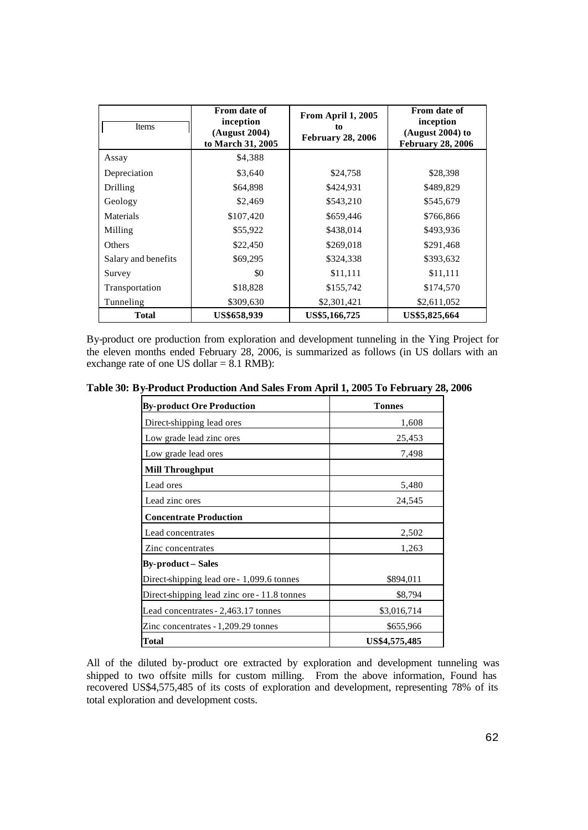| Items               | From date of<br>inception<br>(August 2004)<br>to March 31, 2005 | From April 1, 2005<br>to<br><b>February 28, 2006</b> | From date of<br>inception<br>(August 2004) to<br><b>February 28, 2006</b> |
|---------------------|-----------------------------------------------------------------|------------------------------------------------------|---------------------------------------------------------------------------|
| Assay               | \$4,388                                                         |                                                      |                                                                           |
| Depreciation        | \$3,640                                                         | \$24,758                                             | \$28,398                                                                  |
| Drilling            | \$64,898                                                        | \$424,931                                            | \$489,829                                                                 |
| Geology             | \$2,469                                                         | \$543,210                                            | \$545,679                                                                 |
| Materials           | \$107,420                                                       | \$659,446                                            | \$766,866                                                                 |
| Milling             | \$55,922                                                        | \$438,014                                            | \$493,936                                                                 |
| Others              | \$22,450                                                        | \$269,018                                            | \$291,468                                                                 |
| Salary and benefits | \$69,295                                                        | \$324,338                                            | \$393,632                                                                 |
| Survey              | \$0                                                             | \$11,111                                             | \$11,111                                                                  |
| Transportation      | \$18,828                                                        | \$155,742                                            | \$174,570                                                                 |
| Tunneling           | \$309,630                                                       | \$2,301,421                                          | \$2,611,052                                                               |
| <b>Total</b>        | <b>US\$658,939</b>                                              | US\$5,166,725                                        | US\$5,825,664                                                             |

By-product ore production from exploration and development tunneling in the Ying Project for the eleven months ended February 28, 2006, is summarized as follows (in US dollars with an exchange rate of one US dollar  $= 8.1$  RMB):

**Table 30: By-Product Production And Sales From April 1, 2005 To February 28, 2006**

| <b>By-product Ore Production</b>            | <b>Tonnes</b> |
|---------------------------------------------|---------------|
| Direct-shipping lead ores                   | 1,608         |
| Low grade lead zinc ores                    | 25,453        |
| Low grade lead ores                         | 7,498         |
| <b>Mill Throughput</b>                      |               |
| Lead ores                                   | 5,480         |
| Lead zinc ores                              | 24,545        |
| <b>Concentrate Production</b>               |               |
| Lead concentrates                           | 2,502         |
| Zinc concentrates                           | 1,263         |
| <b>By-product – Sales</b>                   |               |
| Direct-shipping lead ore - 1,099.6 tonnes   | \$894,011     |
| Direct-shipping lead zinc ore - 11.8 tonnes | \$8,794       |
| Lead concentrates - 2,463.17 tonnes         | \$3,016,714   |
| Zinc concentrates - 1,209.29 tonnes         | \$655,966     |
| <b>Total</b>                                | US\$4,575,485 |

All of the diluted by-product ore extracted by exploration and development tunneling was shipped to two offsite mills for custom milling. From the above information, Found has recovered US\$4,575,485 of its costs of exploration and development, representing 78% of its total exploration and development costs.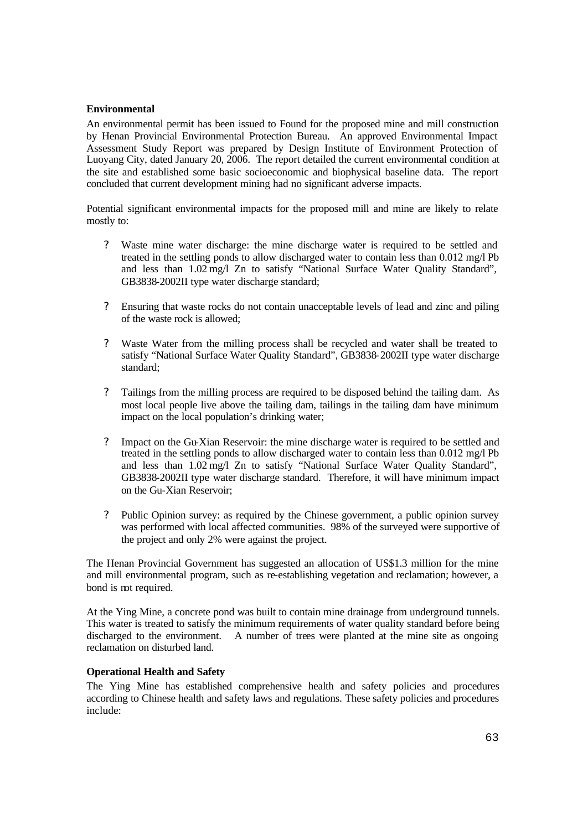### **Environmental**

An environmental permit has been issued to Found for the proposed mine and mill construction by Henan Provincial Environmental Protection Bureau. An approved Environmental Impact Assessment Study Report was prepared by Design Institute of Environment Protection of Luoyang City, dated January 20, 2006. The report detailed the current environmental condition at the site and established some basic socioeconomic and biophysical baseline data. The report concluded that current development mining had no significant adverse impacts.

Potential significant environmental impacts for the proposed mill and mine are likely to relate mostly to:

- ? Waste mine water discharge: the mine discharge water is required to be settled and treated in the settling ponds to allow discharged water to contain less than 0.012 mg/l Pb and less than 1.02 mg/l Zn to satisfy "National Surface Water Quality Standard", GB3838-2002II type water discharge standard;
- ? Ensuring that waste rocks do not contain unacceptable levels of lead and zinc and piling of the waste rock is allowed;
- ? Waste Water from the milling process shall be recycled and water shall be treated to satisfy "National Surface Water Quality Standard", GB3838-2002II type water discharge standard;
- ? Tailings from the milling process are required to be disposed behind the tailing dam. As most local people live above the tailing dam, tailings in the tailing dam have minimum impact on the local population's drinking water;
- ? Impact on the Gu-Xian Reservoir: the mine discharge water is required to be settled and treated in the settling ponds to allow discharged water to contain less than 0.012 mg/l Pb and less than 1.02 mg/l Zn to satisfy "National Surface Water Quality Standard", GB3838-2002II type water discharge standard. Therefore, it will have minimum impact on the Gu-Xian Reservoir;
- ? Public Opinion survey: as required by the Chinese government, a public opinion survey was performed with local affected communities. 98% of the surveyed were supportive of the project and only 2% were against the project.

The Henan Provincial Government has suggested an allocation of US\$1.3 million for the mine and mill environmental program, such as re-establishing vegetation and reclamation; however, a bond is not required.

At the Ying Mine, a concrete pond was built to contain mine drainage from underground tunnels. This water is treated to satisfy the minimum requirements of water quality standard before being discharged to the environment. A number of trees were planted at the mine site as ongoing reclamation on disturbed land.

### **Operational Health and Safety**

The Ying Mine has established comprehensive health and safety policies and procedures according to Chinese health and safety laws and regulations. These safety policies and procedures include: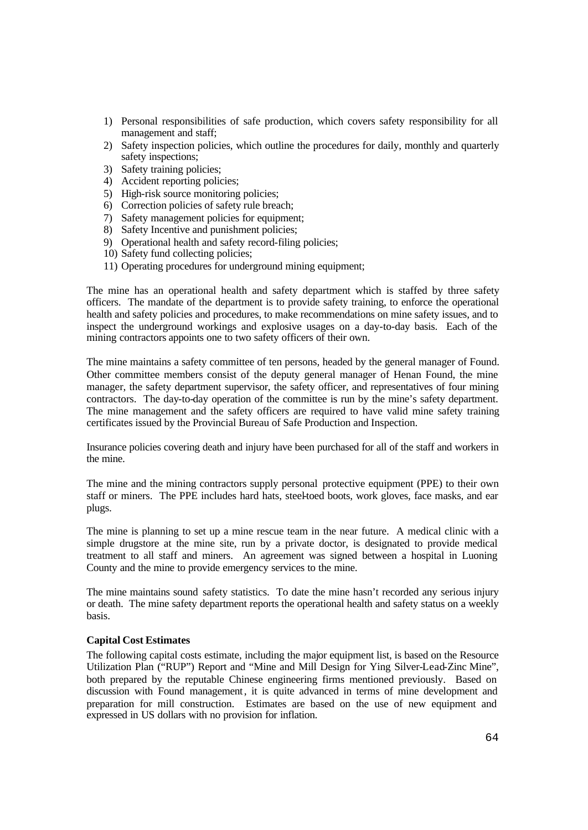- 1) Personal responsibilities of safe production, which covers safety responsibility for all management and staff;
- 2) Safety inspection policies, which outline the procedures for daily, monthly and quarterly safety inspections;
- 3) Safety training policies;
- 4) Accident reporting policies;
- 5) High-risk source monitoring policies;
- 6) Correction policies of safety rule breach;
- 7) Safety management policies for equipment;
- 8) Safety Incentive and punishment policies;
- 9) Operational health and safety record-filing policies;
- 10) Safety fund collecting policies;
- 11) Operating procedures for underground mining equipment;

The mine has an operational health and safety department which is staffed by three safety officers. The mandate of the department is to provide safety training, to enforce the operational health and safety policies and procedures, to make recommendations on mine safety issues, and to inspect the underground workings and explosive usages on a day-to-day basis. Each of the mining contractors appoints one to two safety officers of their own.

The mine maintains a safety committee of ten persons, headed by the general manager of Found. Other committee members consist of the deputy general manager of Henan Found, the mine manager, the safety department supervisor, the safety officer, and representatives of four mining contractors. The day-to-day operation of the committee is run by the mine's safety department. The mine management and the safety officers are required to have valid mine safety training certificates issued by the Provincial Bureau of Safe Production and Inspection.

Insurance policies covering death and injury have been purchased for all of the staff and workers in the mine.

The mine and the mining contractors supply personal protective equipment (PPE) to their own staff or miners. The PPE includes hard hats, steel-toed boots, work gloves, face masks, and ear plugs.

The mine is planning to set up a mine rescue team in the near future. A medical clinic with a simple drugstore at the mine site, run by a private doctor, is designated to provide medical treatment to all staff and miners. An agreement was signed between a hospital in Luoning County and the mine to provide emergency services to the mine.

The mine maintains sound safety statistics. To date the mine hasn't recorded any serious injury or death. The mine safety department reports the operational health and safety status on a weekly basis.

### **Capital Cost Estimates**

The following capital costs estimate, including the major equipment list, is based on the Resource Utilization Plan ("RUP") Report and "Mine and Mill Design for Ying Silver-Lead-Zinc Mine", both prepared by the reputable Chinese engineering firms mentioned previously. Based on discussion with Found management, it is quite advanced in terms of mine development and preparation for mill construction. Estimates are based on the use of new equipment and expressed in US dollars with no provision for inflation.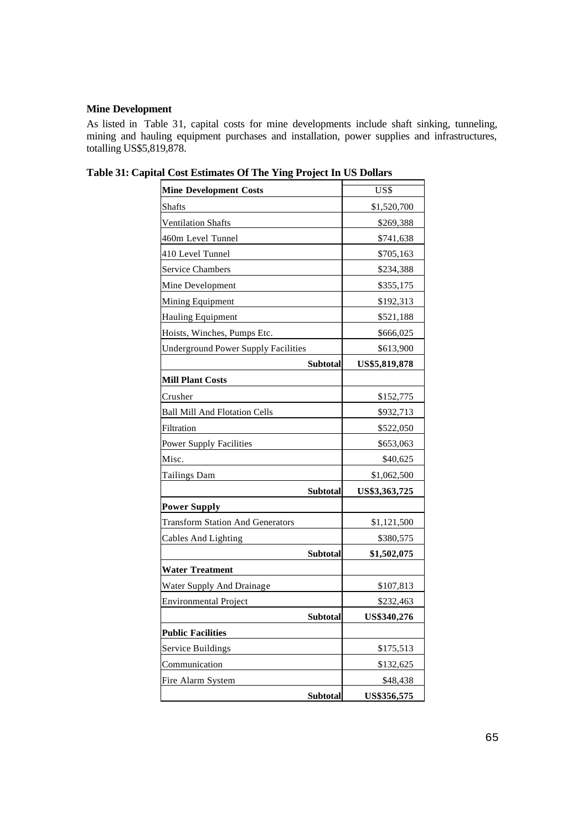# **Mine Development**

As listed in Table 31, capital costs for mine developments include shaft sinking, tunneling, mining and hauling equipment purchases and installation, power supplies and infrastructures, totalling US\$5,819,878.

| <b>Mine Development Costs</b>              |                 | US\$               |
|--------------------------------------------|-----------------|--------------------|
| <b>Shafts</b>                              |                 | \$1,520,700        |
| <b>Ventilation Shafts</b>                  |                 | \$269,388          |
| 460m Level Tunnel                          |                 | \$741,638          |
| 410 Level Tunnel                           |                 | \$705,163          |
| <b>Service Chambers</b>                    |                 | \$234,388          |
| Mine Development                           |                 | \$355,175          |
| Mining Equipment                           |                 | \$192,313          |
| <b>Hauling Equipment</b>                   |                 | \$521,188          |
| Hoists, Winches, Pumps Etc.                |                 | \$666,025          |
| <b>Underground Power Supply Facilities</b> |                 | \$613,900          |
|                                            | <b>Subtotal</b> | US\$5,819,878      |
| <b>Mill Plant Costs</b>                    |                 |                    |
| Crusher                                    |                 | \$152,775          |
| <b>Ball Mill And Flotation Cells</b>       |                 | \$932,713          |
| Filtration                                 |                 | \$522,050          |
| <b>Power Supply Facilities</b>             |                 | \$653,063          |
| Misc.                                      |                 | \$40,625           |
| Tailings Dam                               |                 | \$1,062,500        |
|                                            | <b>Subtotal</b> | US\$3,363,725      |
| <b>Power Supply</b>                        |                 |                    |
| <b>Transform Station And Generators</b>    |                 | \$1,121,500        |
| <b>Cables And Lighting</b>                 |                 | \$380,575          |
|                                            | <b>Subtotal</b> | \$1,502,075        |
| <b>Water Treatment</b>                     |                 |                    |
| Water Supply And Drainage                  |                 | \$107,813          |
| <b>Environmental Project</b>               |                 | \$232,463          |
|                                            | Subtotal        | <b>US\$340.276</b> |
| <b>Public Facilities</b>                   |                 |                    |
| Service Buildings                          |                 | \$175,513          |
| Communication                              |                 | \$132,625          |
| Fire Alarm System                          |                 | \$48,438           |
|                                            | <b>Subtotal</b> | US\$356,575        |

**Table 31: Capital Cost Estimates Of The Ying Project In US Dollars**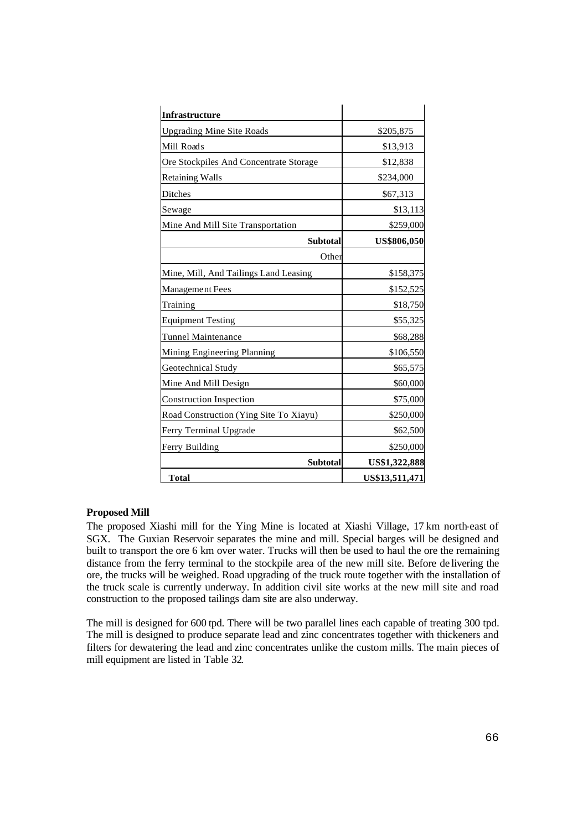| <b>Infrastructure</b>                  |                    |
|----------------------------------------|--------------------|
| <b>Upgrading Mine Site Roads</b>       | \$205,875          |
| Mill Roads                             | \$13,913           |
| Ore Stockpiles And Concentrate Storage | \$12,838           |
| <b>Retaining Walls</b>                 | \$234,000          |
| Ditches                                | \$67,313           |
| Sewage                                 | \$13,113           |
| Mine And Mill Site Transportation      | \$259,000          |
| <b>Subtotal</b>                        | <b>US\$806,050</b> |
| Other                                  |                    |
| Mine, Mill, And Tailings Land Leasing  | \$158,375          |
| Management Fees                        | \$152,525          |
| Training                               | \$18,750           |
| <b>Equipment Testing</b>               | \$55,325           |
| <b>Tunnel Maintenance</b>              | \$68,288           |
| Mining Engineering Planning            | \$106,550          |
| Geotechnical Study                     | \$65,575           |
| Mine And Mill Design                   | \$60,000           |
| <b>Construction Inspection</b>         | \$75,000           |
| Road Construction (Ying Site To Xiayu) | \$250,000          |
| Ferry Terminal Upgrade                 | \$62,500           |
| Ferry Building                         | \$250,000          |
| Subtotal                               | US\$1,322,888      |
| <b>Total</b>                           | US\$13,511,471     |

### **Proposed Mill**

The proposed Xiashi mill for the Ying Mine is located at Xiashi Village, 17 km north-east of SGX. The Guxian Reservoir separates the mine and mill. Special barges will be designed and built to transport the ore 6 km over water. Trucks will then be used to haul the ore the remaining distance from the ferry terminal to the stockpile area of the new mill site. Before de livering the ore, the trucks will be weighed. Road upgrading of the truck route together with the installation of the truck scale is currently underway. In addition civil site works at the new mill site and road construction to the proposed tailings dam site are also underway.

The mill is designed for 600 tpd. There will be two parallel lines each capable of treating 300 tpd. The mill is designed to produce separate lead and zinc concentrates together with thickeners and filters for dewatering the lead and zinc concentrates unlike the custom mills. The main pieces of mill equipment are listed in Table 32.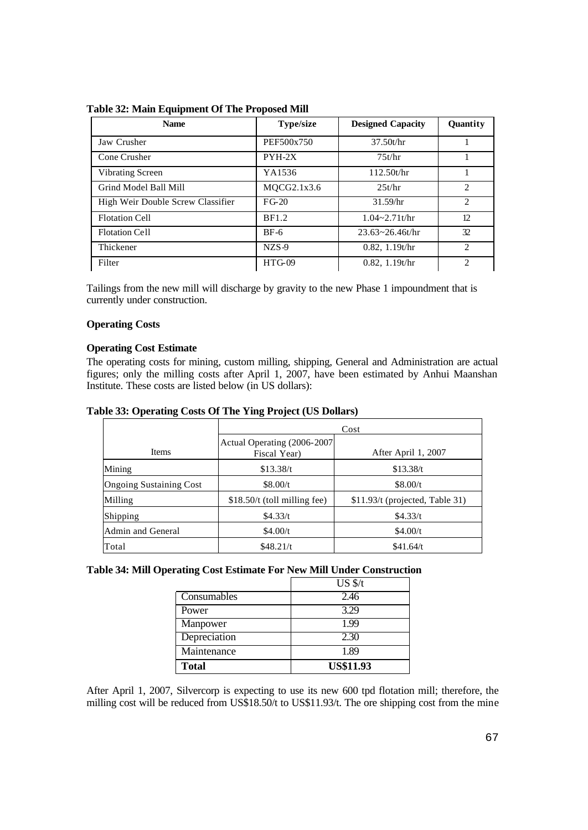| <b>Name</b>                       | <b>Type/size</b> | <b>Designed Capacity</b> | Quantity                    |
|-----------------------------------|------------------|--------------------------|-----------------------------|
| Jaw Crusher                       | PEF500x750       | 37.50t/hr                |                             |
| Cone Crusher                      | $PYH-2X$         | 75t/hr                   |                             |
| Vibrating Screen                  | YA1536           | 112.50t/hr               |                             |
| Grind Model Ball Mill             | MQCG2.1x3.6      | 25t/hr                   | $\mathcal{D}_{\mathcal{L}}$ |
| High Weir Double Screw Classifier | $FG-20$          | 31.59/hr                 | $\mathcal{D}_{\mathcal{L}}$ |
| <b>Flotation Cell</b>             | <b>BF1.2</b>     | $1.04 - 2.71t/hr$        | 12                          |
| <b>Flotation Cell</b>             | $BF-6$           | $23.63 \times 26.46t/hr$ | 32                          |
| Thickener                         | $NZS-9$          | 0.82, 1.19t/hr           | $\mathcal{D}_{\mathcal{L}}$ |
| Filter                            | $HTG-09$         | 0.82, 1.19t/hr           | $\mathcal{D}_{\mathcal{L}}$ |

**Table 32: Main Equipment Of The Proposed Mill**

Tailings from the new mill will discharge by gravity to the new Phase 1 impoundment that is currently under construction.

# **Operating Costs**

# **Operating Cost Estimate**

The operating costs for mining, custom milling, shipping, General and Administration are actual figures; only the milling costs after April 1, 2007, have been estimated by Anhui Maanshan Institute. These costs are listed below (in US dollars):

|  |  | Table 33: Operating Costs Of The Ying Project (US Dollars) |
|--|--|------------------------------------------------------------|
|  |  |                                                            |

|                                | Cost                                         |                                 |  |  |  |  |
|--------------------------------|----------------------------------------------|---------------------------------|--|--|--|--|
| <b>Items</b>                   | Actual Operating (2006-2007)<br>Fiscal Year) | After April 1, 2007             |  |  |  |  |
| Mining                         | \$13.38/t                                    | \$13.38/t                       |  |  |  |  |
| <b>Ongoing Sustaining Cost</b> | \$8.00/t                                     | \$8.00/t                        |  |  |  |  |
| Milling                        | $$18.50/t$ (toll milling fee)                | \$11.93/t (projected, Table 31) |  |  |  |  |
| Shipping                       | \$4.33/t                                     | \$4.33/t                        |  |  |  |  |
| Admin and General              | \$4.00/t                                     | \$4.00/t                        |  |  |  |  |
| Total                          | \$48.21/t                                    | \$41.64/t                       |  |  |  |  |

# **Table 34: Mill Operating Cost Estimate For New Mill Under Construction**

|              | $US \frac{f}{f}$ |
|--------------|------------------|
| Consumables  | 2.46             |
| Power        | 3.29             |
| Manpower     | 1.99             |
| Depreciation | 2.30             |
| Maintenance  | 1.89             |
| <b>Total</b> | <b>US\$11.93</b> |

After April 1, 2007, Silvercorp is expecting to use its new 600 tpd flotation mill; therefore, the milling cost will be reduced from US\$18.50/t to US\$11.93/t. The ore shipping cost from the mine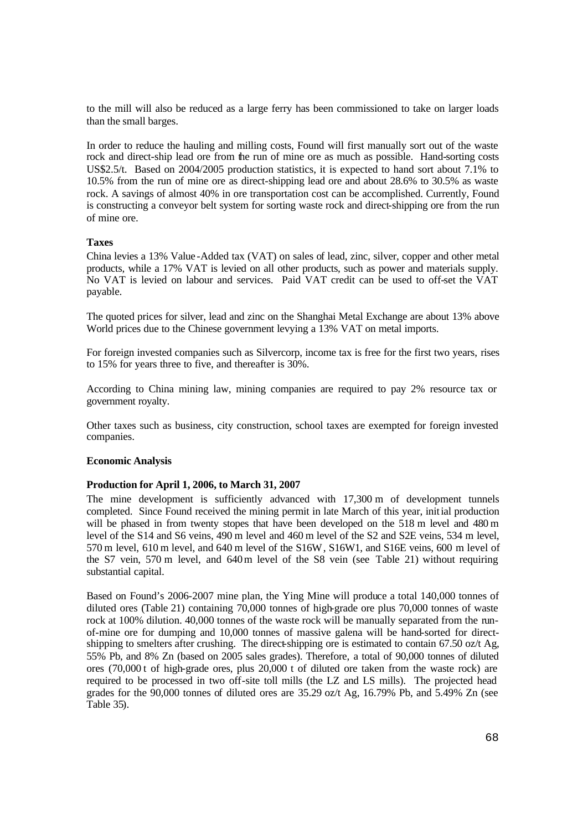to the mill will also be reduced as a large ferry has been commissioned to take on larger loads than the small barges.

In order to reduce the hauling and milling costs, Found will first manually sort out of the waste rock and direct-ship lead ore from the run of mine ore as much as possible. Hand-sorting costs US\$2.5/t. Based on 2004/2005 production statistics, it is expected to hand sort about 7.1% to 10.5% from the run of mine ore as direct-shipping lead ore and about 28.6% to 30.5% as waste rock. A savings of almost 40% in ore transportation cost can be accomplished. Currently, Found is constructing a conveyor belt system for sorting waste rock and direct-shipping ore from the run of mine ore.

## **Taxes**

China levies a 13% Value -Added tax (VAT) on sales of lead, zinc, silver, copper and other metal products, while a 17% VAT is levied on all other products, such as power and materials supply. No VAT is levied on labour and services. Paid VAT credit can be used to off-set the VAT payable.

The quoted prices for silver, lead and zinc on the Shanghai Metal Exchange are about 13% above World prices due to the Chinese government levying a 13% VAT on metal imports.

For foreign invested companies such as Silvercorp, income tax is free for the first two years, rises to 15% for years three to five, and thereafter is 30%.

According to China mining law, mining companies are required to pay 2% resource tax or government royalty.

Other taxes such as business, city construction, school taxes are exempted for foreign invested companies.

### **Economic Analysis**

# **Production for April 1, 2006, to March 31, 2007**

The mine development is sufficiently advanced with 17,300 m of development tunnels completed. Since Found received the mining permit in late March of this year, initial production will be phased in from twenty stopes that have been developed on the 518 m level and 480 m level of the S14 and S6 veins, 490 m level and 460 m level of the S2 and S2E veins, 534 m level, 570 m level, 610 m level, and 640 m level of the S16W, S16W1, and S16E veins, 600 m level of the S7 vein, 570 m level, and 640m level of the S8 vein (see Table 21) without requiring substantial capital.

Based on Found's 2006-2007 mine plan, the Ying Mine will produce a total 140,000 tonnes of diluted ores (Table 21) containing 70,000 tonnes of high-grade ore plus 70,000 tonnes of waste rock at 100% dilution. 40,000 tonnes of the waste rock will be manually separated from the runof-mine ore for dumping and 10,000 tonnes of massive galena will be hand-sorted for directshipping to smelters after crushing. The direct-shipping ore is estimated to contain 67.50 oz/t Ag, 55% Pb, and 8% Zn (based on 2005 sales grades). Therefore, a total of 90,000 tonnes of diluted ores (70,000 t of high-grade ores, plus 20,000 t of diluted ore taken from the waste rock) are required to be processed in two off-site toll mills (the LZ and LS mills). The projected head grades for the  $90,000$  tonnes of diluted ores are 35.29 oz/t Ag, 16.79% Pb, and  $5.49\%$  Zn (see Table 35).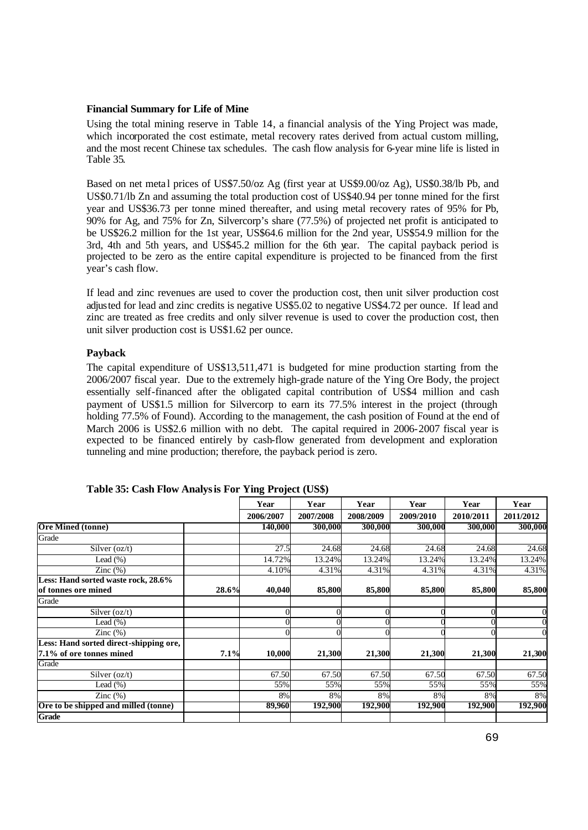### **Financial Summary for Life of Mine**

Using the total mining reserve in Table 14, a financial analysis of the Ying Project was made, which incorporated the cost estimate, metal recovery rates derived from actual custom milling, and the most recent Chinese tax schedules. The cash flow analysis for 6-year mine life is listed in Table 35.

Based on net meta l prices of US\$7.50/oz Ag (first year at US\$9.00/oz Ag), US\$0.38/lb Pb, and US\$0.71/lb Zn and assuming the total production cost of US\$40.94 per tonne mined for the first year and US\$36.73 per tonne mined thereafter, and using metal recovery rates of 95% for Pb, 90% for Ag, and 75% for Zn, Silvercorp's share (77.5%) of projected net profit is anticipated to be US\$26.2 million for the 1st year, US\$64.6 million for the 2nd year, US\$54.9 million for the 3rd, 4th and 5th years, and US\$45.2 million for the 6th year. The capital payback period is projected to be zero as the entire capital expenditure is projected to be financed from the first year's cash flow.

If lead and zinc revenues are used to cover the production cost, then unit silver production cost adjusted for lead and zinc credits is negative US\$5.02 to negative US\$4.72 per ounce. If lead and zinc are treated as free credits and only silver revenue is used to cover the production cost, then unit silver production cost is US\$1.62 per ounce.

# **Payback**

The capital expenditure of US\$13,511,471 is budgeted for mine production starting from the 2006/2007 fiscal year. Due to the extremely high-grade nature of the Ying Ore Body, the project essentially self-financed after the obligated capital contribution of US\$4 million and cash payment of US\$1.5 million for Silvercorp to earn its 77.5% interest in the project (through holding 77.5% of Found). According to the management, the cash position of Found at the end of March 2006 is US\$2.6 million with no debt. The capital required in 2006-2007 fiscal year is expected to be financed entirely by cash-flow generated from development and exploration tunneling and mine production; therefore, the payback period is zero.

|                                        |       | Year      | Year      | Year      | Year      | Year      | Year      |
|----------------------------------------|-------|-----------|-----------|-----------|-----------|-----------|-----------|
|                                        |       | 2006/2007 | 2007/2008 | 2008/2009 | 2009/2010 | 2010/2011 | 2011/2012 |
| <b>Ore Mined (tonne)</b>               |       | 140,000   | 300,000   | 300,000   | 300,000   | 300,000   | 300,000   |
| Grade                                  |       |           |           |           |           |           |           |
| Silver $(oz/t)$                        |       | 27.5      | 24.68     | 24.68     | 24.68     | 24.68     | 24.68     |
| Lead $(\% )$                           |       | 14.72%    | 13.24%    | 13.24%    | 13.24%    | 13.24%    | 13.24%    |
| Zinc $(\%)$                            |       | 4.10%     | 4.31%     | 4.31%     | 4.31%     | 4.31%     | 4.31%     |
| Less: Hand sorted waste rock, 28.6%    |       |           |           |           |           |           |           |
| of tonnes ore mined                    | 28.6% | 40,040    | 85,800    | 85,800    | 85,800    | 85,800    | 85,800    |
| Grade                                  |       |           |           |           |           |           |           |
| Silver $(oz/t)$                        |       |           |           |           |           |           |           |
| Lead $(\% )$                           |       |           |           |           |           |           |           |
| Zinc $(\%)$                            |       |           |           |           |           |           |           |
| Less: Hand sorted direct-shipping ore, |       |           |           |           |           |           |           |
| 7.1% of ore tonnes mined               | 7.1%  | 10,000    | 21,300    | 21,300    | 21,300    | 21,300    | 21,300    |
| Grade                                  |       |           |           |           |           |           |           |
| Silver $(oz/t)$                        |       | 67.50     | 67.50     | 67.50     | 67.50     | 67.50     | 67.50     |
| Lead $(\%)$                            |       | 55%       | 55%       | 55%       | 55%       | 55%       | 55%       |
| Zinc $(\%)$                            |       | 8%        | 8%        | 8%        | 8%        | 8%        | 8%        |
| Ore to be shipped and milled (tonne)   |       | 89,960    | 192,900   | 192,900   | 192,900   | 192,900   | 192,900   |
| <b>Grade</b>                           |       |           |           |           |           |           |           |

**Table 35: Cash Flow Analysis For Ying Project (US\$)**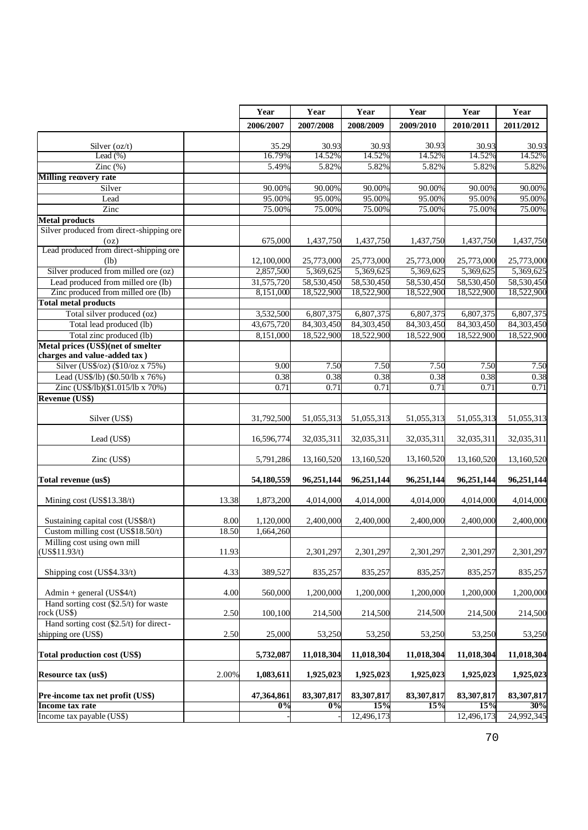|                                             |       | Year             | Year             | Year             | Year             | Year             | Year             |
|---------------------------------------------|-------|------------------|------------------|------------------|------------------|------------------|------------------|
|                                             |       | 2006/2007        | 2007/2008        | 2008/2009        | 2009/2010        | 2010/2011        | 2011/2012        |
|                                             |       |                  |                  |                  |                  |                  |                  |
| Silver $(oz/t)$<br>Lead $(\%)$              |       | 35.29<br>16.79%  | 30.93<br>14.52%  | 30.93<br>14.52%  | 30.93<br>14.52%  | 30.93<br>14.52%  | 30.93<br>14.52%  |
|                                             |       | 5.49%            |                  |                  |                  | 5.82%            |                  |
| Zinc $(\%)$<br><b>Milling recovery rate</b> |       |                  | 5.82%            | 5.82%            | 5.82%            |                  | 5.82%            |
| Silver                                      |       |                  |                  |                  |                  |                  |                  |
| Lead                                        |       | 90.00%<br>95.00% | 90.00%<br>95.00% | 90.00%<br>95.00% | 90.00%<br>95.00% | 90.00%<br>95.00% | 90.00%<br>95.00% |
| Zinc                                        |       | 75.00%           | 75.00%           | 75.00%           | 75.00%           | 75.00%           | 75.00%           |
| <b>Metal products</b>                       |       |                  |                  |                  |                  |                  |                  |
| Silver produced from direct-shipping ore    |       |                  |                  |                  |                  |                  |                  |
| (oz)                                        |       | 675,000          | 1,437,750        | 1,437,750        | 1,437,750        | 1,437,750        | 1,437,750        |
| Lead produced from direct-shipping ore      |       |                  |                  |                  |                  |                  |                  |
| (lb)                                        |       | 12,100,000       | 25,773,000       | 25,773,000       | 25,773,000       | 25,773,000       | 25,773,000       |
| Silver produced from milled ore (oz)        |       | 2,857,500        | 5,369,625        | 5,369,625        | 5,369,625        | 5,369,625        | 5,369,625        |
| Lead produced from milled ore (lb)          |       | 31,575,720       | 58,530,450       | 58,530,450       | 58,530,450       | 58,530,450       | 58,530,450       |
| Zinc produced from milled ore (lb)          |       | 8,151,000        | 18,522,900       | 18,522,900       | 18,522,900       | 18,522,900       | 18,522,900       |
| <b>Total metal products</b>                 |       |                  |                  |                  |                  |                  |                  |
| Total silver produced (oz)                  |       | 3,532,500        | 6,807,375        | 6,807,375        | 6,807,375        | 6,807,375        | 6,807,375        |
| Total lead produced (lb)                    |       | 43,675,720       | 84,303,450       | 84,303,450       | 84,303,450       | 84,303,450       | 84,303,450       |
| Total zinc produced (lb)                    |       | 8,151,000        | 18,522,900       | 18,522,900       | 18,522,900       | 18,522,900       | 18,522,900       |
| Metal prices (US\$)(net of smelter          |       |                  |                  |                  |                  |                  |                  |
| charges and value-added tax)                |       |                  |                  |                  |                  |                  |                  |
| Silver (US\$/oz) (\$10/oz x 75%)            |       | 9.00             | 7.50             | 7.50             | 7.50             | 7.50             | 7.50             |
| Lead (US\$/lb) (\$0.50/lb x 76%)            |       | 0.38             | 0.38             | 0.38             | 0.38             | 0.38             | 0.38             |
| Zinc (US\$/lb)(\$1.015/lb x 70%)            |       | 0.71             | 0.71             | 0.71             | 0.71             | 0.71             | 0.71             |
| <b>Revenue (US\$)</b>                       |       |                  |                  |                  |                  |                  |                  |
|                                             |       |                  |                  |                  |                  |                  |                  |
| Silver (US\$)                               |       | 31,792,500       | 51,055,313       | 51,055,313       | 51,055,313       | 51,055,313       | 51,055,313       |
|                                             |       |                  |                  |                  |                  |                  |                  |
| Lead (US\$)                                 |       | 16,596,774       | 32,035,311       | 32,035,311       | 32,035,311       | 32,035,311       | 32,035,311       |
|                                             |       |                  |                  |                  |                  |                  |                  |
| Zinc (US\$)                                 |       | 5,791,286        | 13,160,520       | 13,160,520       | 13,160,520       | 13,160,520       | 13,160,520       |
| Total revenue (us\$)                        |       | 54,180,559       | 96,251,144       | 96,251,144       | 96,251,144       | 96,251,144       | 96,251,144       |
|                                             |       |                  |                  |                  |                  |                  |                  |
| Mining cost (US\$13.38/t)                   | 13.38 | 1,873,200        | 4,014,000        | 4,014,000        | 4,014,000        | 4,014,000        | 4,014,000        |
|                                             |       |                  |                  |                  |                  |                  |                  |
| Sustaining capital cost (US\$8/t)           | 8.00  | 1,120,000        | 2,400,000        | 2,400,000        | 2,400,000        | 2,400,000        | 2,400,000        |
| Custom milling cost (US\$18.50/t)           | 18.50 | 1,664,260        |                  |                  |                  |                  |                  |
| Milling cost using own mill                 |       |                  |                  |                  |                  |                  |                  |
| (US\$11.93/t)                               | 11.93 |                  | 2,301,297        | 2,301,297        | 2,301,297        | 2,301,297        | 2,301,297        |
|                                             |       |                  |                  |                  |                  |                  |                  |
| Shipping cost (US\$4.33/t)                  | 4.33  | 389,527          | 835,257          | 835,257          | 835,257          | 835,257          | 835,257          |
|                                             |       |                  |                  |                  |                  |                  |                  |
| Admin + general $(US$4/t)$                  | 4.00  | 560,000          | 1,200,000        | 1,200,000        | 1,200,000        | 1,200,000        | 1,200,000        |
| Hand sorting cost $(\$2.5/t)$ for waste     |       |                  |                  |                  |                  |                  |                  |
| rock (US\$)                                 | 2.50  | 100,100          | 214,500          | 214,500          | 214,500          | 214,500          | 214,500          |
| Hand sorting cost (\$2.5/t) for direct-     |       |                  |                  |                  |                  |                  |                  |
| shipping ore (US\$)                         | 2.50  | 25,000           | 53,250           | 53,250           | 53,250           | 53,250           | 53,250           |
| Total production cost (US\$)                |       |                  | 11,018,304       | 11,018,304       |                  | 11,018,304       | 11,018,304       |
|                                             |       | 5,732,087        |                  |                  | 11,018,304       |                  |                  |
| <b>Resource tax (us\$)</b>                  | 2.00% | 1,083,611        | 1,925,023        | 1,925,023        | 1,925,023        | 1,925,023        | 1,925,023        |
|                                             |       |                  |                  |                  |                  |                  |                  |
| Pre-income tax net profit (US\$)            |       | 47,364,861       | 83,307,817       | 83,307,817       | 83,307,817       | 83,307,817       | 83,307,817       |
| Income tax rate                             |       | 0%               | $\overline{0\%}$ | 15%              | 15%              | 15%              | 30%              |
| Income tax payable (US\$)                   |       |                  |                  | 12,496,173       |                  | 12,496,173       | 24,992,345       |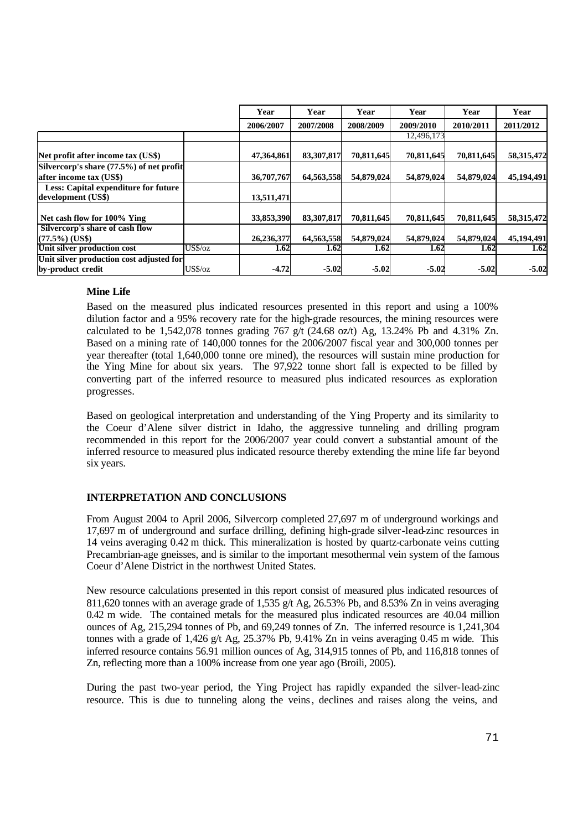|                                                               |            | Year       | Year       | Year       | Year       | Year       | Year       |
|---------------------------------------------------------------|------------|------------|------------|------------|------------|------------|------------|
|                                                               |            | 2006/2007  | 2007/2008  | 2008/2009  | 2009/2010  | 2010/2011  | 2011/2012  |
|                                                               |            |            |            |            | 12,496,173 |            |            |
| Net profit after income tax (US\$)                            |            | 47,364,861 | 83,307,817 | 70,811,645 | 70,811,645 | 70,811,645 | 58,315,472 |
| Silvercorp's share $(77.5%)$ of net profit                    |            |            |            |            |            |            |            |
| after income tax (US\$)                                       |            | 36,707,767 | 64,563,558 | 54,879,024 | 54,879,024 | 54,879,024 | 45,194,491 |
| Less: Capital expenditure for future<br>development (US\$)    |            | 13,511,471 |            |            |            |            |            |
| Net cash flow for 100% Ying                                   |            | 33,853,390 | 83,307,817 | 70,811,645 | 70,811,645 | 70,811,645 | 58,315,472 |
| Silvercorp's share of cash flow                               |            |            |            |            |            |            |            |
| $(77.5\%)$ (US\$)                                             |            | 26,236,377 | 64,563,558 | 54,879,024 | 54,879,024 | 54,879,024 | 45,194,491 |
| Unit silver production cost                                   | US\$/oz    | 1.62       | 1.62       | 1.62       | 1.62       | 1.62       | 1.62       |
| Unit silver production cost adjusted for<br>by-product credit | $US\%$ /oz | $-4.72$    | $-5.02$    | $-5.02$    | $-5.02$    | $-5.02$    | $-5.02$    |

# **Mine Life**

Based on the measured plus indicated resources presented in this report and using a 100% dilution factor and a 95% recovery rate for the high-grade resources, the mining resources were calculated to be 1,542,078 tonnes grading 767 g/t (24.68 oz/t) Ag, 13.24% Pb and 4.31% Zn. Based on a mining rate of 140,000 tonnes for the 2006/2007 fiscal year and 300,000 tonnes per year thereafter (total 1,640,000 tonne ore mined), the resources will sustain mine production for the Ying Mine for about six years. The 97,922 tonne short fall is expected to be filled by converting part of the inferred resource to measured plus indicated resources as exploration progresses.

Based on geological interpretation and understanding of the Ying Property and its similarity to the Coeur d'Alene silver district in Idaho, the aggressive tunneling and drilling program recommended in this report for the 2006/2007 year could convert a substantial amount of the inferred resource to measured plus indicated resource thereby extending the mine life far beyond six years.

# **INTERPRETATION AND CONCLUSIONS**

From August 2004 to April 2006, Silvercorp completed 27,697 m of underground workings and 17,697 m of underground and surface drilling, defining high-grade silver-lead-zinc resources in 14 veins averaging 0.42 m thick. This mineralization is hosted by quartz-carbonate veins cutting Precambrian-age gneisses, and is similar to the important mesothermal vein system of the famous Coeur d'Alene District in the northwest United States.

New resource calculations presented in this report consist of measured plus indicated resources of 811,620 tonnes with an average grade of 1,535 g/t Ag, 26.53% Pb, and 8.53% Zn in veins averaging 0.42 m wide. The contained metals for the measured plus indicated resources are 40.04 million ounces of Ag, 215,294 tonnes of Pb, and 69,249 tonnes of Zn. The inferred resource is 1,241,304 tonnes with a grade of  $1,426$  g/t Ag,  $25.37\%$  Pb,  $9.41\%$  Zn in veins averaging 0.45 m wide. This inferred resource contains 56.91 million ounces of Ag, 314,915 tonnes of Pb, and 116,818 tonnes of Zn, reflecting more than a 100% increase from one year ago (Broili, 2005).

During the past two-year period, the Ying Project has rapidly expanded the silver-lead-zinc resource. This is due to tunneling along the veins, declines and raises along the veins, and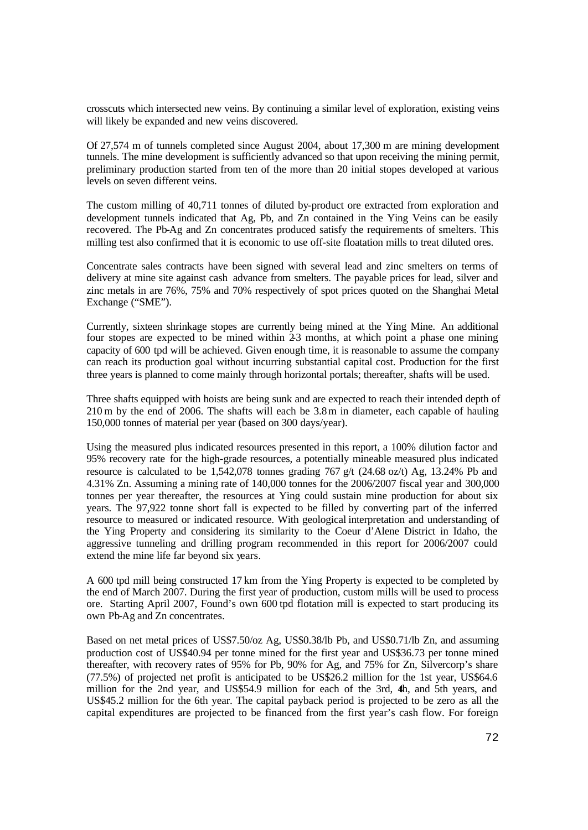crosscuts which intersected new veins. By continuing a similar level of exploration, existing veins will likely be expanded and new veins discovered.

Of 27,574 m of tunnels completed since August 2004, about 17,300 m are mining development tunnels. The mine development is sufficiently advanced so that upon receiving the mining permit, preliminary production started from ten of the more than 20 initial stopes developed at various levels on seven different veins.

The custom milling of 40,711 tonnes of diluted by-product ore extracted from exploration and development tunnels indicated that Ag, Pb, and Zn contained in the Ying Veins can be easily recovered. The Pb-Ag and Zn concentrates produced satisfy the requirements of smelters. This milling test also confirmed that it is economic to use off-site floatation mills to treat diluted ores.

Concentrate sales contracts have been signed with several lead and zinc smelters on terms of delivery at mine site against cash advance from smelters. The payable prices for lead, silver and zinc metals in are 76%, 75% and 70% respectively of spot prices quoted on the Shanghai Metal Exchange ("SME").

Currently, sixteen shrinkage stopes are currently being mined at the Ying Mine. An additional four stopes are expected to be mined within  $\overline{23}$  months, at which point a phase one mining capacity of 600 tpd will be achieved. Given enough time, it is reasonable to assume the company can reach its production goal without incurring substantial capital cost. Production for the first three years is planned to come mainly through horizontal portals; thereafter, shafts will be used.

Three shafts equipped with hoists are being sunk and are expected to reach their intended depth of 210 m by the end of 2006. The shafts will each be 3.8m in diameter, each capable of hauling 150,000 tonnes of material per year (based on 300 days/year).

Using the measured plus indicated resources presented in this report, a 100% dilution factor and 95% recovery rate for the high-grade resources, a potentially mineable measured plus indicated resource is calculated to be 1,542,078 tonnes grading 767 g/t (24.68 oz/t) Ag, 13.24% Pb and 4.31% Zn. Assuming a mining rate of 140,000 tonnes for the 2006/2007 fiscal year and 300,000 tonnes per year thereafter, the resources at Ying could sustain mine production for about six years. The 97,922 tonne short fall is expected to be filled by converting part of the inferred resource to measured or indicated resource. With geological interpretation and understanding of the Ying Property and considering its similarity to the Coeur d'Alene District in Idaho, the aggressive tunneling and drilling program recommended in this report for 2006/2007 could extend the mine life far beyond six years.

A 600 tpd mill being constructed 17 km from the Ying Property is expected to be completed by the end of March 2007. During the first year of production, custom mills will be used to process ore. Starting April 2007, Found's own 600 tpd flotation mill is expected to start producing its own Pb-Ag and Zn concentrates.

Based on net metal prices of US\$7.50/oz Ag, US\$0.38/lb Pb, and US\$0.71/lb Zn, and assuming production cost of US\$40.94 per tonne mined for the first year and US\$36.73 per tonne mined thereafter, with recovery rates of 95% for Pb, 90% for Ag, and 75% for Zn, Silvercorp's share (77.5%) of projected net profit is anticipated to be US\$26.2 million for the 1st year, US\$64.6 million for the 2nd year, and US\$54.9 million for each of the 3rd, 4th, and 5th years, and US\$45.2 million for the 6th year. The capital payback period is projected to be zero as all the capital expenditures are projected to be financed from the first year's cash flow. For foreign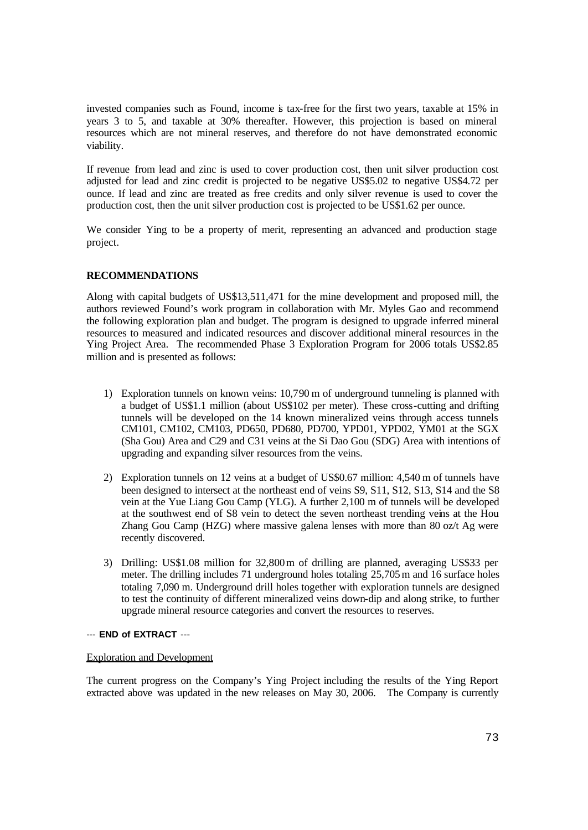invested companies such as Found, income is tax-free for the first two years, taxable at 15% in years 3 to 5, and taxable at 30% thereafter. However, this projection is based on mineral resources which are not mineral reserves, and therefore do not have demonstrated economic viability.

If revenue from lead and zinc is used to cover production cost, then unit silver production cost adjusted for lead and zinc credit is projected to be negative US\$5.02 to negative US\$4.72 per ounce. If lead and zinc are treated as free credits and only silver revenue is used to cover the production cost, then the unit silver production cost is projected to be US\$1.62 per ounce.

We consider Ying to be a property of merit, representing an advanced and production stage project.

#### **RECOMMENDATIONS**

Along with capital budgets of US\$13,511,471 for the mine development and proposed mill, the authors reviewed Found's work program in collaboration with Mr. Myles Gao and recommend the following exploration plan and budget. The program is designed to upgrade inferred mineral resources to measured and indicated resources and discover additional mineral resources in the Ying Project Area. The recommended Phase 3 Exploration Program for 2006 totals US\$2.85 million and is presented as follows:

- 1) Exploration tunnels on known veins: 10,790 m of underground tunneling is planned with a budget of US\$1.1 million (about US\$102 per meter). These cross-cutting and drifting tunnels will be developed on the 14 known mineralized veins through access tunnels CM101, CM102, CM103, PD650, PD680, PD700, YPD01, YPD02, YM01 at the SGX (Sha Gou) Area and C29 and C31 veins at the Si Dao Gou (SDG) Area with intentions of upgrading and expanding silver resources from the veins.
- 2) Exploration tunnels on 12 veins at a budget of US\$0.67 million: 4,540 m of tunnels have been designed to intersect at the northeast end of veins S9, S11, S12, S13, S14 and the S8 vein at the Yue Liang Gou Camp (YLG). A further 2,100 m of tunnels will be developed at the southwest end of S8 vein to detect the seven northeast trending veins at the Hou Zhang Gou Camp (HZG) where massive galena lenses with more than 80 oz/t Ag were recently discovered.
- 3) Drilling: US\$1.08 million for 32,800m of drilling are planned, averaging US\$33 per meter. The drilling includes 71 underground holes totaling 25,705m and 16 surface holes totaling 7,090 m. Underground drill holes together with exploration tunnels are designed to test the continuity of different mineralized veins down-dip and along strike, to further upgrade mineral resource categories and convert the resources to reserves.

#### --- **END of EXTRACT** ---

#### Exploration and Development

The current progress on the Company's Ying Project including the results of the Ying Report extracted above was updated in the new releases on May 30, 2006. The Company is currently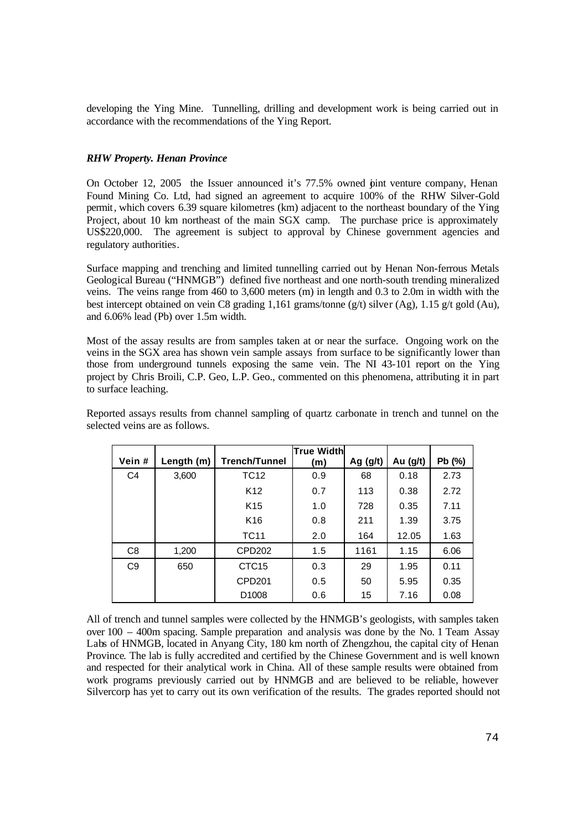developing the Ying Mine. Tunnelling, drilling and development work is being carried out in accordance with the recommendations of the Ying Report.

### *RHW Property. Henan Province*

On October 12, 2005 the Issuer announced it's 77.5% owned pint venture company, Henan Found Mining Co. Ltd, had signed an agreement to acquire 100% of the RHW Silver-Gold permit, which covers 6.39 square kilometres (km) adjacent to the northeast boundary of the Ying Project, about 10 km northeast of the main SGX camp. The purchase price is approximately US\$220,000. The agreement is subject to approval by Chinese government agencies and regulatory authorities.

Surface mapping and trenching and limited tunnelling carried out by Henan Non-ferrous Metals Geological Bureau ("HNMGB") defined five northeast and one north-south trending mineralized veins. The veins range from 460 to 3,600 meters (m) in length and 0.3 to 2.0m in width with the best intercept obtained on vein C8 grading 1,161 grams/tonne (g/t) silver (Ag), 1.15 g/t gold (Au), and 6.06% lead (Pb) over 1.5m width.

Most of the assay results are from samples taken at or near the surface. Ongoing work on the veins in the SGX area has shown vein sample assays from surface to be significantly lower than those from underground tunnels exposing the same vein. The NI 43-101 report on the Ying project by Chris Broili, C.P. Geo, L.P. Geo., commented on this phenomena, attributing it in part to surface leaching.

Reported assays results from channel sampling of quartz carbonate in trench and tunnel on the selected veins are as follows.

|                |            |                      | <b>True Width</b> |            |          |        |
|----------------|------------|----------------------|-------------------|------------|----------|--------|
| Vein#          | Length (m) | <b>Trench/Tunnel</b> | (m)               | Ag $(g/t)$ | Au (g/t) | Pb (%) |
| C <sub>4</sub> | 3,600      | <b>TC12</b>          | 0.9               | 68         | 0.18     | 2.73   |
|                |            | K <sub>12</sub>      | 0.7               | 113        | 0.38     | 2.72   |
|                |            | K <sub>15</sub>      | 1.0               | 728        | 0.35     | 7.11   |
|                |            | K <sub>16</sub>      | 0.8               | 211        | 1.39     | 3.75   |
|                |            | <b>TC11</b>          | 2.0               | 164        | 12.05    | 1.63   |
| C <sub>8</sub> | 1,200      | CPD202               | 1.5               | 1161       | 1.15     | 6.06   |
| C <sub>9</sub> | 650        | CTC <sub>15</sub>    | 0.3               | 29         | 1.95     | 0.11   |
|                |            | <b>CPD201</b>        | 0.5               | 50         | 5.95     | 0.35   |
|                |            | D <sub>1008</sub>    | 0.6               | 15         | 7.16     | 0.08   |

All of trench and tunnel samples were collected by the HNMGB's geologists, with samples taken over 100 – 400m spacing. Sample preparation and analysis was done by the No. 1 Team Assay Labs of HNMGB, located in Anyang City, 180 km north of Zhengzhou, the capital city of Henan Province. The lab is fully accredited and certified by the Chinese Government and is well known and respected for their analytical work in China. All of these sample results were obtained from work programs previously carried out by HNMGB and are believed to be reliable, however Silvercorp has yet to carry out its own verification of the results. The grades reported should not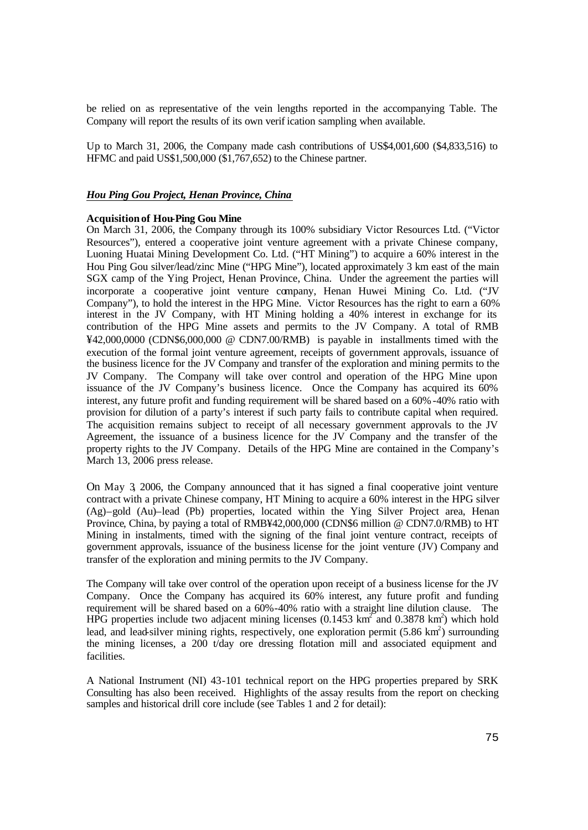be relied on as representative of the vein lengths reported in the accompanying Table. The Company will report the results of its own verif ication sampling when available.

Up to March 31, 2006, the Company made cash contributions of US\$4,001,600 (\$4,833,516) to HFMC and paid US\$1,500,000 (\$1,767,652) to the Chinese partner.

#### *Hou Ping Gou Project, Henan Province, China*

#### **Acquisition of Hou-Ping Gou Mine**

On March 31, 2006, the Company through its 100% subsidiary Victor Resources Ltd. ("Victor Resources"), entered a cooperative joint venture agreement with a private Chinese company, Luoning Huatai Mining Development Co. Ltd. ("HT Mining") to acquire a 60% interest in the Hou Ping Gou silver/lead/zinc Mine ("HPG Mine"), located approximately 3 km east of the main SGX camp of the Ying Project, Henan Province, China. Under the agreement the parties will incorporate a cooperative joint venture company, Henan Huwei Mining Co. Ltd. ("JV Company"), to hold the interest in the HPG Mine. Victor Resources has the right to earn a 60% interest in the JV Company, with HT Mining holding a 40% interest in exchange for its contribution of the HPG Mine assets and permits to the JV Company. A total of RMB ¥42,000,0000 (CDN\$6,000,000 @ CDN7.00/RMB) is payable in installments timed with the execution of the formal joint venture agreement, receipts of government approvals, issuance of the business licence for the JV Company and transfer of the exploration and mining permits to the JV Company. The Company will take over control and operation of the HPG Mine upon issuance of the JV Company's business licence. Once the Company has acquired its 60% interest, any future profit and funding requirement will be shared based on a 60%-40% ratio with provision for dilution of a party's interest if such party fails to contribute capital when required. The acquisition remains subject to receipt of all necessary government approvals to the JV Agreement, the issuance of a business licence for the JV Company and the transfer of the property rights to the JV Company. Details of the HPG Mine are contained in the Company's March 13, 2006 press release.

On May 3, 2006, the Company announced that it has signed a final cooperative joint venture contract with a private Chinese company, HT Mining to acquire a 60% interest in the HPG silver (Ag)–gold (Au)–lead (Pb) properties, located within the Ying Silver Project area, Henan Province, China, by paying a total of RMB¥42,000,000 (CDN\$6 million @ CDN7.0/RMB) to HT Mining in instalments, timed with the signing of the final joint venture contract, receipts of government approvals, issuance of the business license for the joint venture (JV) Company and transfer of the exploration and mining permits to the JV Company.

The Company will take over control of the operation upon receipt of a business license for the JV Company. Once the Company has acquired its 60% interest, any future profit and funding requirement will be shared based on a 60%-40% ratio with a straight line dilution clause. The HPG properties include two adjacent mining licenses (0.1453  $\text{km}^2$  and 0.3878  $\text{km}^2$ ) which hold lead, and lead-silver mining rights, respectively, one exploration permit  $(5.86 \text{ km}^2)$  surrounding the mining licenses, a 200 t/day ore dressing flotation mill and associated equipment and facilities.

A National Instrument (NI) 43-101 technical report on the HPG properties prepared by SRK Consulting has also been received. Highlights of the assay results from the report on checking samples and historical drill core include (see Tables 1 and 2 for detail):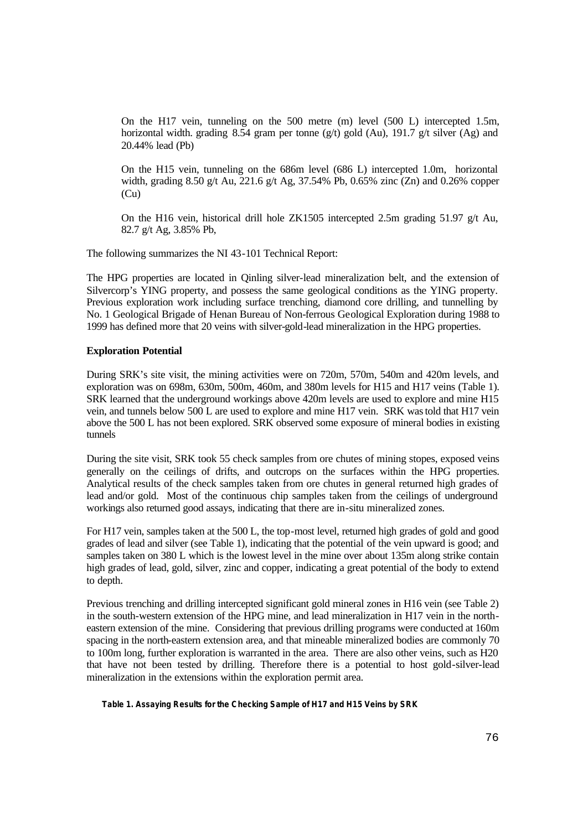On the H17 vein, tunneling on the 500 metre (m) level (500 L) intercepted 1.5m, horizontal width. grading 8.54 gram per tonne (g/t) gold (Au), 191.7 g/t silver (Ag) and 20.44% lead (Pb)

On the H15 vein, tunneling on the 686m level (686 L) intercepted 1.0m, horizontal width, grading 8.50 g/t Au, 221.6 g/t Ag, 37.54% Pb, 0.65% zinc (Zn) and 0.26% copper (Cu)

On the H16 vein, historical drill hole ZK1505 intercepted 2.5m grading 51.97  $g/t$  Au, 82.7 g/t Ag, 3.85% Pb,

The following summarizes the NI 43-101 Technical Report:

The HPG properties are located in Qinling silver-lead mineralization belt, and the extension of Silvercorp's YING property, and possess the same geological conditions as the YING property. Previous exploration work including surface trenching, diamond core drilling, and tunnelling by No. 1 Geological Brigade of Henan Bureau of Non-ferrous Geological Exploration during 1988 to 1999 has defined more that 20 veins with silver-gold-lead mineralization in the HPG properties.

#### **Exploration Potential**

During SRK's site visit, the mining activities were on 720m, 570m, 540m and 420m levels, and exploration was on 698m, 630m, 500m, 460m, and 380m levels for H15 and H17 veins (Table 1). SRK learned that the underground workings above 420m levels are used to explore and mine H15 vein, and tunnels below 500 L are used to explore and mine H17 vein. SRK was told that H17 vein above the 500 L has not been explored. SRK observed some exposure of mineral bodies in existing tunnels

During the site visit, SRK took 55 check samples from ore chutes of mining stopes, exposed veins generally on the ceilings of drifts, and outcrops on the surfaces within the HPG properties. Analytical results of the check samples taken from ore chutes in general returned high grades of lead and/or gold. Most of the continuous chip samples taken from the ceilings of underground workings also returned good assays, indicating that there are in-situ mineralized zones.

For H17 vein, samples taken at the 500 L, the top-most level, returned high grades of gold and good grades of lead and silver (see Table 1), indicating that the potential of the vein upward is good; and samples taken on 380 L which is the lowest level in the mine over about 135m along strike contain high grades of lead, gold, silver, zinc and copper, indicating a great potential of the body to extend to depth.

Previous trenching and drilling intercepted significant gold mineral zones in H16 vein (see Table 2) in the south-western extension of the HPG mine, and lead mineralization in H17 vein in the northeastern extension of the mine. Considering that previous drilling programs were conducted at 160m spacing in the north-eastern extension area, and that mineable mineralized bodies are commonly 70 to 100m long, further exploration is warranted in the area. There are also other veins, such as H20 that have not been tested by drilling. Therefore there is a potential to host gold-silver-lead mineralization in the extensions within the exploration permit area.

**Table 1. Assaying Results for the Checking Sample of H17 and H15 Veins by SRK**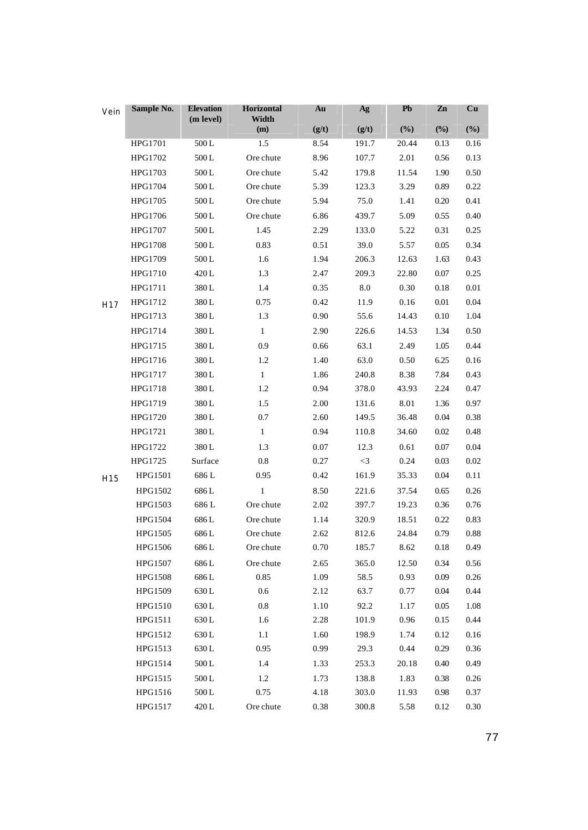| Vein            | Sample No.     | <b>Elevation</b><br>(m level) | Horizontal<br>Width | Au    | Ag    | Pb    | Zn       | Cu     |
|-----------------|----------------|-------------------------------|---------------------|-------|-------|-------|----------|--------|
|                 |                |                               | (m)                 | (g/t) | (g/t) | (%)   | $(\%)$   | $(\%)$ |
|                 | HPG1701        | $500\,\mathrm{L}$             | 1.5                 | 8.54  | 191.7 | 20.44 | 0.13     | 0.16   |
|                 | HPG1702        | 500L                          | Ore chute           | 8.96  | 107.7 | 2.01  | 0.56     | 0.13   |
|                 | HPG1703        | 500L                          | Ore chute           | 5.42  | 179.8 | 11.54 | 1.90     | 0.50   |
|                 | HPG1704        | 500L                          | Ore chute           | 5.39  | 123.3 | 3.29  | 0.89     | 0.22   |
|                 | HPG1705        | $500\,\mathrm{L}$             | Ore chute           | 5.94  | 75.0  | 1.41  | 0.20     | 0.41   |
|                 | HPG1706        | 500L                          | Ore chute           | 6.86  | 439.7 | 5.09  | 0.55     | 0.40   |
|                 | HPG1707        | 500L                          | 1.45                | 2.29  | 133.0 | 5.22  | 0.31     | 0.25   |
|                 | <b>HPG1708</b> | $500\,\mathrm{L}$             | 0.83                | 0.51  | 39.0  | 5.57  | 0.05     | 0.34   |
|                 | HPG1709        | 500L                          | 1.6                 | 1.94  | 206.3 | 12.63 | 1.63     | 0.43   |
|                 | HPG1710        | 420 L                         | 1.3                 | 2.47  | 209.3 | 22.80 | 0.07     | 0.25   |
|                 | HPG1711        | 380L                          | 1.4                 | 0.35  | 8.0   | 0.30  | 0.18     | 0.01   |
| H <sub>17</sub> | HPG1712        | 380L                          | 0.75                | 0.42  | 11.9  | 0.16  | 0.01     | 0.04   |
|                 | HPG1713        | 380L                          | 1.3                 | 0.90  | 55.6  | 14.43 | 0.10     | 1.04   |
|                 | HPG1714        | 380L                          | $\mathbf{1}$        | 2.90  | 226.6 | 14.53 | 1.34     | 0.50   |
|                 | HPG1715        | 380L                          | 0.9                 | 0.66  | 63.1  | 2.49  | 1.05     | 0.44   |
|                 | HPG1716        | 380L                          | 1.2                 | 1.40  | 63.0  | 0.50  | 6.25     | 0.16   |
|                 | HPG1717        | 380L                          | $\mathbf{1}$        | 1.86  | 240.8 | 8.38  | 7.84     | 0.43   |
|                 | <b>HPG1718</b> | 380L                          | 1.2                 | 0.94  | 378.0 | 43.93 | 2.24     | 0.47   |
|                 | HPG1719        | 380L                          | 1.5                 | 2.00  | 131.6 | 8.01  | 1.36     | 0.97   |
|                 | HPG1720        | 380L                          | 0.7                 | 2.60  | 149.5 | 36.48 | 0.04     | 0.38   |
|                 | HPG1721        | 380L                          | $\mathbf{1}$        | 0.94  | 110.8 | 34.60 | 0.02     | 0.48   |
|                 | HPG1722        | 380L                          | 1.3                 | 0.07  | 12.3  | 0.61  | 0.07     | 0.04   |
|                 | HPG1725        | Surface                       | 0.8                 | 0.27  | $<$ 3 | 0.24  | 0.03     | 0.02   |
| H15             | HPG1501        | 686 L                         | 0.95                | 0.42  | 161.9 | 35.33 | 0.04     | 0.11   |
|                 | HPG1502        | 686L                          | $\mathbf{1}$        | 8.50  | 221.6 | 37.54 | 0.65     | 0.26   |
|                 | HPG1503        | 686 L                         | Ore chute           | 2.02  | 397.7 | 19.23 | 0.36     | 0.76   |
|                 | HPG1504        | 686 L                         | Ore chute           | 1.14  | 320.9 | 18.51 | 0.22     | 0.83   |
|                 | HPG1505        | 686L                          | Ore chute           | 2.62  | 812.6 | 24.84 | 0.79     | 0.88   |
|                 | HPG1506        | 686 L                         | Ore chute           | 0.70  | 185.7 | 8.62  | 0.18     | 0.49   |
|                 | HPG1507        | 686L                          | Ore chute           | 2.65  | 365.0 | 12.50 | 0.34     | 0.56   |
|                 | HPG1508        | 686L                          | 0.85                | 1.09  | 58.5  | 0.93  | 0.09     | 0.26   |
|                 | HPG1509        | 630L                          | 0.6                 | 2.12  | 63.7  | 0.77  | $0.04\,$ | 0.44   |
|                 | HPG1510        | 630L                          | 0.8                 | 1.10  | 92.2  | 1.17  | 0.05     | 1.08   |
|                 | HPG1511        | 630L                          | 1.6                 | 2.28  | 101.9 | 0.96  | 0.15     | 0.44   |
|                 | HPG1512        | 630L                          | 1.1                 | 1.60  | 198.9 | 1.74  | 0.12     | 0.16   |
|                 | HPG1513        | 630L                          | 0.95                | 0.99  | 29.3  | 0.44  | 0.29     | 0.36   |
|                 | HPG1514        | $500\,\mathrm{L}$             | 1.4                 | 1.33  | 253.3 | 20.18 | 0.40     | 0.49   |
|                 | HPG1515        | 500L                          | 1.2                 | 1.73  | 138.8 | 1.83  | 0.38     | 0.26   |
|                 | HPG1516        | 500L                          | 0.75                | 4.18  | 303.0 | 11.93 | 0.98     | 0.37   |
|                 | HPG1517        | 420 L                         | Ore chute           | 0.38  | 300.8 | 5.58  | 0.12     | 0.30   |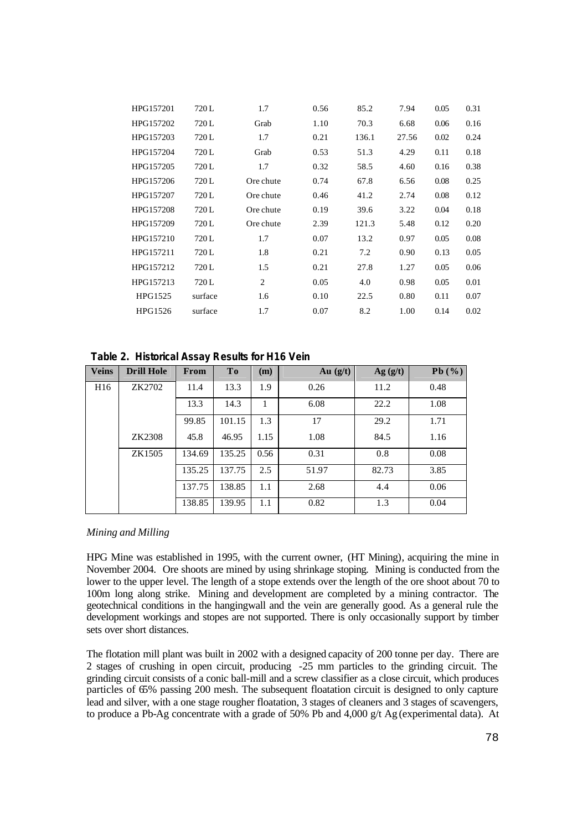| HPG157201 | 720 L   |           | 0.56 |       |       |      |      |
|-----------|---------|-----------|------|-------|-------|------|------|
|           |         | 1.7       |      | 85.2  | 7.94  | 0.05 | 0.31 |
| HPG157202 | 720L    | Grab      | 1.10 | 70.3  | 6.68  | 0.06 | 0.16 |
| HPG157203 | 720L    | 1.7       | 0.21 | 136.1 | 27.56 | 0.02 | 0.24 |
| HPG157204 | 720 L   | Grab      | 0.53 | 51.3  | 4.29  | 0.11 | 0.18 |
| HPG157205 | 720L    | 1.7       | 0.32 | 58.5  | 4.60  | 0.16 | 0.38 |
| HPG157206 | 720 L   | Ore chute | 0.74 | 67.8  | 6.56  | 0.08 | 0.25 |
| HPG157207 | 720L    | Ore chute | 0.46 | 41.2  | 2.74  | 0.08 | 0.12 |
| HPG157208 | 720L    | Ore chute | 0.19 | 39.6  | 3.22  | 0.04 | 0.18 |
| HPG157209 | 720 L   | Ore chute | 2.39 | 121.3 | 5.48  | 0.12 | 0.20 |
| HPG157210 | 720 L   | 1.7       | 0.07 | 13.2  | 0.97  | 0.05 | 0.08 |
| HPG157211 | 720L    | 1.8       | 0.21 | 7.2   | 0.90  | 0.13 | 0.05 |
| HPG157212 | 720 L   | 1.5       | 0.21 | 27.8  | 1.27  | 0.05 | 0.06 |
| HPG157213 | 720L    | 2         | 0.05 | 4.0   | 0.98  | 0.05 | 0.01 |
| HPG1525   | surface | 1.6       | 0.10 | 22.5  | 0.80  | 0.11 | 0.07 |
| HPG1526   | surface | 1.7       | 0.07 | 8.2   | 1.00  | 0.14 | 0.02 |
|           |         |           |      |       |       |      |      |

**Table 2. Historical Assay Results for H16 Vein**

| <b>Veins</b>    | <b>Drill Hole</b> | From   | T <sub>0</sub> | (m)  | Au $(g/t)$ | Ag(g/t) | Pb(%) |
|-----------------|-------------------|--------|----------------|------|------------|---------|-------|
| H <sub>16</sub> | ZK2702            | 11.4   | 13.3           | 1.9  | 0.26       | 11.2    | 0.48  |
|                 |                   | 13.3   | 14.3           |      | 6.08       | 22.2    | 1.08  |
|                 |                   | 99.85  | 101.15         | 1.3  | 17         | 29.2    | 1.71  |
|                 | ZK2308            | 45.8   | 46.95          | 1.15 | 1.08       | 84.5    | 1.16  |
|                 | ZK1505            | 134.69 | 135.25         | 0.56 | 0.31       | 0.8     | 0.08  |
|                 |                   | 135.25 | 137.75         | 2.5  | 51.97      | 82.73   | 3.85  |
|                 |                   | 137.75 | 138.85         | 1.1  | 2.68       | 4.4     | 0.06  |
|                 |                   | 138.85 | 139.95         | 1.1  | 0.82       | 1.3     | 0.04  |

### *Mining and Milling*

HPG Mine was established in 1995, with the current owner, (HT Mining), acquiring the mine in November 2004. Ore shoots are mined by using shrinkage stoping. Mining is conducted from the lower to the upper level. The length of a stope extends over the length of the ore shoot about 70 to 100m long along strike. Mining and development are completed by a mining contractor. The geotechnical conditions in the hangingwall and the vein are generally good. As a general rule the development workings and stopes are not supported. There is only occasionally support by timber sets over short distances.

The flotation mill plant was built in 2002 with a designed capacity of 200 tonne per day. There are 2 stages of crushing in open circuit, producing -25 mm particles to the grinding circuit. The grinding circuit consists of a conic ball-mill and a screw classifier as a close circuit, which produces particles of 65% passing 200 mesh. The subsequent floatation circuit is designed to only capture lead and silver, with a one stage rougher floatation, 3 stages of cleaners and 3 stages of scavengers, to produce a Pb-Ag concentrate with a grade of 50% Pb and 4,000 g/t Ag (experimental data). At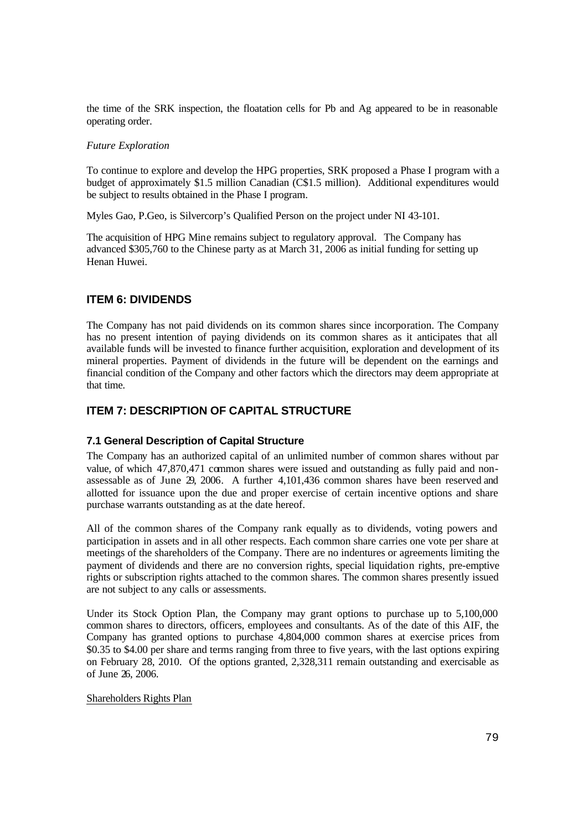the time of the SRK inspection, the floatation cells for Pb and Ag appeared to be in reasonable operating order.

#### *Future Exploration*

To continue to explore and develop the HPG properties, SRK proposed a Phase I program with a budget of approximately \$1.5 million Canadian (C\$1.5 million). Additional expenditures would be subject to results obtained in the Phase I program.

Myles Gao, P.Geo, is Silvercorp's Qualified Person on the project under NI 43-101.

The acquisition of HPG Mine remains subject to regulatory approval. The Company has advanced \$305,760 to the Chinese party as at March 31, 2006 as initial funding for setting up Henan Huwei.

## **ITEM 6: DIVIDENDS**

The Company has not paid dividends on its common shares since incorporation. The Company has no present intention of paying dividends on its common shares as it anticipates that all available funds will be invested to finance further acquisition, exploration and development of its mineral properties. Payment of dividends in the future will be dependent on the earnings and financial condition of the Company and other factors which the directors may deem appropriate at that time.

## **ITEM 7: DESCRIPTION OF CAPITAL STRUCTURE**

### **7.1 General Description of Capital Structure**

The Company has an authorized capital of an unlimited number of common shares without par value, of which 47,870,471 common shares were issued and outstanding as fully paid and nonassessable as of June 29, 2006. A further 4,101,436 common shares have been reserved and allotted for issuance upon the due and proper exercise of certain incentive options and share purchase warrants outstanding as at the date hereof.

All of the common shares of the Company rank equally as to dividends, voting powers and participation in assets and in all other respects. Each common share carries one vote per share at meetings of the shareholders of the Company. There are no indentures or agreements limiting the payment of dividends and there are no conversion rights, special liquidation rights, pre-emptive rights or subscription rights attached to the common shares. The common shares presently issued are not subject to any calls or assessments.

Under its Stock Option Plan, the Company may grant options to purchase up to 5,100,000 common shares to directors, officers, employees and consultants. As of the date of this AIF, the Company has granted options to purchase 4,804,000 common shares at exercise prices from \$0.35 to \$4.00 per share and terms ranging from three to five years, with the last options expiring on February 28, 2010. Of the options granted, 2,328,311 remain outstanding and exercisable as of June 26, 2006.

### Shareholders Rights Plan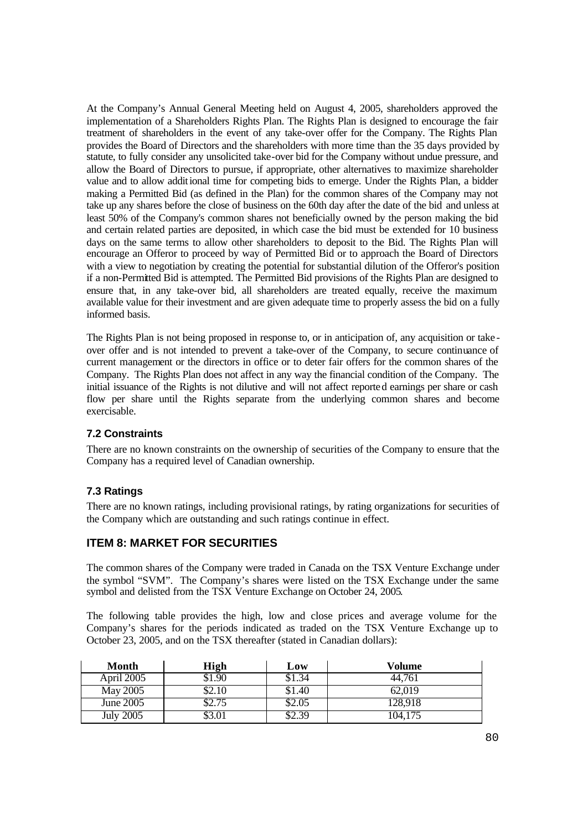At the Company's Annual General Meeting held on August 4, 2005, shareholders approved the implementation of a Shareholders Rights Plan. The Rights Plan is designed to encourage the fair treatment of shareholders in the event of any take-over offer for the Company. The Rights Plan provides the Board of Directors and the shareholders with more time than the 35 days provided by statute, to fully consider any unsolicited take-over bid for the Company without undue pressure, and allow the Board of Directors to pursue, if appropriate, other alternatives to maximize shareholder value and to allow additional time for competing bids to emerge. Under the Rights Plan, a bidder making a Permitted Bid (as defined in the Plan) for the common shares of the Company may not take up any shares before the close of business on the 60th day after the date of the bid and unless at least 50% of the Company's common shares not beneficially owned by the person making the bid and certain related parties are deposited, in which case the bid must be extended for 10 business days on the same terms to allow other shareholders to deposit to the Bid. The Rights Plan will encourage an Offeror to proceed by way of Permitted Bid or to approach the Board of Directors with a view to negotiation by creating the potential for substantial dilution of the Offeror's position if a non-Permitted Bid is attempted. The Permitted Bid provisions of the Rights Plan are designed to ensure that, in any take-over bid, all shareholders are treated equally, receive the maximum available value for their investment and are given adequate time to properly assess the bid on a fully informed basis.

The Rights Plan is not being proposed in response to, or in anticipation of, any acquisition or take over offer and is not intended to prevent a take-over of the Company, to secure continuance of current management or the directors in office or to deter fair offers for the common shares of the Company. The Rights Plan does not affect in any way the financial condition of the Company. The initial issuance of the Rights is not dilutive and will not affect reported earnings per share or cash flow per share until the Rights separate from the underlying common shares and become exercisable.

### **7.2 Constraints**

There are no known constraints on the ownership of securities of the Company to ensure that the Company has a required level of Canadian ownership.

### **7.3 Ratings**

There are no known ratings, including provisional ratings, by rating organizations for securities of the Company which are outstanding and such ratings continue in effect.

### **ITEM 8: MARKET FOR SECURITIES**

The common shares of the Company were traded in Canada on the TSX Venture Exchange under the symbol "SVM". The Company's shares were listed on the TSX Exchange under the same symbol and delisted from the TSX Venture Exchange on October 24, 2005.

The following table provides the high, low and close prices and average volume for the Company's shares for the periods indicated as traded on the TSX Venture Exchange up to October 23, 2005, and on the TSX thereafter (stated in Canadian dollars):

| Month            | High   | Low    | Volume  |
|------------------|--------|--------|---------|
| April 2005       | 51.90  | \$1.34 | 44.761  |
| May 2005         | \$2.10 | \$1.40 | 62,019  |
| June 2005        | \$2.75 | \$2.05 | 128,918 |
| <b>July 2005</b> | \$3.01 | \$2.39 | 104,175 |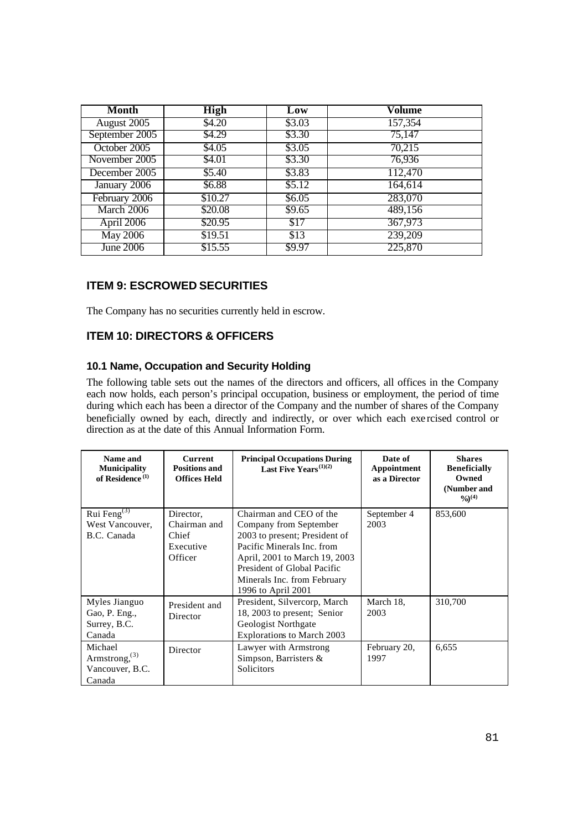| <b>Month</b>    | <b>High</b> | Low    | Volume  |
|-----------------|-------------|--------|---------|
| August 2005     | \$4.20      | \$3.03 | 157,354 |
| September 2005  | \$4.29      | \$3.30 | 75,147  |
| October 2005    | \$4.05      | \$3.05 | 70,215  |
| November 2005   | \$4.01      | \$3.30 | 76,936  |
| December 2005   | \$5.40      | \$3.83 | 112,470 |
| January 2006    | \$6.88      | \$5.12 | 164,614 |
| February 2006   | \$10.27     | \$6.05 | 283,070 |
| March 2006      | \$20.08     | \$9.65 | 489,156 |
| April 2006      | \$20.95     | \$17   | 367,973 |
| <b>May 2006</b> | \$19.51     | \$13   | 239,209 |
| June 2006       | \$15.55     | \$9.97 | 225,870 |

## **ITEM 9: ESCROWED SECURITIES**

The Company has no securities currently held in escrow.

## **ITEM 10: DIRECTORS & OFFICERS**

## **10.1 Name, Occupation and Security Holding**

The following table sets out the names of the directors and officers, all offices in the Company each now holds, each person's principal occupation, business or employment, the period of time during which each has been a director of the Company and the number of shares of the Company beneficially owned by each, directly and indirectly, or over which each exe rcised control or direction as at the date of this Annual Information Form.

| Name and<br><b>Municipality</b><br>of Residence <sup>(1)</sup>    | <b>Current</b><br><b>Positions and</b><br><b>Offices Held</b> | <b>Principal Occupations During</b><br>Last Five Years <sup>(1)(2)</sup>                                                                                                                                                              | Date of<br>Appointment<br>as a Director | <b>Shares</b><br><b>Beneficially</b><br>Owned<br>(Number and<br>$\frac{9}{0}$ <sup>(4)</sup> |
|-------------------------------------------------------------------|---------------------------------------------------------------|---------------------------------------------------------------------------------------------------------------------------------------------------------------------------------------------------------------------------------------|-----------------------------------------|----------------------------------------------------------------------------------------------|
| Rui Feng $^{(3)}$<br>West Vancouver,<br>B.C. Canada               | Director.<br>Chairman and<br>Chief<br>Executive<br>Officer    | Chairman and CEO of the<br>Company from September<br>2003 to present; President of<br>Pacific Minerals Inc. from<br>April, 2001 to March 19, 2003<br>President of Global Pacific<br>Minerals Inc. from February<br>1996 to April 2001 | September 4<br>2003                     | 853,600                                                                                      |
| Myles Jianguo<br>Gao, P. Eng.,<br>Surrey, B.C.<br>Canada          | President and<br>Director                                     | President, Silvercorp, March<br>18, 2003 to present; Senior<br>Geologist Northgate<br>Explorations to March 2003                                                                                                                      | March 18,<br>2003                       | 310,700                                                                                      |
| Michael<br>Armstrong, <sup>(3)</sup><br>Vancouver, B.C.<br>Canada | Director                                                      | Lawyer with Armstrong<br>Simpson, Barristers &<br>Solicitors                                                                                                                                                                          | February 20,<br>1997                    | 6,655                                                                                        |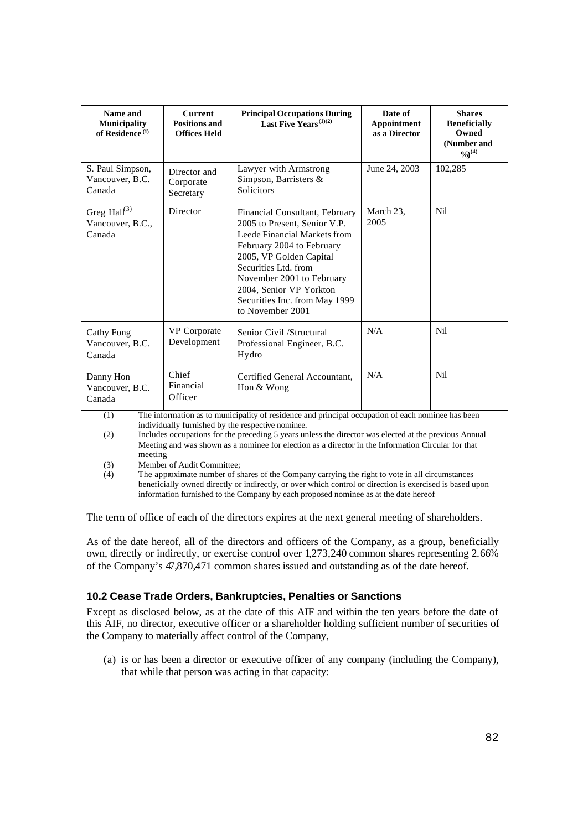| Name and<br><b>Municipality</b><br>of Residence <sup>(1)</sup> | <b>Current</b><br><b>Positions and</b><br><b>Offices Held</b> | <b>Principal Occupations During</b><br>Last Five Years <sup>(1)(2)</sup>                                                                                                                                                                                                                    | Date of<br>Appointment<br>as a Director | <b>Shares</b><br><b>Beneficially</b><br>Owned<br>(Number and<br>$\frac{9}{0}$ <sup>(4)</sup> |
|----------------------------------------------------------------|---------------------------------------------------------------|---------------------------------------------------------------------------------------------------------------------------------------------------------------------------------------------------------------------------------------------------------------------------------------------|-----------------------------------------|----------------------------------------------------------------------------------------------|
| S. Paul Simpson,<br>Vancouver, B.C.<br>Canada                  | Director and<br>Corporate<br>Secretary                        | Lawyer with Armstrong<br>Simpson, Barristers &<br><b>Solicitors</b>                                                                                                                                                                                                                         | June 24, 2003                           | 102,285                                                                                      |
| Greg Hall $^{(3)}$<br>Vancouver, B.C.,<br>Canada               | Director                                                      | Financial Consultant, February<br>2005 to Present, Senior V.P.<br>Leede Financial Markets from<br>February 2004 to February<br>2005, VP Golden Capital<br>Securities Ltd. from<br>November 2001 to February<br>2004, Senior VP Yorkton<br>Securities Inc. from May 1999<br>to November 2001 | March 23,<br>2005                       | Nil                                                                                          |
| <b>Cathy Fong</b><br>Vancouver, B.C.<br>Canada                 | <b>VP</b> Corporate<br>Development                            | Senior Civil /Structural<br>Professional Engineer, B.C.<br>Hydro                                                                                                                                                                                                                            | N/A                                     | Nil                                                                                          |
| Danny Hon<br>Vancouver, B.C.<br>Canada                         | Chief<br>Financial<br>Officer                                 | Certified General Accountant,<br>Hon & Wong                                                                                                                                                                                                                                                 | N/A                                     | Nil                                                                                          |

(1) The information as to municipality of residence and principal occupation of each nominee has been individually furnished by the respective nominee.

(2) Includes occupations for the preceding 5 years unless the director was elected at the previous Annual Meeting and was shown as a nominee for election as a director in the Information Circular for that meeting

(3) Member of Audit Committee;<br>(4) The approximate number of s

The approximate number of shares of the Company carrying the right to vote in all circumstances beneficially owned directly or indirectly, or over which control or direction is exercised is based upon information furnished to the Company by each proposed nominee as at the date hereof

The term of office of each of the directors expires at the next general meeting of shareholders.

As of the date hereof, all of the directors and officers of the Company, as a group, beneficially own, directly or indirectly, or exercise control over 1,273,240 common shares representing 2.66% of the Company's 47,870,471 common shares issued and outstanding as of the date hereof.

### **10.2 Cease Trade Orders, Bankruptcies, Penalties or Sanctions**

Except as disclosed below, as at the date of this AIF and within the ten years before the date of this AIF, no director, executive officer or a shareholder holding sufficient number of securities of the Company to materially affect control of the Company,

(a) is or has been a director or executive officer of any company (including the Company), that while that person was acting in that capacity: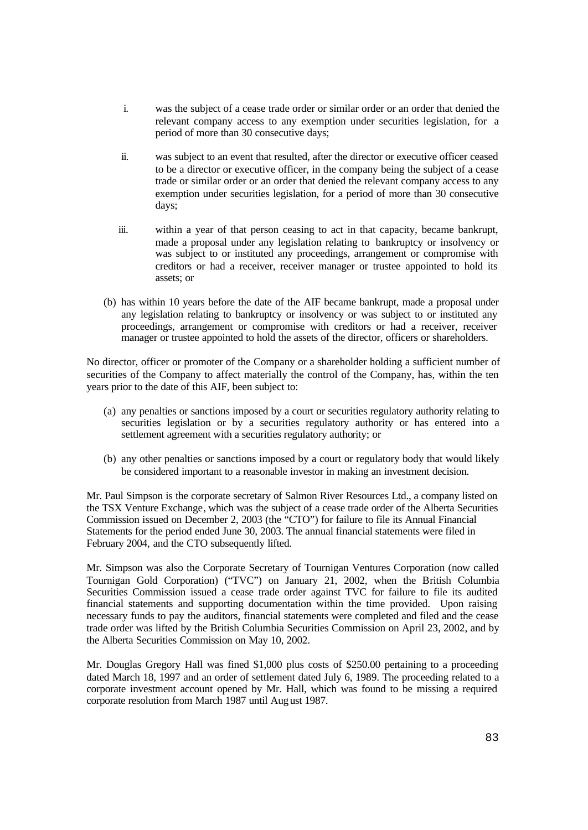- i. was the subject of a cease trade order or similar order or an order that denied the relevant company access to any exemption under securities legislation, for a period of more than 30 consecutive days;
- ii. was subject to an event that resulted, after the director or executive officer ceased to be a director or executive officer, in the company being the subject of a cease trade or similar order or an order that denied the relevant company access to any exemption under securities legislation, for a period of more than 30 consecutive days;
- iii. within a year of that person ceasing to act in that capacity, became bankrupt, made a proposal under any legislation relating to bankruptcy or insolvency or was subject to or instituted any proceedings, arrangement or compromise with creditors or had a receiver, receiver manager or trustee appointed to hold its assets; or
- (b) has within 10 years before the date of the AIF became bankrupt, made a proposal under any legislation relating to bankruptcy or insolvency or was subject to or instituted any proceedings, arrangement or compromise with creditors or had a receiver, receiver manager or trustee appointed to hold the assets of the director, officers or shareholders.

No director, officer or promoter of the Company or a shareholder holding a sufficient number of securities of the Company to affect materially the control of the Company, has, within the ten years prior to the date of this AIF, been subject to:

- (a) any penalties or sanctions imposed by a court or securities regulatory authority relating to securities legislation or by a securities regulatory authority or has entered into a settlement agreement with a securities regulatory authority; or
- (b) any other penalties or sanctions imposed by a court or regulatory body that would likely be considered important to a reasonable investor in making an investment decision.

Mr. Paul Simpson is the corporate secretary of Salmon River Resources Ltd., a company listed on the TSX Venture Exchange, which was the subject of a cease trade order of the Alberta Securities Commission issued on December 2, 2003 (the "CTO") for failure to file its Annual Financial Statements for the period ended June 30, 2003. The annual financial statements were filed in February 2004, and the CTO subsequently lifted.

Mr. Simpson was also the Corporate Secretary of Tournigan Ventures Corporation (now called Tournigan Gold Corporation) ("TVC") on January 21, 2002, when the British Columbia Securities Commission issued a cease trade order against TVC for failure to file its audited financial statements and supporting documentation within the time provided. Upon raising necessary funds to pay the auditors, financial statements were completed and filed and the cease trade order was lifted by the British Columbia Securities Commission on April 23, 2002, and by the Alberta Securities Commission on May 10, 2002.

Mr. Douglas Gregory Hall was fined \$1,000 plus costs of \$250.00 pertaining to a proceeding dated March 18, 1997 and an order of settlement dated July 6, 1989. The proceeding related to a corporate investment account opened by Mr. Hall, which was found to be missing a required corporate resolution from March 1987 until August 1987.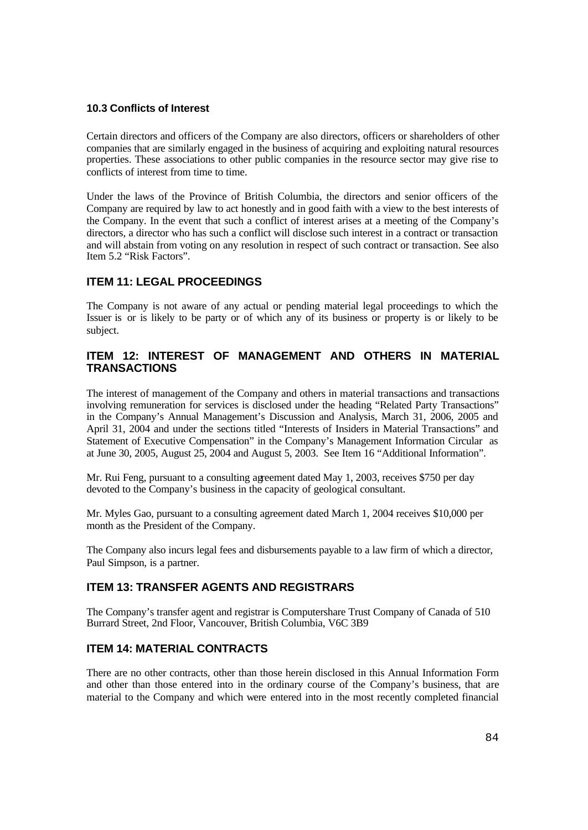### **10.3 Conflicts of Interest**

Certain directors and officers of the Company are also directors, officers or shareholders of other companies that are similarly engaged in the business of acquiring and exploiting natural resources properties. These associations to other public companies in the resource sector may give rise to conflicts of interest from time to time.

Under the laws of the Province of British Columbia, the directors and senior officers of the Company are required by law to act honestly and in good faith with a view to the best interests of the Company. In the event that such a conflict of interest arises at a meeting of the Company's directors, a director who has such a conflict will disclose such interest in a contract or transaction and will abstain from voting on any resolution in respect of such contract or transaction. See also Item 5.2 "Risk Factors".

## **ITEM 11: LEGAL PROCEEDINGS**

The Company is not aware of any actual or pending material legal proceedings to which the Issuer is or is likely to be party or of which any of its business or property is or likely to be subject.

## **ITEM 12: INTEREST OF MANAGEMENT AND OTHERS IN MATERIAL TRANSACTIONS**

The interest of management of the Company and others in material transactions and transactions involving remuneration for services is disclosed under the heading "Related Party Transactions" in the Company's Annual Management's Discussion and Analysis, March 31, 2006, 2005 and April 31, 2004 and under the sections titled "Interests of Insiders in Material Transactions" and Statement of Executive Compensation" in the Company's Management Information Circular as at June 30, 2005, August 25, 2004 and August 5, 2003. See Item 16 "Additional Information".

Mr. Rui Feng, pursuant to a consulting agreement dated May 1, 2003, receives \$750 per day devoted to the Company's business in the capacity of geological consultant.

Mr. Myles Gao, pursuant to a consulting agreement dated March 1, 2004 receives \$10,000 per month as the President of the Company.

The Company also incurs legal fees and disbursements payable to a law firm of which a director, Paul Simpson, is a partner.

## **ITEM 13: TRANSFER AGENTS AND REGISTRARS**

The Company's transfer agent and registrar is Computershare Trust Company of Canada of 510 Burrard Street, 2nd Floor, Vancouver, British Columbia, V6C 3B9

# **ITEM 14: MATERIAL CONTRACTS**

There are no other contracts, other than those herein disclosed in this Annual Information Form and other than those entered into in the ordinary course of the Company's business, that are material to the Company and which were entered into in the most recently completed financial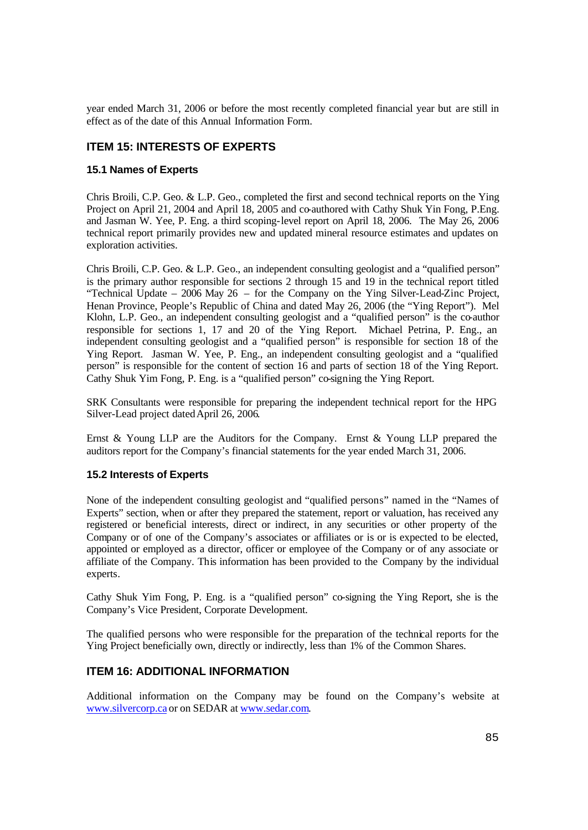year ended March 31, 2006 or before the most recently completed financial year but are still in effect as of the date of this Annual Information Form.

## **ITEM 15: INTERESTS OF EXPERTS**

## **15.1 Names of Experts**

Chris Broili, C.P. Geo. & L.P. Geo., completed the first and second technical reports on the Ying Project on April 21, 2004 and April 18, 2005 and co-authored with Cathy Shuk Yin Fong, P.Eng. and Jasman W. Yee, P. Eng. a third scoping-level report on April 18, 2006. The May 26, 2006 technical report primarily provides new and updated mineral resource estimates and updates on exploration activities.

Chris Broili, C.P. Geo. & L.P. Geo., an independent consulting geologist and a "qualified person" is the primary author responsible for sections 2 through 15 and 19 in the technical report titled "Technical Update – 2006 May 26 – for the Company on the Ying Silver-Lead-Zinc Project, Henan Province, People's Republic of China and dated May 26, 2006 (the "Ying Report"). Mel Klohn, L.P. Geo., an independent consulting geologist and a "qualified person" is the co-author responsible for sections 1, 17 and 20 of the Ying Report. Michael Petrina, P. Eng., an independent consulting geologist and a "qualified person" is responsible for section 18 of the Ying Report. Jasman W. Yee, P. Eng., an independent consulting geologist and a "qualified person" is responsible for the content of section 16 and parts of section 18 of the Ying Report. Cathy Shuk Yim Fong, P. Eng. is a "qualified person" co-signing the Ying Report.

SRK Consultants were responsible for preparing the independent technical report for the HPG Silver-Lead project dated April 26, 2006.

Ernst & Young LLP are the Auditors for the Company. Ernst & Young LLP prepared the auditors report for the Company's financial statements for the year ended March 31, 2006.

### **15.2 Interests of Experts**

None of the independent consulting geologist and "qualified persons" named in the "Names of Experts" section, when or after they prepared the statement, report or valuation, has received any registered or beneficial interests, direct or indirect, in any securities or other property of the Company or of one of the Company's associates or affiliates or is or is expected to be elected, appointed or employed as a director, officer or employee of the Company or of any associate or affiliate of the Company. This information has been provided to the Company by the individual experts.

Cathy Shuk Yim Fong, P. Eng. is a "qualified person" co-signing the Ying Report, she is the Company's Vice President, Corporate Development.

The qualified persons who were responsible for the preparation of the technical reports for the Ying Project beneficially own, directly or indirectly, less than 1% of the Common Shares.

## **ITEM 16: ADDITIONAL INFORMATION**

Additional information on the Company may be found on the Company's website at www.silvercorp.ca or on SEDAR at www.sedar.com.